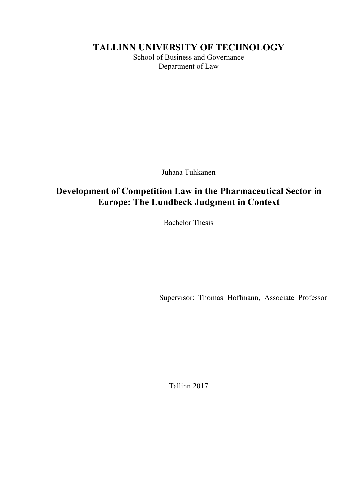TALLINN UNIVERSITY OF TECHNOLOGY<br>School of Business and Governance<br>Department of Law N UNIVERSITY OF TECHNOLOGY<br>School of Business and Governance<br>Department of Law VERSITY OF TECHNOLOGY<br>of Business and Governance<br>Department of Law

# **ERSITY OF TECHNOLOGY**<br>Business and Governance<br>Department of Law<br>Juhana Tuhkanen<br>**ODE Law in the Pharmaceutical Sector in**<br>**Indbeck Judgment in Context** TALLINN UNIVERSITY OF TECHNOLOGY<br>
School of Business and Governance<br>
Department of Law<br>
Duhana Tuhkanen<br>
Development of Competition Law in the Pharmaceutical Sector in<br>
Europe: The Lundbeck Judgment in Context<br>
Bachelor Th EULERIN CHEMENT CONTROLLERING CONTROLLERING CONTROLLERING SCHOOL OF Business and Governance<br>Department of Law<br>Department of Law<br>Parmaceutical Sector in<br>Europe: The Lundbeck Judgment in Context<br>Bachelor Thesis Tuhana Tuhkanen<br> **Bachelor The Pharmaceutical Sector in**<br> **Bachelor Thesis**<br> **Bachelor Thesis** Juhana Tuhkanen<br>
ion Law in the Pharmaceutical Sector in<br>
undbeck Judgment in Context<br>
Bachelor Thesis<br>
Supervisor: Thomas Hoffmann, Associate Professor

ervisor: Thomas Hoffmann, Associate Professor<br>Tallinn 2017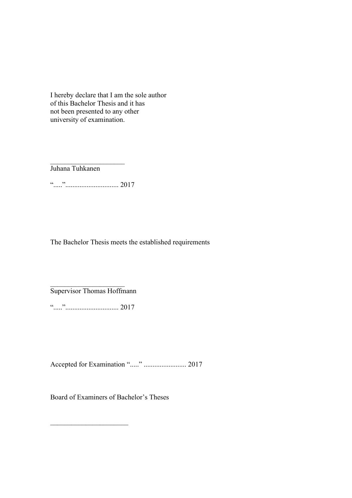I hereby declare that I am the sole author<br>of this Bachelor Thesis and it has<br>not been presented to any other<br>university of examination. I hereby declare that I am the sole author<br>of this Bachelor Thesis and it has<br>not been presented to any other<br>university of examination. I hereby declare that I am the sole author<br>of this Bachelor Thesis and it has<br>not been presented to any other<br>university of examination. I hereby declare that I am the sole author<br>of this Bachelor Thesis and it has<br>not been presented to any other<br>university of examination. Juhana Tuhkanen ".....".............................. 2017 Thereby declare that I am the sole author<br>of this Bachelor Thesis and it has<br>not been presented to any other<br>miversity of examination.<br><br>Tuhana Tuhkanen<br> $\ldots$ <br>The Bachelor Thesis meets the established requirements<br>Superviso

".....".............................. 2017 Accepted for Examination "....." ........................ 2017

Board of Examiners of Bachelor's Theses \_\_\_\_\_\_\_\_\_\_\_\_\_\_\_\_\_\_\_\_\_\_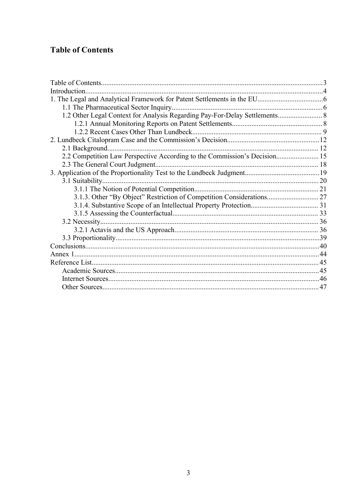# **Table of Contents**

| 1.2 Other Legal Context for Analysis Regarding Pay-For-Delay Settlements 8 |  |
|----------------------------------------------------------------------------|--|
|                                                                            |  |
|                                                                            |  |
|                                                                            |  |
|                                                                            |  |
| 2.2 Competition Law Perspective According to the Commission's Decision 15  |  |
|                                                                            |  |
|                                                                            |  |
|                                                                            |  |
|                                                                            |  |
| 3.1.3. Other "By Object" Restriction of Competition Considerations 27      |  |
|                                                                            |  |
|                                                                            |  |
|                                                                            |  |
|                                                                            |  |
|                                                                            |  |
|                                                                            |  |
|                                                                            |  |
|                                                                            |  |
|                                                                            |  |
|                                                                            |  |
|                                                                            |  |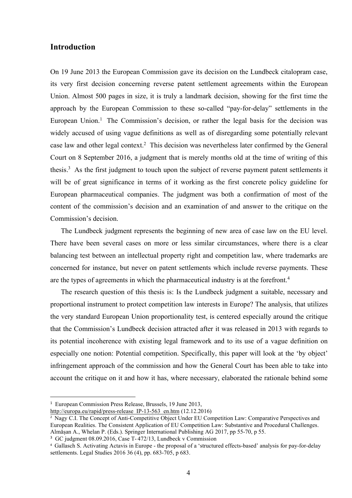## Introduction

**Introduction**<br>
On 19 June 2013 the European Commission gave its decision on the Lundbeck citalopram case,<br>
its very first decision concerning reverse patent settlement agreements within the European<br>
Union. Almost 500 pag Introduction<br>
On 19 June 2013 the European Commission gave its decision on the Lundbeck citalopram case,<br>
its very first decision concerning reverse patent settlement agreements within the European<br>
Union. Almost 500 pages Introduction<br>
On 19 June 2013 the European Commission gave its decision on the Lundbeck citalopram case,<br>
its very first decision concerning reverse patent settlement agreements within the European<br>
Union. Almost 500 pages **Introduction**<br>
On 19 June 2013 the European Commission gave its decision on the Lundbeck citalopram case,<br>
its very first decision concerning reverse patent settlement agreements within the European<br>
Union. Almost 500 pag Introduction<br>
On 19 June 2013 the European Commission gave its decision on the Lundbeck citalopram case,<br>
its very first decision concerning reverse patent settlement agreements within the European<br>
Union. Almost 500 pages Introduction<br>On 19 June 2013 the European Commission gave its decision on the Lundbeck citalopram case,<br>its very first decision concerning reverse patent settlement agreements within the European<br>Union. Almost 500 pages in **Introduction**<br>
On 19 June 2013 the European Commission gave its decision on the Lundbeck citalopram case,<br>
its very first decision concerning reverse patent settlement agreements within the European<br>
Union. Almost 500 pag Introduction<br>
On 19 June 2013 the European Commission gave its decision on the Lundbeck citalopram case,<br>
its very first decision concerning reverse patent settlement agreements within the European<br>
Union. Almost 500 pages Introduction<br>
On 19 June 2013 the European Commission gave its decision on the Lundbeck citalopram case,<br>
its very first decision concerning reverse patent settlement agreements within the European<br>
Union. Almost 500 pages Introduction<br>
On 19 June 2013 the European Commission gave its decision on the Lundbeck citalopram case,<br>
its very first decision concerning reverse patent settlement agreements within the European<br>
Union. Almost 500 pages Introduction<br>
On 19 June 2013 the European Commission gave its decision on the Lundbeck citalopram case,<br>
its very first decision concerning reverse patent settlement agreements within the European<br>
Union. Almost 500 pages On 19 June 2013 the European Commission gave its decision on the Lundbeck citalopram case,<br>its very first decision concerning reverse patent settlement agreements within the European<br>Union. Almost 500 pages in size, it is On 19 June 2013 the European Commission gave its decision on the Lundbeck cits<br>very first decision concerning reverse patent settlement agreements within<br>Union. Almost 500 pages in size, it is truly a landmark decision, sh very first decision concerning reverse patent settlement agreements within the European<br>on. Almost 500 pages in size, it is truly a landmark decision, showing for the first time the<br>roach by the European Commission to thes Union. Almost 500 pages in size, it is truly a landmark decision, showing for the first time the approach by the European Commission to these so-called "pay-for-delay" settlements in the European Union.<sup>1</sup> The Commission's approach by the European Commission to these so-called "pay-for-delay" settlements in the European Union.<sup>1</sup> The Commission's decision, or rather the legal basis for the decision was widely accused of using vague definitio European Union.<sup>1</sup> The Commission's decision, or rather the legal basis for the decision was widely accused of using vague definitions as well as of disregarding some potentially relevant case law and other legal context.<sup></sup> widely accused of using vague definitions as well as of disregarding some potentially relevant<br>case law and other legal context.<sup>2</sup> This decision was nevertheless later confirmed by the General<br>Court on 8 September 2016, a e law and other legal context.<sup>2</sup> This decision was nevertheless later confirmed by the General<br>tron 8 September 2016, a judgment that is merely months old at the time of writing of this<br>is.<sup>3</sup> As the first judgment to tou Court on 8 September 2016, a judgment that is merely months old at the time of writing of this thesis.<sup>3</sup> As the first judgment to touch upon the subject of reverse payment patent settlements it will be of great significan

thesis.<sup>3</sup> As the first judgment to touch upon the subject of reverse payment patent settlements it<br>will be of great significance in terms of it working as the first concrete policy guideline for<br>European pharmaceutical co will be of great significance in terms of it working as the first concrete policy guideline for European pharmaceutical companies. The judgment was both a confirmation of most of the content of the commission's decision an European pharmaceutical companies. The judgment was both a confirmation of most of the content of the commission's decision and an examination of and answer to the critique on the Commission's decision.<br>The Lundbeck judgme content of the commission's decision and an examination of and answer to the critique on the Commission's decision.<br>The Lundbeck judgment represents the beginning of new area of ease law on the EU level.<br>There have been se Commission's decision.<br>
The Lundbeck judgment represents the beginning of new area of ease law on the EU level.<br>
There have been several cases on more or less similar circumstances, where there is a clear<br>
balancing test b The Lundbeck judgment represents the beginning of new area of ease law on the EU level.<br>There have been several cases on more or less similar circumstances, where there is a clear<br>balancing test between an intellectual pr concerned for instance, but never on patent settlements which include reverse payments. These<br>are the types of agreements in which the pharmaceutical industry is at the forefront.<sup>4</sup><br>The research question of this thesis is are the types of agreements in which the pharmaceutical industry is at the forefront.<sup>4</sup><br>The research question of this thesis is: Is the Lundbeck judgment a suitable, necessary and<br>proportional instrument to protect compet are the types of agreements in which the pharmaceutical industry is at the forefront.<sup>4</sup><br>The research question of this thesis is: Is the Lundbeck judgment a suitable, necessary and<br>proportional instrument to protect compet The research question or uns theses is: Is the Lutitocek judgment a stutatole, necessary and<br>proportional instrument to protect competitionality test, is centered especially around the critique<br>that the Commission's Lundb proportional instrument to protect competition law interests in Europe? The analysis, that utilizes<br>the very standard European Union proportionality test, is centered especially around the critique<br>that the Commission's Lu

http://europa.eu/rapid/press-release\_IP-13-563\_en.htm (12.12.2016)<br><sup>2</sup> Nagy C.I. The Concept of Anti-Competitive Object Under EU Competition Law: Comparative Perspectives and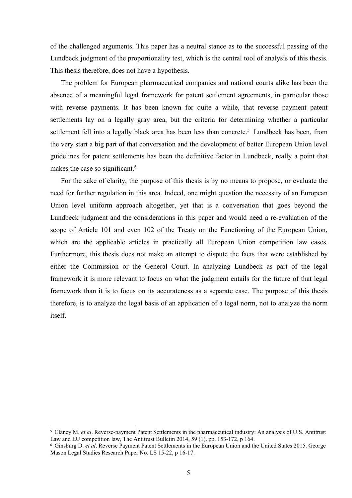of the challenged arguments. This paper has a neutral stance as to the successful passing of the<br>Lundbeck judgment of the proportionality test, which is the central tool of analysis of this thesis.<br>This thesis therefore, d of the challenged arguments. This paper has a neutral stance as to the successful passing of the<br>Lundbeck judgment of the proportionality test, which is the central tool of analysis of this thesis.<br>This thesis therefore, d of the challenged arguments. This paper has a neutral stance as to the successful passing of the Lundbeck judgment of the proportionality test, which is the central tool of analysis of this thesis.<br>This thesis therefore, d

the challenged arguments. This paper has a neutral stance as to the successful passing of the<br>dbeck judgment of the proportionality test, which is the central tool of analysis of this thesis.<br>s thesis therefore, does not h of the challenged arguments. This paper has a neutral stance as to the successful passing of the<br>Lundbeck judgment of the proportionality test, which is the central tool of analysis of this thesis.<br>This thesis therefore, d of the challenged arguments. This paper has a neutral stance as to the successful passing of the Lundbeck judgment of the proportionality test, which is the central tool of analysis of this thesis.<br>This thesis therefore, d of the challenged arguments. This paper has a neutral stance as to the successful passing of the Lundbeck judgment of the proportionality test, which is the central tool of analysis of this thesis. This thesis therefore, d of the challenged arguments. This paper has a neutral stance as to the successful passing of the Lundbeck judgment of the proportionality test, which is the central tool of analysis of this thesis. This thesis therefore, d of the challenged arguments. This paper has a neutral stance as to the successful passing of the Lundbcck judgment of the proportionality test, which is the central tool of analysis of this thesis.<br>This thesis therefore, d for the challenged arguments. This paper has a neutral stance as to the successful passing of the Lundbeck judgment of the proportionality test, which is the central tool of analysis of this thesis.<br>This thesis therefore, of the challenged arguments. This paper has a neutral stance as to the successful pas<br>Lundbeck judgment of the proportionality test, which is the central tool of analysis of<br>This thesis therefore, does not have a hypothesi the challenged arguments. This paper has a neutral stance as to the successful passing of the dood dock judgment of the proportionality test, which is the central tool of analysis of this thesis. The problem for European p of the challenged arguments. This paper has a neutral stance as to the successful passing of the Lundbeck judgment of the proportionality test, which is the central tool of analysis of this thesis.<br>This thesis therefore, d Lundbeck judgment of the proportionality test, which is the central tool of analysis of this thesis.<br>This thesis therefore, does not have a hypothesis.<br>The problem for European pharmaceutical companies and national courts This thesis therefore, does not have a hypothesis.<br>
The problem for European pharmaceutical companies and national courts alike has been the<br>
absence of a meaningful legal framework for patent settlement agreements, in pa The problem for European pharmaceutical companies and national courts alike has been the<br>absence of a meaningful legal framework for patent settlement agreements, in particular those<br>with reverse payments. It has been kno

absence of a meaningful legal framework for patent settlement agreements, in particular those<br>with reverse payments. It has been known for quite a while, that reverse payment patent<br>settlements lay on a legally gray area, with reverse payments. It has been known for quite a while, that reverse payment patent<br>settlements lay on a legally gray area, but the criteria for determining whether a particular<br>settlement fiell into a legally black ar settlements lay on a legally gray area, but the criteria for determining whether a particular settlement fell into a legally black area has been less than concrete.<sup>5</sup> Lundbeck has been, from the very start a big part of t settlement fell into a legally black area has been less than concrete.<sup>5</sup> Lundbeck has been, from<br>the very start a big part of that conversation and the development of better European Union level<br>guidelines for patent sett the very start a big part of that conversation and the development of better European Union level<br>guidelines for patent settlements has been the definitive factor in Lundbeck, really a point that<br>makes the case so signific guidelines for patent settlements has been the definitive factor in Lundbeck, really a point that makes the case so significant.<sup>6</sup> For the sake of clarity, the purpose of this thesis is by no means to propose, or evaluate itself. Framework it is more relevant to locus on what the juagment emails for the trutte of that legal<br>framework than it is to focus on its accurateness as a separate case. The purpose of this thesis<br>therefore, is to analyze the framework than it is to focus on its accurateness as a separate case. The purpose of this theis<br>therefore, is to analyze the legal basis of an application of a legal norm, not to analyze the norm<br>itself.<br><br> $\pm$  Clancy M. e Framework than it is to focals on its attenuateless as a separate case. The plapose of this ulcantil therefore, is to analyze the legal basis of an application of a legal norm, not to analyze the norm itself.<br>
Law and EU Mason Legal Studies Research Paper No. LS 15-22, p 16-17.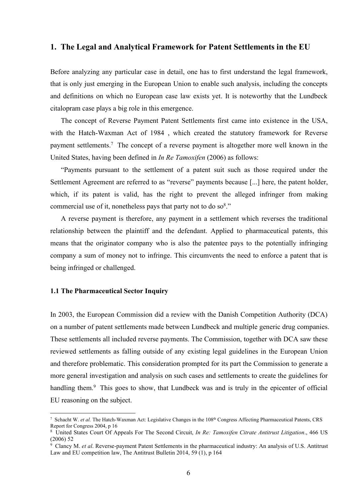1. The Legal and Analytical Framework for Patent Settlements in the EU<br>Before analyzing any particular case in detail, one has to first understand the legal framework,<br>that is only just emerging in the European Union to en 1. The Legal and Analytical Framework for Patent Settlements in the EU<br>Before analyzing any particular case in detail, one has to first understand the legal framework,<br>that is only just emerging in the European Union to en 1. The Legal and Analytical Framework for Patent Settlements in the EU<br>Before analyzing any particular case in detail, one has to first understand the legal framework,<br>that is only just emerging in the European Union to en 1. The Legal and Analytical Framework for Patent Settlements in the EU<br>Before analyzing any particular case in detail, one has to first understand the legal framework,<br>that is only just emerging in the European Union to en 1. The Legal and Analytical Framework for Patent Settlements in the EU<br>Before analyzing any particular case in detail, one has to first understand the legal framework,<br>that is only just emerging in the European Union to en The Legal and Analytical Framework for Patent Settlements in the EU<br>ore analyzing any particular case in detail, one has to first understand the legal framework,<br>is only just emerging in the European Union to enable such **1. The Legal and Analytical Framework for Patent Settlements in the EU**<br>Before analyzing any particular case in detail, one has to first understand the legal framework,<br>that is only just emerging in the European Union to **1. The Legal and Analytical Framework for Patent Settlements in the EU**<br>Before analyzing any particular case in detail, one has to first understand the legal framework,<br>that is only just emerging in the European Union to **1. The Legal and Analytical Framework for Patent Settlements in the EU**<br>Before analyzing any particular case in detail, one has to first understand the legal framework,<br>that is only just emerging in the European Union to The Legal and Analytical Framework for Patent Settlements in the EU<br>ore analyzing any particular case in detail, one has to first understand the legal framework,<br>is only just emerging in the European Union to enable such **1. The Legal and Analytical Framework for Patent Settlements in the EU**<br>Before analyzing any particular case in detail, one has to first understand the legal framework,<br>that is only just emerging in the European Union to **1. The Legal and Analytical Framework for Patent Settlements in the EU**<br>Before analyzing any particular case in detail, one has to first understand the legal framework,<br>that is only just emerging in the European Union to Before analyzing any particular case in detail, one has to first understand the legal framework,<br>that is only just emerging in the European Union to enable such analysis, including the concepts<br>and definitions on which no for eanalyzing any particular case in detail, one has to first understand the legal framework,<br>is only just emerging in the European Union to enable such analysis, including the concepts<br>definitions on which no European c

 $\ddot{\hspace{1.5cm}}$ 

that is only just emerging in the European Union to enable such analysis, including the concepts<br>and definitions on which no European case law exists yet. It is noteworthy that the Lundbeck<br>citalopram case plays a big rol and definitions on which no European case law exists yet. It is noteworthy that the Lundbeck<br>citalopram case plays a big role in this emergence.<br>The concept of Reverse Payment Patent Settlements first came into existence citalopram case plays a big role in this emergence.<br>
The concept of Reverse Payment Patent Settlements first came into existence in the USA,<br>
with the Hatch-Waxman Act of 1984, which created the statutory framework for Re The concept of Reverse Payment Patent Settlements first came into existence in with the Hatch-Waxman Act of 1984, which created the statutory framework from payment settlements.<sup>7</sup> The concept of a reverse payment is alto payment settlements.<sup>7</sup> The concept of a reverse payment is altogether more well known in the United States, having been defined in *In Re Tamoxifen* (2006) as follows:<br>
"Payments pursuant to the settlement of a patent sui "Payments pursuant to the settlement of a patent suit such as those required under the Settlement Agreement are referred to as "reverse" payments because [...] here, the patent holder, which, if its patent is valid, has t Settlement Agreement are referred to as "reverse" payments because [...] here, the patent holder, which, if its patent is valid, has the right to prevent the alleged infringer from making commercial use of it, nonctheless

which, if its patent is valid, has the right to prevent the alleged infringer from making<br>commercial use of it, nonetheless pays that party not to do so<sup>8</sup>."<br>A reverse payment is therefore, any payment in a settlement whic commercial use of it, nonetheless pays that party not to do so<sup>g</sup>."<br>
A reverse payment is therefore, any payment in a settlement which reverses the traditional<br>
relationship between the plaintiff and the defendant. Applied A reverse payment is therefore, any payment in a settlement which reverses the traditional<br>relationship between the plaintiff and the defendant. Applied to pharmaceutical patents, this<br>means that the originator company who relationship between the plaintiff and the defendant. Applied to pharmaceutical patents, this means that the originator company who is also the patentee pays to the potentially infringing company a sum of moncy not to infr means that the originator company who is also the patentec pays to the potentially infringing<br>company a sum of money not to infringe. This circumvents the need to enforce a patent that is<br>being infringed or challenged.<br>
1. company a sum of money not to infringe. This circumvents the need to enforce a pater<br>being infringed or challenged.<br>
1.1 The Pharmaceutical Sector Inquiry<br>
In 2003, the European Commission did a review with the Danish Comp **1.1 The Pharmaceutical Sector Inquiry**<br> **1.1 The Pharmaceutical Sector Inquiry**<br> **In 2003, the European Commission did a review with the Danish Competition Authority (DCA)**<br>
on a number of patent settlements made between **1.1 The Pharmaceutical Sector Inquiry**<br>
In 2003, the European Commission did a review with the Danish Competition Authority<br>
on a number of patent settlements made between Lundbeck and multiple generic drug con<br>
These se **1.1 The Pharmaceutical Sector Inquiry**<br>In 2003, the European Commission did a review with the Danish Competition Authority (DCA)<br>on a number of patent settlements made between Lundbeck and multiple generic drug companies **1.1 The Pharmaceutical Sector Inquiry**<br>
In 2003, the European Commission did a review with the Danish Compeon<br>
a number of patent settlements made between Lundbeck and multiple g<br>
These settlements all included reverse p 1.1 The Chance Mechanism of Highlary<br>
1.2003, the European Commission did a review with the Danish Competition Authority (DCA)<br>
on a number of patent settlements made between Lundbeck and multiple generic drug companies.<br> In 2003, the European Commission did a review with the Danish Competition Authority (DCA)<br>on a number of patent settlements made between Lundbeck and multiple generic drug companies.<br>These settlements all included reverse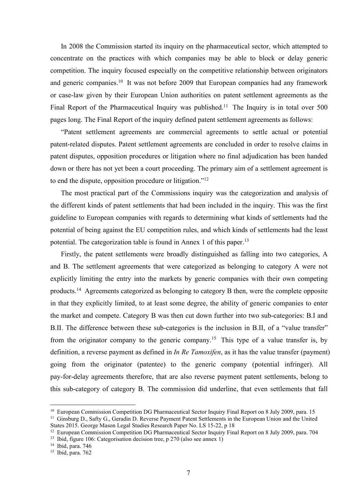In 2008 the Commission started its inquiry on the pharmaceutical sector, which attempted to<br>centrate on the practices with which companies may be able to block or delay generic<br>petition. The inquiry focused especially on t In 2008 the Commission started its inquiry on the pharmaceutical sector, which attempted to<br>concentrate on the practices with which companies may be able to block or delay generic<br>competition. The inquiry focused especiall In 2008 the Commission started its inquiry on the pharmaceutical sector, which attempted to<br>concentrate on the practices with which companies may be able to block or delay generic<br>competition. The inquiry focused especiall In 2008 the Commission started its inquiry on the pharmaceutical sector, which attempted to concentrate on the practices with which companies may be able to block or delay generic competition. The inquiry focused especiall In 2008 the Commission started its inquiry on the pharmaceutical sector, which attempted to concentrate on the practices with which companies may be able to block or delay generic competition. The inquiry focused especiall In 2008 the Commission started its inquiry on the pharmaceutical sector, which attempted to concentrate on the practices with which companies may be able to block or delay generic competition. The inquiry focused especiall In 2008 the Commission started its inquiry on the pharmaceutical sector, which attempted to concentrate on the practices with which companies may be able to block or delay generic competition. The inquiry focused especiall In 2008 the Commission started its inquiry on the pharmaceutical sector, which attempted to centrate on the practices with which companies may be able to block or delay generic poetition. The inquiry focused especially on In 2008 the Commission started its inquiry on the pharmaceutical sector, which attempted to<br>concentrate on the practices with which companies may be able to block or delay generic<br>competition. The inquiry focused especial In 2008 the Commission started its inquiry on the pharmaceutical sector, which attempted to concentrate on the practices with which companies may be able to block or delay generic competition. The inquiry focused especial In 2008 the Commission started its inquiry on the pharmaceutical sector, which attempted to<br>concentrate on the practices with which companies may be able to block or delay generic<br>competition. The inquiry focused especial In 2008 the Commission started its inquiry on the pharmaecutical sector, which attempted to<br>concentrate on the practices with which companies may be able to block or delay generic<br>competition. The inquiry focused especial In 2008 the Commission started its inquiry on the pharmaceutical sector, which attempted to centrate on the practices with which companies may be able to block or delay generic opertition. The inquiry focused especially o concentrate on the practices with which companies may be able to block or delay generic<br>competition. The inquiry focused especially on the competitive relationship between originators<br>and generic companies.<sup>10</sup> It was not competition. The inquiry focused especially on the competitive relationship between originators<br>and generic companies.<sup>10</sup> It was not before 2009 that European companies had any framework<br>or case-law given by their Europea

and generic companies.<sup>10</sup> It was not before 2009 that European companies had any framework<br>or case-law given by their European Union authorities on patent settlement agreements as the<br>Final Report of the Pharmaceutical In or case-law given by their European Union authorities on patent settlement agreements as the<br>Final Report of the Pharmaceutical Inquiry was published.<sup>11</sup> The Inquiry is in total over 500<br>pages long. The Final Report of th al Report of the Pharmaceutical Inquiry was published.<sup>11</sup> The Inquiry is in total over 500 es long. The Final Report of the inquiry defined patent settlement agreements as follows:<br>
"Patent settlement agreements are comme pages long. The Final Report of the inquiry defined patent settlement agreements as follows:<br>
"Patent settlement agreements are commercial agreements to settle actual or potential<br>
patent-related disputes. Patent settlemen

"Patent settlement agreements are commercial agreements to settle actual or potential<br>patent-related disputes. Patent settlement agreements are concluded in order to resolve claims in<br>patent disputes, opposition procedure patent-related disputes. Patent settlement agreements are concluded in order to resolve claims in<br>patent disputes, opposition procedures or litigation where no final adjudication has been handed<br>down or there has not yet b patent disputes, opposition procedures or litigation where no final adjudication has been handed<br>down or there has not yet been a court proceeding. The primary aim of a settlement agreement is<br>to end the dispute, oppositio down or there has not yet been a court proceeding. The primary aim of a settlement agreement is<br>to end the dispute, opposition procedure or litigation."<sup>12</sup><br>The most practical part of the Commissions inquiry was the catego to end the dispute, opposition procedure or litigation."<sup>12</sup><br>The most practical part of the Commissions inquiry was the categorization and analysis of<br>the different kinds of patent settlements that had been included in th The most practical part of the Commissions inquiry was the categorization and analysis of<br>the different kinds of patent settlements that had been included in the inquiry. This was the first<br>guideline to European companies the different kinds of patent settlements that had been included in the inquiry. This was the first<br>guideline to European companies with regards to determining what kinds of settlements had the<br>potential of being against t goideline to European companies with regards to determining what kinds of settlements had the potential of being against the EU competition rules, and which kinds of settlements had the least potential. The categorization potential of being against the EU competition rules, and which kinds of settlements had the least<br>potential. The categorization table is found in Annex 1 of this paper.<sup>13</sup><br>Firstly, the patent settlements were broadly dist potential. The categorization table is found in Annex 1 of this paper.<sup>13</sup><br>Firstly, the patent settlements were broadly distinguished as falling into two categories, A<br>and B. The settlement agreements that were categorized and B. The settlement agreements that were categorized as belonging to category A were not explicitly limiting the entry into the markets by generic companies with their own competing products.<sup>14</sup> Agreements categorized and B. The settlement agreements that were categorized as belonging to category A were not<br>explicitly limiting the entry into the markets by generic companies with their own competing<br>products.<sup>14</sup> Agreements categorized a explicitly limiting the entry into the markets by generic companies with their own competing<br>products.<sup>14</sup> Agreements categorized as belonging to category B then, were the complete opposite<br>in that they explicitly limited Explicitly immig the entry mito the markets by generic companies with their own competing<br>
in that they explicitly limided, to at least some degree, the ability of generic companies to enter<br>
in that they explicitly limide products.<sup>14</sup> Agreements categorized as belonging to category B then, were the complete opposite<br>in that they explicitly limited, to at least some degree, the ability of generic companies to enter<br>the market and compete. in that they explicitly limited, to at least some degree, the ability of generic c<br>the market and comptete. Category B was then cut down further into two sub-<br>B.II. The difference between these sub-categories is the inclu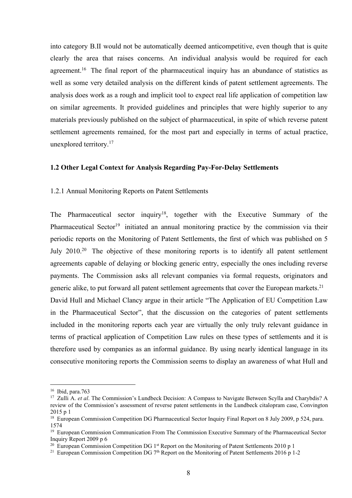into category B.II would not be automatically deemed anticompetitive, even though that is quite<br>clearly the area that raises concerns. An individual analysis would be required for each<br>agreement.<sup>16</sup> The final report of th into category B.II would not be automatically deemed anticompetitive, even though that is quite<br>clearly the area that raises concerns. An individual analysis would be required for each<br>agreement.<sup>16</sup> The final report of th into category B.II would not be automatically deemed anticompetitive, even though that is quite<br>clearly the area that raises concerns. An individual analysis would be required for each<br>agreement.<sup>16</sup> The final report of th into category B.II would not be automatically deemed anticompetitive, even though that is quite<br>clearly the area that raises concerns. An individual analysis would be required for each<br>agreement.<sup>16</sup> The final report of th into category B.II would not be automatically deemed anticompetitive, even though that is quite<br>clearly the area that raises concerns. An individual analysis would be required for each<br>agreement.<sup>16</sup> The final report of th into category B.II would not be automatically deemed anticompetitive, even though that is quite clearly the area that raises concerns. An individual analysis would be required for each agreement.<sup>16</sup> The final report of th into category B.II would not be automatically deemed anticompetitive, even though that is quite<br>clearly the area that raises concerns. An individual analysis would be required for each<br>agreement.<sup>16</sup> The final report of th into category B.II would not be automatically deemed anticompetitive, even though that is quite<br>clearly the area that raises concerns. An individual analysis would be required for each<br>agreement.<sup>16</sup> The final report of th into category B.II would not be automatically deemed anticompetitive, even the<br>clearly the area that raises concerns. An individual analysis would be r<br>agreement.<sup>16</sup> The final report of the pharmaceutical inquiry has an into category B.II would not be automatically deemed anticompetitive, even though that is quite<br>clearly the area that raises concerns. An individual analysis would be required for each<br>agreement.<sup>16</sup> The final report of th into category B.II would not be automatically deemed anticompetitive, even though that is quite<br>clearly the area that raises concerns. An individual analysis would be required for each<br>agreement.<sup>16</sup> The final report of th agreement.<sup>36</sup> The final report of the pharmaceutical inquiry has an abundance of statistics as<br>well as some very detailed analysis on the different kinds of patent settlement agreements. The<br>analysis does work as a rough brandly as some very detailed analysis on the different kinds of patent settlement agreements. The<br>analysis does work as a rough and implicit tool to expect real life application of competition law<br>on similar agreements. I

analysis does work as a rough and implicit tool to expect real life application of competition law<br>on similar agreements. It provided guidelines and principles that were highly superior to any<br>materials previously publishe on similar agreements. It provided guidelines and principles that were highly superior to any<br>materials previously published on the subject of pharmaceutical, in spite of which reverse patent<br>settlement agreements remained materials previously published on the subject of pharmaceutical, in spite of which reverse patent<br>settlement agreements remained, for the most part and especially in terms of actual practice,<br>unexplored territory.<sup>17</sup><br>1.2 settlement agreements remained, for the most part and especially in terms of actual practice,<br>unexplored territory.<sup>17</sup><br>1.2 Other Legal Context for Analysis Regarding Pay-For-Delay Settlements<br>1.2.1 Annual Monitoring Repor unexplored territory.<sup>17</sup><br>1.2 Other Legal Context for Analysis Regarding Pay-For-Delay Settlements<br>1.2.1 Annual Monitoring Reports on Patent Settlements<br>The Pharmaceutical sector inquiry<sup>18</sup>, together with the Executive Su 1.2 Other Legal Context for Analysis Regarding Pay-For-Delay Settlements<br>
1.2.1 Annual Monitoring Reports on Patent Settlements<br>
The Pharmaceutical sector inquiry<sup>18</sup>, together with the Executive Summary of the<br>
Pharmaceut 1.2 Other Legal Context for Analysis Regarding Pay-For-Delay Settlements<br>
1.2.1 Annual Monitoring Reports on Patent Settlements<br>
The Pharmaceutical sector inquiry<sup>18</sup>, together with the Executive Summary of the<br>
Pharmaceut 1.2.1 Annual Monitoring Reports on Patent Settlements<br>The Pharmaceutical sector inquiry<sup>18</sup>, together with the Executive Summary of the<br>Pharmaceutical Sector<sup>19</sup> initiated an annual monitoring practice by the commission vi 1.2.1 Annual Monitoring Reports on Patent Settlements<br>The Pharmaceutical sector inquiry<sup>18</sup>, together with the Executive Summary of the<br>Pharmaceutical Sector<sup>19</sup> initiated an annual monitoring practice by the commission vi The Pharmaceutical sector inquiry<sup>18</sup>, together with the Executive Summary of the Pharmaceutical Sector<sup>19</sup> initiated an annual monitoring practice by the commission via their periodic reports on the Monitoring of Patent S The Pharmaceutical sector inquiry<sup>18</sup>, together with the Executive Summary of the Pharmaceutical Sector<sup>19</sup> initiated an annual monitoring practice by the commission via their periodic reports on the Monitoring of Patent periodic reports on the Monitoring of Patent Settlements, the first of which<br>July 2010.<sup>20</sup> The objective of these monitoring reports is to identify<br>agreements capable of delaying or blocking generic entry, especially the<br> July 2010.<sup>20</sup> The objective of these monitoring reports is to identify all patent settlement<br>agreements capable of delaying or blocking generic entry, especially the ones including reverse<br>payments. The Commission asks al For the Commission's Handbeck Decision: A Compass to Nevigate Between Excellibution (Section: A Commission and patent settlement of the Commission's and patent in Commission and patent companies via formula requests, orig agreements capable of delaying or blocking generic entry, especially the<br>payments. The Commission asks all relevant companies via formal re-<br>generic alike, to put forward all patent settlement agreements that cover th<br>Davi 18 European Commission Competition DG Pharmaceutical Sector Inquiry European Commission Competition DG Pharmaceutical Sector 1941 and Michael Clancy argue in their article "The Application of EU Competition Law<br>
in the Pha 19 European Communication From The Commission Froeneric Sulternents of the Pharmaceutical Sector<br>
19 European Competition January argue in their article "The Application of EU Competition Law<br>
19 In the Pharmaceutical Sec generic alike, to put forward all patent settlement agreements that cover the European n<br>David Hull and Michael Clancy argue in their article "The Application of EU Compe<br>in the Pharmaceutical Sector", that the discussion David Hull and Michael Clancy argue in their article "The Application of EU Competition Law<br>in the Pharmaceutical Sector", that the discussion on the categories of patent settlements<br>included in the monitoring reports eac David Hull and Michael Claney argue in their article "The Application of EU Competition Law<br>in the Pharmaceutical Sector", that the discussion on the eategories of patent settlements<br>included in the monitoring reports eac

<sup>1574</sup>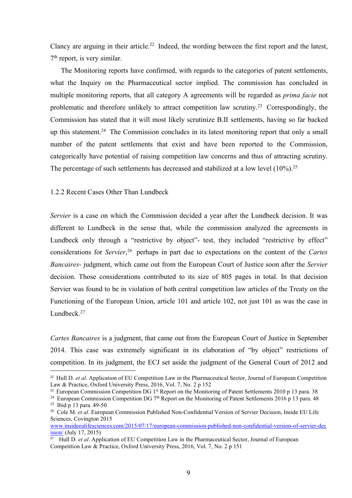Clancy are arguing in their article.<sup>22</sup> Indeed, the wording between the first report and the latest,  $7<sup>th</sup>$  report, is very similar.<br>The Monitoring reports have confirmed, with regards to the categories of patent set  $7<sup>th</sup>$  report, is very similar.

Chancy are arguing in their article.<sup>22</sup> Indeed, the wording between the first report an  $\mathbf{r}^{\text{th}}$  report, is very similar.<br>The Monitoring reports have confirmed, with regards to the categories of patent what the Inq The Monitoring reports have confirmed, with regards to the categories of patent settlements,<br>The Monitoring reports have confirmed, with regards to the categories of patent settlements,<br>to the Inquiry on the Pharmaceutical Clancy are arguing in their article.<sup>22</sup> Indeed, the wording between the first report and the latest,  $7^{\text{th}}$  report, is very similar.<br>The Monitoring reports have confirmed, with regards to the categories of patent sett Clancy are arguing in their article.<sup>22</sup> Indeed, the wording between the first report and the latest,  $7^{\text{th}}$  report, is very similar.<br>The Monitoring reports have confirmed, with regards to the categories of patent sett Clancy are arguing in their article.<sup>22</sup> Indeed, the wording between the first report and the latest,  $7^{\text{th}}$  report, is very similar.<br>The Monitoring reports have confirmed, with regards to the categories of patent sett Clancy are arguing in their article.<sup>22</sup> Indeed, the wording between the first report and the latest,  $7^{\text{th}}$  report, is very similar.<br>The Monitoring reports have confirmed, with regards to the categories of patent sett Clancy are arguing in their article.<sup>22</sup> Indeed, the wording between the first report and the latest,  $7^n$  report, is very similar.<br>The Monitoring reports have confirmed, with regards to the categories of patent settlemen Clancy are arguing in their article.<sup>22</sup> Indeed, the wording between the first report and the latest,  $7^{th}$  rcport, is very similar.<br>The Monitoring reports have confirmed, with regards to the categories of patent settlem Clancy are arguing in their article.<sup>22</sup> Indeed, the wording between the first report and the latest,  $7^{th}$  report, is very similar.<br>The Monitoring reports have confirmed, with regards to the categories of patent settlem Clancy are arguing in their article.<sup>22</sup> Indeed, the wording between the first report and the latest,  $7^{40}$  report, is very similar.<br>The Monitoring reports have confirmed, with regards to the categories of patent settle Clancy are arguing in their article.<sup>22</sup> Indeed, the wording between the first report and the latest,  $7^{\text{th}}$  report, is very similar.<br>The Monitoring reports have confirmed, with regards to the categories of patent sett The Monitoring reports have confirmed, with regards to the categories of patent settlements,<br>what the Inquiry on the Pharmaceutical sector implied. The commission has concluded in<br>multiple monitoring reports, that all cat what the Inquiry on the Pharmaccutical sector implied. The commission has concluded in<br>multiple monitoring reports, that all category A agreements will be regarded as *prima facie* not<br>problematic and therefore unlikely t multiple monitoring reports, that all category A agreements will be regarded as *prima facie* not<br>problematic and therefore unlikely to attract competition law scrutiny.<sup>23</sup> Correspondingly, the<br>Commission has stated that

problematic and therefore unlikely to attract competition law scrutiny.<sup>23</sup> Correspondingly, the Commission has stated that it will most likely scrutinize B.II settlements, having so far backed up this statement.<sup>24</sup> The C Commission has stated that it will most likely serutinize B.II settlements, having so far backed<br>up this statement.<sup>24</sup> The Commission concludes in its latest monitoring report that only a small<br>number of the patent settl up this statement.<sup>24</sup> The Commission concludes in its latest monitoring report that only a small<br>number of the patent settlements that exist and have been reported to the Commission,<br>categorically have potential of raisi number of the patent settlements that exist and have been reported to the Commission,<br>eategorieally have potential of raising competition law concerns and thus of attracting serutiny.<br>The percentage of such settlements has categorieally have potential of raising competition law concerns and thus of attracting serutiny.<br>The percentage of such settlements has decreased and stabilized at a low level (10%).<sup>25</sup><br>1.2.2 Recent Cases Other Than Lund Lundbeck.<sup>27</sup> 1.2.2 Recent Cases Other Than Lundbeck<br>Servier is a case on which the Commission decided a year after the Lundbeck decision. It was<br>different to Lundbeck in the sense that, while the commission analyzed the agreements in<br> Servier is a case on which the Commission decided a year after the Lundbeck decision. It was<br>different to Lundbeck in the sense that, while the commission analyzed the agreements in<br>Lundbeck only through a "restrictive by Servier is a case on which the Commission decided a year after the Lundbeck decision. It was<br>different to Lundbeck in the sense that, while the commission analyzed the agreements in<br>Lundbeck only through a "restrictive by different to Lundbeck in the sense that, while the commission analyzed the agreements in<br>Lundbeck only through a "restrictive by object"- test, they included "restrictive by effect"<br>considerations for *Servier*,<sup>26</sup> perha Lundbeck only through a "restrictive by object"- test, they included "restrictive by effect"<br>considerations for *Servier*,<sup>26</sup> perhaps in part due to expectations on the content of the *Cartes*<br>*Bancatres*- judgment, whic Lundbeck only through a "restrictive by object"- test, they included "restrictive by effect"<br>considerations for *Servier*,<sup>26</sup> perhaps in part due to expectations on the content of the *Cartes*<br>*Bancaires*- judgment, whic considerations for *Servier*,<sup>76</sup> perhaps in part due to expectations on the content of the *Cartes*<br> *Bancaires*- judgment, which came out from the European Court of Justice soon after the *Servier*<br>
decision. Those cons considerations for *servier*,<sup>23</sup> perhaps in part due to expectations on the content<br> *Bancaires*- judgment, which came out from the European Court of Justice soon af<br>
decision. Those considerations contributed to its siz *Bancaires*- judgment, which came out from the European Court of Justice soon after the *Servier*<br>decision. Those considerations contributed to its size of 805 pages in total. In that decision<br>Servier was found to be in v *Bancaires*. Jacquinent, which calle out form the European Court of Justice soon arter<br>decision. Those considerations contributed to its size of 805 pages in total. In the<br>Servier was found to be in violation of both cent Service was found to be in violation of both central competition law articles of Functioning of the European Union, article 101 and article 102, not just 101 as<br>Lundbeck.<sup>27</sup><br>Cartes Bancaires is a judgment, that came out Servier was found to be in violation of both central competition law articles of the Treaty on the Functioning of the European Union, article 101 and article 102, not just 101 as was the case in Lundbeck<sup>27</sup><br> *Cartes Banc* 

Functioning of the European Union, article 101 and article 102, not just 101 as was the case in Lundbeck.<sup>27</sup><br>
Cartes Bancaires is a judgment, that came out from the European Court of Justice in September<br>
2014. This case

www.insideeulifesciences.com/2015/07/17/european-commission-published-non-confidential-version-of-servier-dec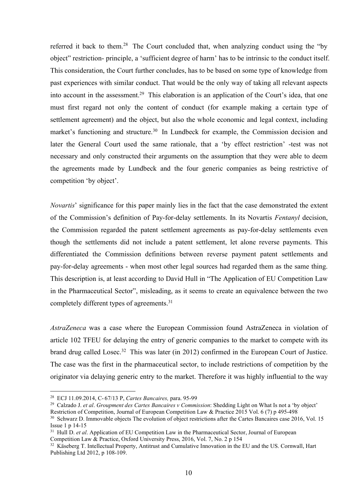referred it back to them.<sup>28</sup> The Court concluded that, when analyzing conduct using the "by<br>object" restriction- principle, a 'sufficient degree of harm' has to be intrinsic to the conduct itself.<br>This consideration, the referred it back to them.<sup>28</sup> The Court concluded that, when analyzing conduct using the "by<br>object" restriction- principle, a 'sufficient degree of harm' has to be intrinsic to the conduct itself.<br>This consideration, the referred it back to them.<sup>28</sup> The Court concluded that, when analyzing conduct using the "by<br>object" restriction- principle, a 'sufficient degree of harm' has to be intrinsic to the conduct itself.<br>This consideration, the referred it back to them.<sup>28</sup> The Court concluded that, when analyzing conduct using the "by<br>object" restriction- principle, a 'sufficient degree of harm' has to be intrinsic to the conduct itself.<br>This consideration, the referred it back to them.<sup>28</sup> The Court concluded that, when analyzing conduct using the "by<br>object" restriction- principle, a 'sufficient degree of harm' has to be intrinsic to the conduct itself.<br>This consideration, the referred it back to them.<sup>28</sup> The Court concluded that, when analyzing conduct using the "by<br>object" restriction- principle, a 'sufficient degree of harm' has to be intrinsic to the conduct itself.<br>This consideration, the referred it back to them.<sup>28</sup> The Court concluded that, when analyzing conduct using the "by<br>object" restriction- principle, a 'sufficient degree of harm' has to be intrinsic to the conduct itself.<br>This consideration, the referred it back to them.<sup>28</sup> The Court concluded that, when analyzing conduct using the "by object" restriction- principle, a 'sufficient degree of harm' has to be intrinsic to the conduct itself. This consideration, the referred it back to them.<sup>28</sup> The Court concluded that, when analyzing conduct using the "by object" restriction- principle, a 'sufficient degree of harm' has to be intrinsic to the conduct itself. This consideration, the referred it back to them.<sup>28</sup> The Court concluded that, when analyzing conduct using the "by object" restriction- principle, a 'sufficient degree of harm' has to be intrinsic to the conduct itself. This consideration, the referred it back to them.<sup>28</sup> The Court concluded that, when analyzing conduct using the "by object" restriction- principle, a 'sufficient degree of harm' has to be intrinsic to the conduct itself. This consideration, the referred it back to them.<sup>28</sup> The Court concluded that, when analyzing conduct u<br>object" restriction- principle, a 'sufficient degree of harm' has to be intrinsic to the (This consideration, the Court further concludes, ha object" restriction- principle, a "sufficient degree of harm" has to be intrinsic to the conduct itself.<br>This consideration, the Court further concludes, has to be based on some type of knowledge from<br>past experiences with This consideration, the Court further concludes, has to be based on some type of knowledge from<br>past experiences with similar conduct. That would be the only way of taking all relevant aspects<br>into account in the assessmen past experiences with similar conduct. That would be the only way of taking all relevant aspects<br>into account in the assessment.<sup>29</sup> This claboration is an application of the Court's idea, that one<br>must first regard not on into account in the assessment.<sup>29</sup> This elaboration is an application of the Court's idea, that one<br>must first regard not only the content of conduct (for example making a certain type of<br>settlement agreement) and the obj

must first regard not only the content of conduct (for example making a certain type of scttlement agreement) and the object, but also the whole economic and legal context, including market's functioning and structure.<sup>30</sup> settlement agreement) and the object, but also the whole economic and legal context, including market's functioning and structure.<sup>30</sup> In Lundbeck for example, the Commission decision and later the General Court used the s market's functioning and structure.<sup>30</sup> In Lundbeck for example, the Commission decision and<br>later the General Court used the same rationale, that a 'by effect restriction' -test was not<br>necessary and only constructed thei later the General Court used the same rationale, that a 'by effect restriction' -test was not necessary and only constructed their arguments on the assumption that they were able to deem the agreements made by Lundbeck and necessary and only constructed their arguments on the assumption that they were able to deem<br>the agreements made by Lundbeck and the four generic companies as being restrictive of<br>competition 'by object'.<br>Novartis' signifi competition 'by object'.<br> *Novartis*' significance for this paper mainly lies in the fact that the case demonstrated the extent<br>
of the Commission's definition of Pay-for-delay settlements. In its Novartis *Fentanyl* decis Novartis' significance for this paper mainly lies in the fact that the case demonstrated the extent<br>of the Commission's definition of Pay-for-delay settlements. In its Novartis Fentanyl decision,<br>the Commission regarded th *Novartis'* significance for this paper mainly lies in the fact that the case demonstrated the extent<br>of the Commission's definition of Pay-for-delay settlements. In its Novartis *Fentanyl* decision,<br>the Commission regarde of the Commission's definition of Pay-for-delay settlements. In its Novartis *Fentanyl* decision,<br>the Commission regarded the patent settlement agreements as pay-for-delay settlements even<br>though the settlements did not in the Commission regarded the patent settlement agreements as pay-for-delay settlements even<br>though the settlements did not include a patent settlement, let alone reverse payments. This<br>differentiated the Commission definit differentiated the Commission definitions between reverse payment patent settlements and<br>pay-for-delay agreements - when most other legal sources had regarded them as the same thing.<br>This description is, at least according

differentiated the Commission definitions between reverse payment patent settlements and<br>pay-for-delay agreements - when most other legal sources had regarded them as the same thing.<br>This description is, at least accordin pay-for-delay agreements - when most other legal sources had regarded them as the same thing.<br>This description is, at least according to David Hull in "The Application of EU Competition Law<br>in the Pharmaceutical Sector", m pay-for-delay agreements - when most other legal sources had regarded them as the same thing.<br>This description is, at least according to David Hull in "The Application of EU Competition Law<br>in the Pharmaccutical Sector", This description is, at least according to David Hull in "The Application of<br>in the Pharmaceutical Sector", misleading, as it seems to create an equival<br>completely different types of agreements.<sup>31</sup><br>AstraZeneca was a case 31 Hull D. et al. Grouppent and Sector Competition of EU Competition of EU Competition of the Pharmaceutical Sector", misleading, as it seems to create an equivalence between the two completely different types of agreemen in the Pharmaceutical Sector", misleading, as it seems to create an equivalence between the two<br>completely different types of agreements.<sup>31</sup><br>AstraZeneca was a case where the European Commission found AstraZeneca in viola 32 Calzado J. er al. Groupment des Carres Bancaires y Commission found AstraZeneca in violation of<br>
AstraZeneca was a case where the European Commission found AstraZeneca in violation of<br>
article 102 TFEU for delaying the completely different types of agreements.<sup>31</sup><br>
AstraZeneca was a case where the European Commission found AstraZeneca in vi<br>
article 102 TFEU for delaying the entry of generic companies to the market to compe<br>
brand drug c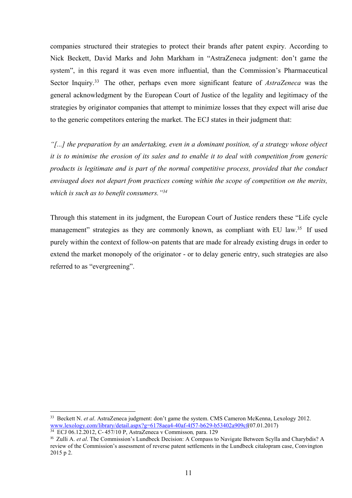companies structured their strategies to protect their brands after patent expiry. According to<br>Nick Beckett, David Marks and John Markham in "AstraZeneca judgment: don't game the<br>system", in this regard it was even more i companies structured their strategies to protect their brands after patent expiry. According to<br>Nick Beckett, David Marks and John Markham in "AstraZeneca judgment: don't game the<br>system", in this regard it was even more i companies structured their strategies to protect their brands after patent expiry. According to<br>Nick Beckett, David Marks and John Markham in "AstraZeneca judgment: don't game the<br>system", in this regard it was even more i companies structured their strategies to protect their brands after patent expiry. According to<br>Nick Beckett, David Marks and John Markham in "AstraZeneca judgment: don't game the<br>system", in this regard it was even more i companies structured their strategies to protect their brands after patent expiry. According to Nick Beckett, David Marks and John Markham in "AstraZeneca judgment: don't game the system", in this regard it was even more i companies structured their strategies to protect their brands after patent expiry. According to<br>Nick Beckett, David Marks and John Markham in "AstraZencea judgment: don't game the<br>system", in this regard it was even more companies structured their strategies to protect their brands after patent expiry. According to<br>Nick Beckett, David Marks and John Markham in "AstraZeneca judgment: don't game the<br>system", in this regard it was even more i companies structured their strategies to protect their brands after patent expiry. According to<br>Nick Beckett, David Marks and John Markham in "AstraZencea judgment: don't game the<br>system", in this regard it was even more i companies structured their strategies to protect their brands after patent expiry. According to<br>Nick Beckett, David Marks and John Markham in "AstraZeneca judgment: don't game the<br>system", in this regard it was even more i companies structured their strategies to protect their brands after patent expiry. According to<br>Nick Beckett, David Marks and John Markham in "AstraZeneca judgment: don't game the<br>system", in this regard it was even more i companies structured their strategies to protect their brands after patent expiry. According to<br>Nick Beckett, David Marks and John Markham in "AstraZencea judgment: don't game the<br>system", in this regard it was even more i companies structured their strategies to protect their brands after patent expiry. According<br>Nick Beckett, David Marks and John Markham in "AstraZeneca judgment: don't game t<br>system", in this regard it was even more influe system", in this regard it was even more influential, than the Commission's Pharmaceutical<br>Sector Inquiry.<sup>33</sup> The other, perhaps even more significant feature of *AstraZeneca* was the<br>general acknowledgment by the Europea

Sector Inquiry.<sup>33</sup> The other, perhaps even more significant feature of *AstraZeneca* was the general acknowledgment by the European Court of Justice of the legality and legitimacy of the strategies by originator companie general acknowledgment by the European Court of Justice of the legality and legitimacy of the strategies by originator companies that attempt to minimize losses that they expect will arise due to the generic competitors en strategies by originator companies that attempt to minimize losses that they expect will arise due<br>to the generic competitors entering the market. The ECJ states in their judgment that:<br>"[...] *the preparation by an undert* to the generic competitors entering the market. The ECJ states in their judgment the "[...] the preparation by an undertaking, even in a dominant position, of a strate it is to minimise the erosion of its sales and to enab

www.lexology.com/library/detail.aspx?g=6178aea4-40af-4f57-b629-b53402a909cf(07.01.2017)<br><sup>34</sup> ECJ 06.12.2012, C-457/10 P, AstraZeneca v Commisson, para. 129

<sup>&</sup>lt;sup>33</sup> Beckett N. et al. AstraZeneca judgment: don't game the system. CMS Cameron McKenna, Lexology 2012.<br>www.lexology.com/library/detail.aspx?g=6178ueed-40tal-4157-b629-b53402a909ef(07.01.2017)<br><sup>33</sup> EGJ 06.12.2012, C-43710 <sup>33</sup> Beckett N. *et al.* AstraZeneca judgment: don't game the system. CMS Cameron McKenna, Lexology 2012.<br>  $\frac{\text{www.lcsologov.com/lotr/actual,asgr/2g=0/28aq-4d0g-4f/2+2c/2b+2s/2aqO2a9O9cf(07.01.2017)}{34 \text{ E}-10.16 \text{ E}-2.457/10 \text{ P}}$ , AstraZ 33 Beckett N. *et al.* AstraZeneca judgment: don't game the system, CMS Cameron McKenna, Lexology 2012.<br>
<u>www.lexology.com/library/detail.aspx?g=6178aea4-40af-457-b629-b53402a909cf(07.01.2017)</u><br><sup>34</sup> ECJ 06.122012. C-457/1 <sup>33</sup> Beckett N. et al. AstraZeneca judgment: don't game the system. CMS Cameron McKenna, Lexology 2012.<br>
<u>www.kesology.com/ibitav/detail.aspx?g=G/78aca4-40a(-4157-b629-b53402a009-f(07.01.2017)</u><br>
<sup>34</sup> ECl 106.12.2012, C-45 <sup>33</sup> Beckett N. *et al.* AstraZeneca judgment: don't game the system. CMS Cameron McK<br>www.lexology.com/library/detail.aspx?g=6178aea4-40af-4f57-b629-b53402a909ef(07.0<br><sup>34</sup> ECJ 06.12.2012, C-457/10 P, AstraZeneca v Commiss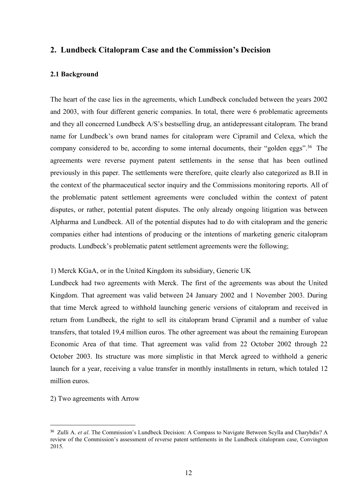# 2. Lundbeck Citalopram Case and the Commission's Decision

2. Lundbeck Citalopram Case and the Commission's Dec<br>2.1 Background<br>The heart of the case lies in the agreements, which Lundbeck conclude<br>and 2003, with four different generic companies. In total, there were ( 2. Lundbeck Citalopram Case and the Commission's Decision<br>2.1 Background<br>The heart of the case lies in the agreements, which Lundbeck concluded between the years 2002<br>and 2003, with four different generic companies. In tot 2. Lundbeck Citalopram Case and the Commission's Decision<br>2.1 Background<br>The heart of the ease lies in the agreements, which Lundbeck concluded between the years 2002<br>and 2003, with four different generic companies. In tot **2. Lundbeck Citalopram Case and the Commission's Decision<br>2.1 Background<br>The heart of the case lies in the agreements, which Lundbeck concluded between the years 2002<br>and 2003, with four different generic companies. In t 2. Lundbeck Citalopram Case and the Commission's Decision**<br> **2.1 Background**<br> **2.1 Background**<br> **2.01** Because For Case is in the agreements, which Lundbeck concluded between the years 2002<br> **2.021** and 2003, with four d **2. Lundbeck Citalopram Case and the Commission's Decision**<br> **2.1 Background**<br> **2.1 Background**<br> **2.1 Background**<br> **2.1 Background**<br> **2.1 Background**<br> **2.1 Background**<br> **2.1 Background**<br> **2.1 Background**<br> **2.1 Background 2. Lundbeck Citalopram Case and the Commission's Decision**<br> **2.1 Background**<br> **2.1 Background**<br> **2.1 Background**<br> **2.01 Background**<br> **2.01 Background**<br> **2.01 Background**<br> **2.01 Background**<br> **2.01 Background**<br> **2.01 Backg 2. Lundbeck Citalopram Case and the Commission's Decision**<br> **2.1 Background**<br> **2.1 Background**<br> **2.1 Background**<br> **2.01** The heart of the case lies in the agreements, which Lundbeck concluded between the years 2002<br>
and **2. Lundbeck Citalopram Case and the Commission's Decision**<br> **2.1 Background**<br> **2.1 Background**<br> **2.1 Background**<br> **2.01** Background<br> **2.01** and 2003, with four different generic companies. In total, there were 6 problema **2. Lundbeck Citalopram Case and the Commission's Decision**<br> **2.1 Background**<br> **2.1 Background**<br> **2.1 Background**<br> **2.1 Background**<br> **2.01** and 2003, with four different generic companies. In total, there were 6 problemat **2.1 Background**<br>The heart of the case lies in the agreements, which Lundbeck concluded between the years 2002<br>and 2003, with four different generic companies. In total, there were 6 problematic agreements<br>and they all co **2.1 Background**<br>The heart of the case lies in the agreements, which Lundbeck concluded between the years 2002<br>and 2003, with four different generic companies. In total, there were 6 problematic agreements<br>and they all co The heart of the case lies in the agreements, which Lundbeck concluded between the years 2002 and 2003, with four different generic companies. In total, there were 6 problematic agreements and they all concerned Lundbeck A The heart of the case lies in the agreements, which Lundbeck concluded between the years 2002<br>and 2003, with four different generic companies. In total, there were 6 problematic agreements<br>and they all concerned Lundbeck A and they all concerned Lundbeck A/S's bestselling drug, an antidepressant citalopram. The brand<br>name for Lundbeck's own brand names for citalopram were Cipramil and Celexa, which the<br>company considered to be, according to name for Lundbeck's own brand names for citalopram were Cipramil and Celexa, which the<br>company considered to be, according to some internal documents, their "golden eggs".<sup>36</sup> The<br>agreements were reverse payment patent set company considered to be, according to some internal documents, their "golden eggs".<sup>36</sup> The agreements were reverse payment patent settlements in the sense that has been outlined previously in this paper. The settlements agreements were reverse payment patent settlements in the sense that has been outlined<br>previously in this paper. The settlements were therefore, quite clearly also categorized as B.II in<br>the context of the pharmaceutical s previously in this paper. The settlements were therefore, quite clearly also categorized as B.II in<br>the context of the pharmaceutical sector inquiry and the Commissions monitoring reports. All of<br>the problematic patent set

the context of the pharmaceutical sector inquiry and the Commissions monitoring reports. All of<br>the problematic patent settlement agreements were concluded within the context of patent<br>disputes, or rather, potential patent the problematic patent settlement agreements were concluded within the context of patent<br>disputes, or rather, potential patent disputes. The only already ongoing litigation was between<br>Alpharma and Lundbeck. All of the pot disputes, or rather, potential patent disputes. The only already ongoing litigation was between<br>Alpharma and Lundbeck. All of the potential disputes had to do with citalopram and the generic<br>companies either had intentions Alpharma and Lundbeck. All of the potential disputes had to do with citalopram and the generic companies either had intentions of producing or the intentions of marketing generic citalopram products. Lundbeck's problematic companies either had intentions of producing or the intentions of marketiproducts. Lundbeck's problematic patent settlement agreements were the fo<br>1) Merck KGaA, or in the United Kingdom its subsidiary, Generic UK<br>Lundbeck products. Lundbeck's problematic patent settlement agreements were the following;<br>
1) Merck KGaA, or in the United Kingdom its subsidiary, Generic UK<br>
Lundbeck had two agreements with Merck. The first of the agreements was Lundbeck had two agreements with Merck. The first of the agreements was about the United Kingdom. That agreement was valid between 24 January 2002 and 1 November 2003. During that time Merck agreed to withhold launching ge Kingdom. That agreement was valid between 24 January 2002 and 1 November 2003. During<br>that time Merck agreed to withhold launching generic versions of citalopram and received in<br>return from Lundbeck, the right to sell its

<sup>2015.</sup>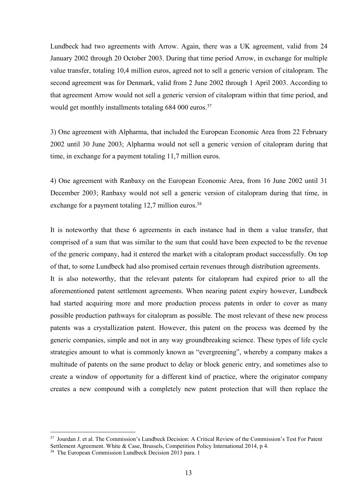Lundbeck had two agreements with Arrow. Again, there was a UK agreement, valid from 24<br>January 2002 through 20 October 2003. During that time period Arrow, in exchange for multiple<br>value transfer, totaling 10,4 million eur Lundbeck had two agreements with Arrow. Again, there was a UK agreement, valid from 24<br>January 2002 through 20 October 2003. During that time period Arrow, in exchange for multiple<br>value transfer, totaling 10,4 million eur Lundbeck had two agreements with Arrow. Again, there was a UK agreement, valid from 24<br>January 2002 through 20 October 2003. During that time period Arrow, in exchange for multiple<br>value transfer, totaling 10,4 million eur Lundbeck had two agreements with Arrow. Again, there was a UK agreement, valid from 24<br>January 2002 through 20 October 2003. During that time period Arrow, in exchange for multiple<br>value transfer, totaling 10,4 million eur Lundbeck had two agreements with Arrow. Again, there was a UK agreement, valid from 24<br>January 2002 through 20 October 2003. During that time period Arrow, in exchange for multiple<br>value transfer, totaling 10,4 million eu Lundbeck had two agreements with Arrow. Again, there was a UK agreement, valid from 24<br>January 2002 through 20 October 2003. During that time period Arrow, in exchange for multiple<br>value transfer, totaling 10,4 million eur Lundbeck had two agreements with Arrow. Again, there was a UK agreement, valid from 24<br>January 2002 through 20 October 2003. During that time period Arrow, in exchange for multiple<br>value transfer, totaling 10,4 million cur Lundbeck had two agreements with Arrow. Again, there was a UK agreement, valid from 24<br>January 2002 through 20 October 2003. During that time period Arrow, in exchange for multiple<br>value transfer, totaling 10,4 million eur Lundbeck had two agreements with Arrow. Again, there was a UK agreement, valid from 24<br>January 2002 through 20 October 2003. During that time period Arrow, in exchange for multiple<br>value transfer, totaling 10,4 million eur Lundbeck had two agreements with Arrow. Again, there was a UK agreement, valid from 24<br>January 2002 through 20 October 2003. During that time period Arrow, in exchange for multiple<br>value transfer, totaling 10,4 million eur Lundbeck had two agreements with Arrow. Again, there was a UK agreement, valid from 24<br>January 2002 through 20 October 2003. During that time period Arrow, in exchange for multiple<br>value transfer, totaling 10,4 million cur January 2002 through 20 October 2003. During that time period Arrow, in exchange for multiple<br>value transfer, totaling 10,4 million euros, agreed not to sell a generie version of citalopram. The<br>second agreement was for De

second agreement was for Denmark, valid from 2 June 2002 through 1 April 2003. According to<br>that agreement Arrow would not sell a generic version of citalopram within that time period, and<br>would get monthly installments to that agreement Arrow would not sell a generic version of citalopram within that time period, and<br>would get monthly installments totaling 684 000 curos.<sup>37</sup><br>3) One agreement with Alpharma, that included the European Economi would get monthly installments totaling 684 000 euros.<sup>37</sup><br>
3) One agreement with Alpharma, that included the European Economic Area from 22 February<br>
2002 until 30 June 2003; Alpharma would not sell a generic version of c 3) One agreement with Alpharma, that included the European Economic Area from 22 February<br>2002 until 30 June 2003; Alpharma would not sell a generic version of citalopram during that<br>time, in exchange for a payment totalin 3) One agreement with Alpharma, that included the European Economic Area from 22 February<br>2002 until 30 June 2003; Alpharma would not sell a generic version of citalopram during that<br>time, in exchange for a payment totalin

2002 until 30 June 2003; Alpharma would not sell a generic version of citalopram during that<br>time, in exchange for a payment totaling 11,7 million euros.<br>4) One agreement with Ranbaxy on the European Economic Area, from 16 time, in exchange for a payment totaling 11,7 million euros.<br>4) One agreement with Ranbaxy on the European Economic Area, from 16 June 2002 until 31<br>December 2003; Ranbaxy would not sell a generic version of citalopram dur 4) One agreement with Ranbaxy on the European Economic Area, from 16 June 2002 until 31<br>December 2003; Ranbaxy would not sell a generic version of citalopram during that time, in<br>exchange for a payment totaling 12,7 millio 4) One agreement with Ranbaxy on the European Economic Area, from 16 June 2002 unil 31<br>December 2003; Ranbaxy would not sell a generic version of citalopram during that time, in<br>exchange for a payment totaling 12,7 million December 2003; Ranbaxy would not sell a generic version of citalopram during that time, in exchange for a payment totaling 12,7 million euros.<sup>38</sup><br>It is noteworthy that these 6 agreements in each instance had in them a val exchange for a payment totaling 12,7 million euros.<sup>38</sup><br>It is noteworthy that these 6 agreements in each instance had in them a value transfer, that<br>comprised of a sum that was similar to the sum that could have been expec It is noteworthy that these 6 agreements in each instance had in them a value transfer, that comprised of a sum that was similar to the sum that could have been expected to be the revenue of the generic company, had it ent It is noteworthy that these 6 agreements in each instance had in them a value transfer, that comprised of a sum that was similar to the sum that could have been expected to be the revenue of the generic company, had it ent comprised of a sum that was similar to the sum that could have been expected to be the revenue<br>of the generic company, had it entered the market with a citalopram product successfully. On top<br>of that, to some Lundbeck had aforementioned patent settlement agreements. When nearing patent expiry however, Lundbeck<br>had started acquiring more and more production process patents in order to cover as many<br>possible production pathways for citalopram and started aquin more and more production process patents in order to cover as may<br>possible production pathways for cital<br>opram as possible. The most relevant of these new process<br>patents was a crystallization patent. How may started acquiring more and more production process patents in order to cover as many<br>possible production pathways for citalopram as possible. The most relevant of these new process<br>patents was a crystallization patent.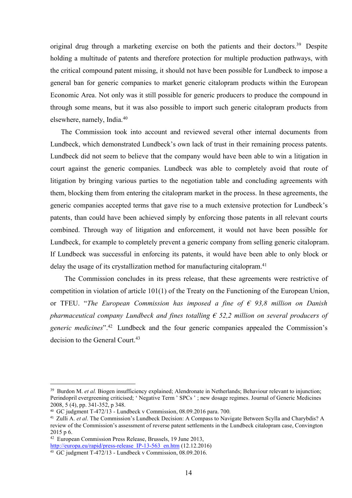original drug through a marketing exercise on both the patients and their doctors.<sup>39</sup> Despite<br>holding a multitude of patents and therefore protection for multiple production pathways, with<br>the critical compound patent mis original drug through a marketing exercise on both the patients and their doctors.<sup>39</sup> Despite<br>holding a multitude of patents and therefore protection for multiple production pathways, with<br>the critical compound patent mis original drug through a marketing exercise on both the patients and their doctors.<sup>39</sup> Despite<br>holding a multitude of patents and therefore protection for multiple production pathways, with<br>the critical compound patent mis original drug through a marketing exercise on both the patients and their doctors.<sup>39</sup> Despite<br>holding a multitude of patents and therefore protection for multiple production pathways, with<br>the critical compound patent mis original drug through a marketing exercise on both the patients and their doctors.<sup>39</sup> Despite<br>holding a multitude of patents and therefore protection for multiple production pathways, with<br>the critical compound patent mis original drug through a marketing exercise on both the patients and their doctors.<sup>39</sup> Despite<br>holding a multitude of patents and therefore protection for multiple production pathways, with<br>the critical compound patent mis original drug through a marketing exercise on both the patients and their doctors.<sup>35</sup><br>holding a multitude of patents and therefore protection for multiple production path<br>the critical compound patent missing, it should no inal drug through a marketing exercise on both the patients and their doctors.<sup>39</sup> Despite<br>ting a multitude of patents and therefore protection for multiple production pathways, with<br>critical compound patent missing, it sh original drug through a marketing exercise on both the patients and their doctors.<sup>39</sup> Despite<br>holding a multitude of patents and therefore protection for multiple production pathways, with<br>the critical compound patent mis original drug through a marketing exercise on both the patients and their doctors.<sup>39</sup> Despite<br>holding a multitude of patents and therefore protection for multiple production pathways, with<br>the critical compound patent mis original drug through a marketing exercise on both the patients and their doctors.<sup>39</sup> Despite<br>holding a multitude of patents and therefore protection for multiple production pathways, with<br>the critical compound patent mis

original drug through a marketing exercise on both the patients and their doctors.<sup>39</sup> Despite<br>holding a multitude of patents and therefore protection for multiple production pathways, with<br>the critical compound patent mis original drug through a marketing exercise on both the patients and their doctors.<sup>39</sup> Despite<br>bolding a multitude of patents and therefore protection for multiple production pathways, with<br>the critical compound patent mis holding a multitude of patents and therefore protection for multiple production pathways, with<br>the critical compound patent missing, it should not have been possible for Lundbeck to impose a<br>general ban for generic compani the critical compound patent missing, it should not have been possible for Lundbeck to impose a<br>general ban for generic companies to market generic citalopram products within the European<br>Economic Area. Not only was it sti general ban for generic companies to market generic citalopram products within the European<br>Economic Area. Not only was it still possible for generic producers to produce the compound in<br>through some means, but it was also Economic Area. Not only was it still possible for generic producers to produce the compound in<br>through some means, but it was also possible to import such generic citalopram products from<br>elsewhere, namely, India.<sup>40</sup><br>The through some means, but it was also possible to import such generic citalopram products from<br>clsewhere, namely, India.<sup>40</sup><br>The Commission took into account and reviewed several other internal documents from<br>Lundbeck, which elsewhere, namely, India.<sup>46</sup><br>The Commission took into account and reviewed several other internal documents from<br>Lundbeck, which demonstrated Lundbeck's own lack of trust in their remaining process patents.<br>Lundbeck did The Commission took into account and reviewed several other internal documents from<br>beek, which demonstrated Lundbeck's own lack of trust in their remaining process patents.<br>Bock did not seem to believe that the company w Lundbeck, which demonstrated Lundbeck's own lack of trust in their remaining process patents.<br>Lundbeck did not seem to believe that the company would have been able to win a litigation in<br>court against the generic compani Lundbeck did not seem to believe that the company would have been able to win a litigation in<br>court against the generic companies. Lundbeck was able to completely avoid that route of<br>litigation by bringing various parties court against the generic companies. Lundbeck was able to completely avoid that route of litigation by bringing various parties to the negotiation table and concluding agreements with them, blocking them from entering the litigation by bringing various parties to the negotiation table and concluding agreements with<br>them, blocking them from entering the citalopram market in the process. In these agreements, the<br>generic companies accepted te them, blocking them from entering the cital<br>opram market in the process. In these agreement generic companies accepted terms that gave rise to a much extensive protection for Lund<br>patents, than could have been achieved si

Lundbeck, for example to completely prevent a generic company from selling generic eitalopram.<br>
If Lundbeck was successful in enforcing its patents, it would have been able to only block or<br>
delay the usage of its erystal **FF Lundbeck was successful in enforcing its patents, it would have been able to only block or<br>delay the usage of its crystallization method for manufacturing citalopram.<sup>41</sup><br>The Commission concludes in its press release,** If Lundbeck was successful in enforcing its patents, it would have been able to only bl<br>delay the usage of its crystallization method for manufacturing citalopram.<sup>41</sup><br>The Commission concludes in its press release, that t delay the usage of its crystallization method for manufacturing citalopram.<sup>41</sup><br>
The Commission concludes in its press release, that these agreements were restrictive of<br>
competition in violation of article 101(1) of the delay the usage of its crystallization method for manufacturing citalopram.<sup>41</sup><br>
The Commission concludes in its press release, that these agreements were restrictive of<br>
competition in violation of article 101(1) of the The Commission concludes in its press release, that these agreements were restrictive of<br>competition in violation of article 101(1) of the Treaty on the Functioning of the European Union,<br>or TFEU. "The European Commission The Commission concludes in its press release, that these agreements were restrictive of<br>
competition in violation of artrict 101(1) of the Treaty on the Functioning of the European Chommission<br>
or TFEU. "The European Com or TFEU. "The European Commission has imposed a fine of  $\epsilon$  93,8 million on Danish<br>pharmaceutical company Lundbeck and fines totalling  $\epsilon$  52,2 million on several producers of<br>generic medicines".<sup>42</sup> Lundbeck and the fo

http://europa.eu/rapid/press-release\_IP-13-563\_en.htm (12.12.2016)<br><sup>43</sup> GC judgment T-472/13 - Lundbeck v Commission, 08.09.2016.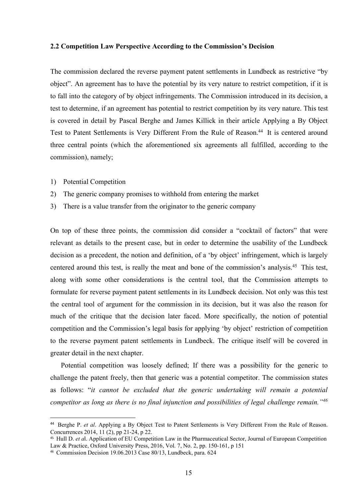2.2 Competition Law Perspective According to the Commission's Decision<br>The commission declared the reverse payment patent settlements in Lundbeck as restrictive "by<br>object". An agreement has to have the potential by its ve 2.2 Competition Law Perspective According to the Commission's Decision<br>The commission declared the reverse payment patent settlements in Lundbeck as restrictive "by<br>object". An agreement has to have the potential by its ve 2.2 Competition Law Perspective According to the Commission's Decision<br>The commission declared the reverse payment patent settlements in Lundbeck as restrictive "by<br>object". An agreement has to have the potential by its ve 2.2 Competition Law Perspective According to the Commission's Decision<br>The commission declared the reverse payment patent settlements in Lundbeck as restrictive "by<br>object". An agreement has to have the potential by its ve 2.2 Competition Law Perspective According to the Commission's Decision<br>The commission declared the reverse payment patent settlements in Lundbeck as restrictive "by<br>object". An agreement has to have the potential by its ve 2.2 Competition Law Perspective According to the Commission's Decision<br>The commission declared the reverse payment patent settlements in Lundbeck as restrictive "by<br>object". An agreement has to have the potential by its ve 2.2 Competition Law Perspective According to the Commission's Decision<br>The commission declared the reverse payment patent settlements in Lundbeck as restrictive "by<br>object". An agreement has to have the potential by its ve 2.2 Competition Law Perspective According to the Commission's Decision<br>The commission declared the reverse payment patent settlements in Lundbeck as restrictive "by<br>object". An agreement has to have the potential by its ve 2.2 Competition Law Perspective According to the Commission's Decision<br>The commission declared the reverse payment patent settlements in Lundbeck as<br>object". An agreement has to have the potential by its very nature to res 2.2 Competition Law Perspective According to the Commission's Decision<br>The commission declared the reverse payment patent settlements in Lundbeck as<br>object". An agreement has to have the potential by its very nature to res 2.2 Competition Law Perspective According to the Commission's Decision<br>The commission declared the reverse payment patent settlements in Lundbeck as restrictive "by<br>object". An agreement has to have the potential by its ve The commission declared the reverse payment patent settlements in Lundbeck as restrictive "by<br>object". An agreement has to have the potential by its very nature to restrict competition, if it is<br>to tall into the category o object". An agreement has to have the potential by its very nature to restrict competition, if it is<br>to fall into the category of by object infringements. The Commission introduced in its decision, a<br>test to determine, if to fall into the category of by object infringements. The Commission introduced in its decision, a<br>test to determine, if an agreement has potential to restrict competition by its very nature. This test<br>is covered in detail

- 
- 
- 

test to determine, if an agreement has potential to restrict competition by its very nature. This test<br>is covered in detail by Pascal Berghe and James Killick in their article Applying a By Object<br>Test to Patent Settlement is covered in detail by Pascal Berghe and James Killick in their article Applying a By Object<br>Test to Patent Settlements is Very Different From the Rule of Reason.<sup>44</sup> It is centered around<br>three central points (which the Test to Patent Settlements is Very Different From the Rule of Reason.<sup>44</sup> It is centered around<br>three central points (which the aforementioned six agreements all fulfilled, according to the<br>commission), namely;<br>1) Potentia three central points (which the aforementioned six agreements all fulfilled, according to the<br>commission), namely;<br>1) Potential Competition<br>2) The generic company promises to withhold from entering the market<br>3) There is a commission), namely;<br>
1) Potential Competition<br>
2) The generic company promises to withhold from entering the market<br>
3) There is a value transfer from the originator to the generic company<br>
2) There is a value transfer fr 1) Potential Competition<br>2) The generie company promises to withhold from entering the market<br>3) There is a value transfer from the originator to the generie company<br>2) There is a value transfer from the originator to the 1) Potential Competition<br>
2) The generic company promises to withhold from entering the market<br>
3) There is a value transfer from the originator to the generic company<br>
2) On top of these three points, the commission did c 2) The generic company promises to withhold from entering the market<br>3) There is a value transfer from the originator to the generic company<br>8) On top of these three points, the commission did consider a "cocktail of facto 3) There is a value transfer from the originator to the generic company<br>On top of these three points, the commission did consider a "cocktail of factors" that<br>relevant as details to the present case, but in order to determ top of these three points, the commission did consider a "cocktail of factors" that were<br>vant as details to the present ease, but in order to determine the usability of the Lundbeck<br>sision as a precedent, the notion and d On top of these three points, the commission did consider a "cocktail of factors" that were relevant as details to the present case, but in order to determine the usability of the Lundbeck decision as a precedent, the not relevant as details to the present case, but in order to determine the usability of the Lundbeck<br>decision as a precedent, the notion and definition, of a 'by object' infringement, which is largely<br>centered around this test decision as a precedent, the notion and definition, of a 'by object' infringement, which is largely<br>centered around this test, is really the meat and bone of the commission's analysis.<sup>45</sup> This test,<br>along with some other along with some other considerations is the central tool, that the Commission attempts to<br>formulate for reverse payment patent settlements in its Lundbeck decision. Not only was this test<br>the central tool of argument for formulate for reverse payment patent settlements in its Lundbeck decision. Not only was this test<br>the central tool of argument for the commission in its decision, but it was also the reason for<br>much of the critique that t Formulate to Tevetse payment patent setuctments in its culture decession. Not only was tins test<br>the central tool of argument for the commission in tis decision, but it was also the reason for<br>the decision and the decisio the central tool of argument for the commission in its decision, but it was also the reason for<br>much of the critique that the decision later faced. More specifically, the notion of potential<br>competition and the Commission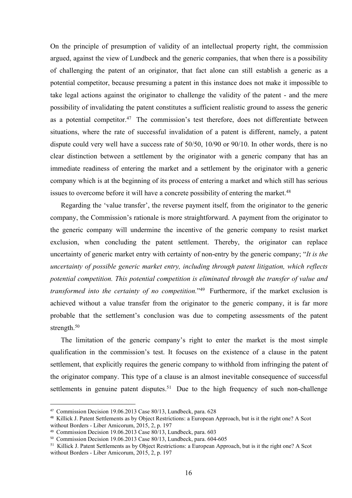On the principle of presumption of validity of an intellectual property right, the commission argued, against the view of Lundbeck and the generic companies, that when there is a possibility of challenging the patent of an On the principle of presumption of validity of an intellectual property right, the commission argued, against the view of Lundbeck and the generic companies, that when there is a possibility of challenging the patent of an On the principle of presumption of validity of an intellectual property right, the commission argued, against the view of Lundbeck and the generic companies, that when there is a possibility of challenging the patent of an On the principle of presumption of validity of an intellectual property right, the commission argued, against the view of Lundbeck and the generic companies, that when there is a possibility of challenging the patent of a On the principle of presumption of validity of an intellectual property right, the commission argued, against the view of Lundbeck and the generic companies, that when there is a possibility of challenging the patent of a On the principle of presumption of validity of an intellectual property right, the commission argued, against the view of Lundbeck and the generic companies, that when there is a possibility of challenging the patent of a On the principle of presumption of validity of an intellectual property right, the commission argued, against the view of Lundbeck and the generic companies, that when there is a possibility of challenging the patent of a On the principle of presumption of validity of an intellectual property right, the commission argued, against the view of Lundbeck and the generic companies, that when there is a possibility of challenging the patent of a On the principle of presumption of validity of an intellectual property right, the commission argued, against the view of Lundbeck and the generic companies, that when there is a possibility of challenging the patent of a On the principle of presumption of validity of an intellectual property right, the commission argued, against the view of Lundbeck and the generic companies, that when there is a possibility of challenging the patent of a On the principle of presumption of validity of an intellectual property right, the commission argued, against the view of Lundbeck and the generic companies, that when there is a possibility of challenging the patent of a On the principle of presumption of validity of an intellectual property right, the commission argued, against the view of Lundbeck and the generic companies, that when there is a possibility of challenging the patent of a On the principle of presumption of validity of an intellectual property right, the commission argued, against the view of Lundbeck and the generic companies, that when there is a possibility of challenging the patent of a aed, against the view of Lundbeck and the generic companies, that when there is a possibility challenging the patent of an originator, that fact alone can still establish a generic as a ential competitor, because presuming of challenging the patent of an originator, that fact alone can still establish a generic as a potential competitor, because presuming a patent in this instance does not make it impossible to take legal actions against the potential competitor, because presuming a patent in this instance does not make it impossible to<br>take legal actions against the originator to challenge the validity of the patent - and the mere<br>possibility of invalidating take legal actions against the originator to challenge the validity of the patent - and the mere<br>possibility of invalidating the patent constitutes a sufficient realistic ground to assess the generic<br>as a potential compet possibility of invalidating the patent constitutes a sufficient realistic ground to assess the generic<br>as a potential competitor.<sup>47</sup> The commission's test therefore, does not differentiate between<br>situations, where the r

as a potential competitor.<sup>47</sup> The commission's test therefore, does not differentiate between<br>situations, where the rate of successful invalidation of a patent is different, namely, a patent<br>dispute could very well have situations, where the rate of successful invalidation of a patent is different, namely, a patent<br>dispute could very well have a success rate of 50/50, 10/90 or 90/10. In other words, there is no<br>clear distinction between a dispute could very well have a success rate of 50/50, 10/90 or 90/10. In other words, there is no<br>clear distinction between a settlement by the originator with a generic company that has an<br>immediate readiness of entering clear distinction between a settlement by the originator with a generic company that has an<br>immediate readiness of entering the market and a settlement by the originator with a generic<br>company which is at the beginning of immediate readiness of entering the market and a settlement by the originator with a generic<br>company which is at the beginning of its process of entering a market and which still has serious<br>issues to overcome before it wi strength.<sup>50</sup> is to overcome before it will have a concrete possibility of entering the market.<sup>48</sup><br>Regarding the 'value transfer', the reverse payment itself, from the originator to the generic<br>papy, the Commission's rationale is more Regarding the 'value transfer', the reverse payment itself, from the originator to the generic<br>company, the Commission's rationale is more straightforward. A payment from the originator to<br>the generic company will undermi company, the Commission's rationale is more straightforward. A payment from the originator to<br>the generic company will undermine the incentive of the generic company to resist market<br>exclusion, when concluding the patent s the generic company will undermine the incentive of the generic company to resist market exclusion, when concluding the patent settlement. Thereby, the originator can replace uncertainty of generic market entry with certa exclusion, when concluding the patent settlement. Thereby, the originator can replace<br>uncertainty of generic market entry with certainty of non-entry by the generic company; "It is the<br>uncertainty of possible generic marke uncertainty of possible generic market entry, including through patent litigation, which reflects<br>potential competition. This potential competition is eliminated through the transfer of value and<br>transformed into the certa uncertainty of possible generic market entry, including through patent litigation, which reflects<br>potential competition. This potential competition is eliminated through the transfer of value and<br>transformed into the cert potential competition. This potential competition is eliminated through the transfer of value and<br>transformed into the certainty of no competition.<sup>249</sup> Furthermore, if the market exclusion is<br>achieved without a value tra

potential competition. This potential competition is eliminated introduce in transformed into the certainty of no competition.<sup>1459</sup> Furthermore, if the market exclusion is achieved without a value transfer from the origi *transformed into the certainty of no competition*.<sup>249</sup> Furthermore, if the market exclusion is<br>achieved without a value transfer from the originator to the generic company, it is far more<br>probable that the settlement's Function and the estation of the century of the originator. The matter company, it is far more achieved without a value transfer from the originator to the generic company, it is far more approach.<sup>50</sup><br>The limitation of t achieved without a value transfer from the originator to the generic company, it is far more<br>probable that the settlement's conclusion was due to competing assessments of the patent<br>strength.<sup>50</sup><br>The limitation of the gene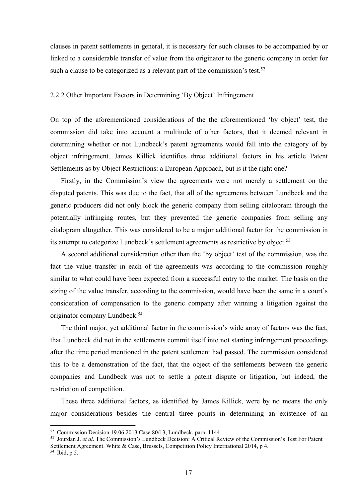clauses in patent settlements in general, it is necessary for such clauses to be accompanied by or linked to a considerable transfer of value from the originator to the generic company in order for such a clause to be cate clauses in patent settlements in general, it is necessary for such clauses to be accompanied by or linked to a considerable transfer of value from the originator to the generic company in order for such a clause to be cate clauses in patent settlements in general, it is necessary for such clauses to be accompanied by or linked to a considerable transfer of value from the originator to the generic company in order for such a clause to be cate clauses in patent settlements in general, it is necessary for such clauses to be accompanied by or<br>linked to a considerable transfer of value from the originator to the generic company in order for<br>such a clause to be cate

clauses in patent settlements in general, it is necessary for such clauses to be accompanied by or<br>linked to a considerable transfer of value from the originator to the generic company in order for<br>such a clause to be cate clauses in patent settlements in general, it is necessary for such clauses to be accompanied by or<br>linked to a considerable transfer of value from the originator to the generic company in order for<br>such a clause to be cate clauses in patent settlements in general, it is necessary for such clauses to be accompanied by or<br>linked to a considerable transfer of value from the originator to the generic company in order for<br>such a clause to be cate clauses in patent settlements in general, it is necessary for such clauses to be accompanied by or<br>linked to a considerable transfer of value from the originator to the generic company in order for<br>such a clause to be cate clauses in patent settlements in general, it is necessary for such clauses to be accompanied by or linked to a considerable transfer of value from the originator to the generic company in order for such a clause to be cate sies in patent settlements in general, it is necessary for such clauses to be accompanied by or<br>cd to a considerable transfer of value from the originator to the generic company in order for<br>a clause to be categorized as a clauses in patent settlements in general, it is necessary for such clauses to be accompanied by or linked to a considerable transfer of value from the originator to the generic company in order for such a clause to be cate

linked to a considerable transfer of value from the originator to the generic company in order for<br>such a clause to be categorized as a relevant part of the commission's test.<sup>52</sup><br>2.2.2 Other Important Factors in Determin such a clause to be categorized as a relevant part of the commission's test.<sup>52</sup><br>2.2.2 Other Important Factors in Determining 'By Object' Infringement<br>On top of the aforementioned considerations of the the aforementioned ' 2.2.2 Other Important Factors in Determining 'By Object' Infringement<br>
On top of the aforementioned considerations of the the aforementioned 'by object' test, the<br>
commission did take into account a multitude of other fac 2.2.2 Other Important Factors in Determining 'By Object' Infringement<br>
On top of the aforementioned considerations of the the aforementioned 'by object' test, the<br>
commission did take into account a multitude of other fact top of the aforementioned considerations of the the aforementioned 'by object' test, the mission did take into account a multitude of other factors, that it decord relevant in ermining whether or not Lundbeck's patent agre On top of the aforementioned considerations of the the aforementioned 'by object' test, the<br>commission did take into account a multitude of other factors, that it deemed relevant in<br>determining whether or not Lundbeck's p Settlements as by Object Restrictions: a European Approach, but is it the right one?<br>Firstly, in the Commission's view the agreements were not merely a settlemer<br>disputed patents. This was due to the fact, that all of the

commission did take into account a multitude of other factors, that it decemed relevant in<br>determining whether or not Lundbeck's patent agreements would fall into the category of by<br>object infringement. James Killick ident determining whether or not Lundbeck's patent agreements would fall into the category of by<br>object infringement. James Killick identifies three additional factors in his article Patent<br>Settlements as by Object Restrictions: object infringement. James Killick identifies three additional factors in his article Patent<br>Sctlements as by Object Restrictions: a European Approach, but is it the right one?<br>Firstly, in the Commission's view the agreeme Firstly, in the Commission's view the agreements were not mercly a settlement on the<br>buted patents. This was due to the fact, that all of the agreements between Lundbeck and the<br>reinc producers did not only block the gene disputed patents. This was due to the fact, that all of the agreements between Lundbeck and the generic producers did not only block the generic company from selling citalopram through the potentially infringing routes, bu its attempt to categorize Lundbeck's settlement agreements as restrictive by object<br>A second additional consideration other than the 'by object' test of the com<br>fact the value transfer in each of the agreements was accordi

generic producers did not only block the generic company from selling citalopram through the potentially infringing routes, but they prevented the generic companies from selling any citalopram altogether. This was consider potentially infringing routes, but they prevented the generic companies from selling any<br>citalopram altogether. This was considered to be a major additional factor for the commission in<br>its attempt to categorize Lundbeck's eitalopram altogether. This was considered to be a major additional factor for the commission in<br>its attempt to categorize Lundbeck's settlement agreements as restrictive by object.<sup>53</sup><br>A second additional consideration ot A sceond additional consideration other than the 'by object' test of the commission, was the<br>the value transfer in each of the agreements was according to the commission roughly<br>liar to what could have been expected from fact the value transfer in each of the agreements was according to the commission roughly<br>similar to what could have been expected from a successful entry to the market. The basis on the<br>sizing of the value transfer, acco similar to what colud nave been expected from a successitu entry to the market. The basis on the<br>sizing of the value transfer, according to the commission, would have been the same in a court's<br>consideration of compensati sizing of the value transfer, according to the commission, would have been the same in a court's<br>consideration of compensation to the generic company after winning a litigation against the<br>originator company Lundbeck.<sup>54</sup> Settlement Agreement. National factors, and the commission, would have been the state of a control or company after vinning a litigation against the conjunction company Lundbeck.<sup>54</sup><br>The third major, yet additional factor consideration of compensation to the generic company after winning a<br>originator company Lundbeck.<sup>54</sup><br>The third major, yet additional factor in the commission's wide array of<br>that Lundbeck did not in the settlements commi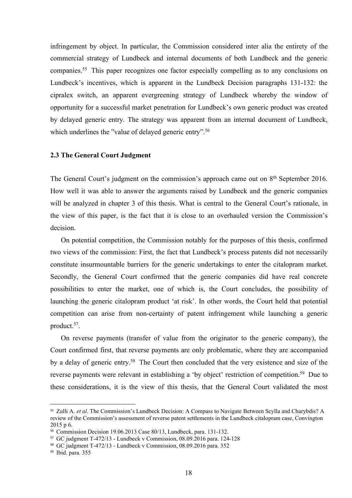infringement by object. In particular, the Commission considered inter alia the entirety of the<br>commercial strategy of Lundbeck and internal documents of both Lundbeck and the generic<br>companies.<sup>55</sup> This paper recognizes o infringement by object. In particular, the Commission considered inter alia the entirety of the<br>commercial strategy of Lundbeck and internal documents of both Lundbeck and the generic<br>companies.<sup>55</sup> This paper recognizes o infringement by object. In particular, the Commission considered inter alia the entirety of the<br>commercial strategy of Lundbeck and internal documents of both Lundbeck and the generic<br>companies.<sup>55</sup> This paper recognizes o infringement by object. In particular, the Commission considered inter alia the entirety of the<br>commercial strategy of Lundbeck and internal documents of both Lundbeck and the generic<br>companies.<sup>55</sup> This paper recognizes o infringement by object. In particular, the Commission considered inter alia the entirety of the<br>commercial strategy of Lundbeck and internal documents of both Lundbeck and the generic<br>companies.<sup>55</sup> This paper recognizes o infringement by object. In particular, the Commission considered inter alia the entirety of the commercial strategy of Lundbeck and internal documents of both Lundbeck and the generic companies.<sup>55</sup> This paper recognizes o infringement by object. In particular, the Commission considered inter alia the entirety of the commercial strategy of Lundbeck and internal documents of both Lundbeck and the generic companies.<sup>55</sup> This paper recognizes o infringement by object. In particular, the Commission considered inter alia the entirety of the commercial strategy of Lundbeck and internal documents of both Lundbeck and the generic companies.<sup>55</sup> This paper recognizes o infringement by object. In particular, the Commission considered inter alia the entirety of commercial strategy of Lundbeck and internal documents of both Lundbeck and the ge companies.<sup>55</sup> This paper recognizes one factor infringement by object. In particular, the Commission considered inter alia the entirety of the commercial strategy of Lundbeck and internal documents of both Lundbeck and the generic companies.<sup>55</sup> This paper recognizes o infringement by object. In particular, the Commission considered inter alia the entirety of the commercial strategy of Lundbeck and internal documents of both Lundbeck and the generic companies.<sup>55</sup> This paper recognizes o commercial strategy of Lundbeck and internal documents of both Lundbeck and the generic<br>companies.<sup>55</sup> This paper recognizes one factor especially compelling as to any conclusions on<br>Lundbeck's incentives, which is apparen companies.<sup>55</sup> This paper recognizes one factor especially compelling as to any conclusions on Lundbeck's incentives, which is apparent in the Lundbeck Decision paragraphs 131-132: the eipralex switch, an apparent evergree

decision. alex switch, an apparent evergreening strategy of Lundbeck whereby the window of ortunity for a successful market penetration for Lundbeck's own generic product was ereated delayed generic entry. The strategy was apparent opportunity for a successful market penetration for Lundbeck's own generic product was created<br>by delayed generic entry. The strategy was apparent from an internal document of Lundbeck,<br>which underlines the "value of delay

by delayed generic entry. The strategy was apparent from an internal document of Lundbeck,<br>which underlines the "value of delayed generic entry".<sup>56</sup><br>2.3 The General Court's judgment on the commission's approach came out o which underlines the "value of delayed generic entry".<sup>56</sup><br>
2.3 The General Court's judgment on the commission's approach came out on 8<sup>th</sup> September 2016.<br>
How well it was able to answer the arguments raised by Lundbeck a **2.3 The General Court Judgment**<br>The General Court's judgment on the commission's approach came out on  $8^{\text{th}}$  September 2016.<br>How well it was able to answer the arguments raised by Lundbeck and the generic companies<br>wi 2.3 The General Court Judgment<br>
The General Court's judgment on the commission's approach came out on  $8^{\text{th}}$  September 2016.<br>
How well it was able to answer the arguments raised by Lundbeck and the generic companies<br>
w The General Court's judgment on the commission's approach came out on 8<sup>th</sup> September 2016.<br>How well it was able to answer the arguments raised by Lundbeck and the generic companies<br>will be analyzed in chapter 3 of this th product.<sup>57</sup>. w well it was able to answer the arguments raised by Lundbeck and the generic companies<br>be analyzed in chapter 3 of this thesis. What is central to the General Court's rationale, in<br>view of this paper, is the fact that it will be analyzed in chapter 3 of this thesis. What is central to the General Court's rationale, in<br>the view of this paper, is the fact that it is close to an overhauled version the Commission's<br>decision.<br>On potential compe the view of this paper, is the fact that it is close to an overhauled version the Commission's<br>decision.<br>On potential competition, the Commission notably for the purposes of this thesis, confirmed<br>two views of the commissi decision.<br>
On potential competition, the Commission notably for the purposes of this thesis, confirmed<br>
two views of the commission: First, the fact that Lundbeck's process patents did not necessarily<br>
constitute insurmou On potential competition, the Commission notably for the purposes of this thesis, confirmed<br>two views of the commission: First, the fact that Lundbeck's process patents did not necessarily<br>constitute insurmountable barrie constitute insurmountable barriers for the generic undertakings to enter the citalopram market.<br>Secondly, the General Court confirmed that the generic companies did have real concrete<br>possibilities to enter the market, one consulue insurmountable barries for the generic undertakings to enter the clutiopram market.<br>
Secondly, the General Court confirmed that the generic companies did have real concrete<br>
launching the generic citalopram produ Secondly, the General Court confirmed that the generic companies c<br>possibilities to enter the market, one of which is, the Court conclu<br>launching the generic citalopram product 'at risk'. In other words, the Competition c

Exercision of the methem of the methem of spin-<br>
Boossibilities to enter the market, one of which is, the Court concludes, the possibility of<br>
Idamching the generic citalopram product 'at risk'. In other words, the Court possibilities to enter the market, one of which is, the Court concludes, the possibility of<br>launching the generic citalopram product 'at risk'. In other words, the Court held that potential<br>competition can arise from non-**Example 10**<br> **Example 10** and arise from non-certainty of patent infringement while launching a generic product.<sup>57</sup>.<br>
On reverse payments (transfer of value from the originator to the generic company), the<br>
Court confirm launching the generic cital<br>opram product 'at risk'. In other words, the Court<br>competition can arise from non-certainty of patent infringement while lat<br>product.<sup>57</sup>.<br>On reverse payments (transfer of value from the origin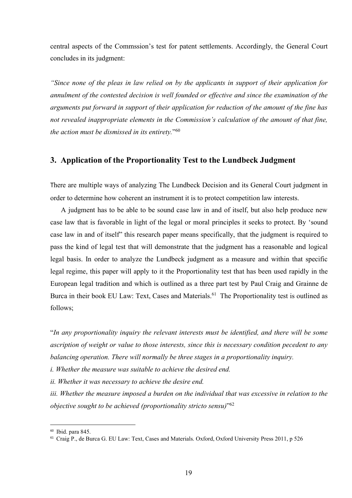central aspects of the Commssion's test for patent settlements. Accordingly, the General Court<br>concludes in its judgment:<br>"Since none of the pleas in law relied on by the applicants in support of their application for central aspects of the Commssion's test for patent settlements. Accordingly, the Concludes in its judgment:<br>"Since none of the pleas in law relied on by the applicants in support of their applicants of the contested decisi

central aspects of the Commssion's test for patent settlements. Accordingly, the General Court<br>concludes in its judgment:<br>"Since none of the pleas in law relied on by the applicants in support of their application for<br>annu central aspects of the Commssion's test for patent settlements. Accordingly, the General Court<br>concludes in its judgment:<br>"Since none of the pleas in law relied on by the applicants in support of their application for<br>annu central aspects of the Commssion's test for patent settlements. Accordingly, the General Court concludes in its judgment:<br>"Since none of the pleas in law relied on by the applicants in support of their application for amnu central aspects of the Commission's test for patent settlements. Accordingly, the General Court concludes in its judgment:<br>
"Since none of the pleas in law relied on by the applicants in support of their application for<br>
a central aspects of the Commssion's test for patent settlements. Accordingly, the General Court<br>concludes in its judgment:<br>"Since none of the pleas in law relied on by the applicants in support of their application for<br>annu central aspects of the Commssion's test for patent settlements. Accordingly, the General Court<br>concludes in its judgment:<br>"Since none of the pleas in law relied on by the applicants in support of their application for<br>annu central aspects of the Commssion's test for patent settlements. Accordingly, the General Court<br>concludes in its judgment:<br>"Since none of the pleas in law relied on by the applicants in support of their application for<br>mulm central aspects of the Commission's test for patent settlements. Accordingly, the Gieneral Court<br>concludes in its judgment:<br>"Since none of the pleas in law relied on by the applicants in support of their application for<br>mu cludes in its judgment:<br> *A ture none of the pleas in law relied on by the applicants in support of their application for<br>
ulment of the contested decision is well founded or effective and since the examination of the<br>
pre* 

"Since none of the pleas in law relied on by the applicants in support of their application for<br>amulment of the contested decision is well founded or effective and since the examination of the<br>arguments put forward in sup Consider the pleas in law relied on by the applicants in support of their application for annulment of the contested decision is well founded or effective and since the examination of the arguments put forward in support annulment of the contested decision is well founded or effective and since the examination of the arguments put forward in support of their application for reduction of the amount of that fine, the action must be dismissed arguments put forward in support of their application for reduction of the amount of the fine has<br>not revealed inappropriate elements in the Commission's calculation of the amount of that fine,<br>the action must be dismissed not revealed inappropriate elements in the Commission's calculation of the amount of that fine,<br>the action must be dismissed in its entirety.<sup>166</sup><br>3. **Application of the Proportionality Test to the Lundbeck Judgment**<br>There the action must be dismissed in its entirety.<sup>796</sup><br> **3.** Application of the Proportionality Test to the Lundbeck Judgment<br>
There are multiple ways of analyzing The Lundbeck Decision and its General Court judgment in<br>
order **3. Application of the Proportionality Test to the Lundbeck Judgment**<br>There are multiple ways of analyzing The Lundbeck Decision and its General Court judgment in<br>order to determine how coherent an instrument it is to pro follows; There are multiple ways of analyzing The Lundbeck Decision and its General Court judgment in<br>order to determine how coherent an instrument it is to protect competition law interests.<br>A judgment has to be able to be sound order to determine how coherent an instrument it is to protect competition law interests.<br>
A judgment has to be able to be sound case law in and of itself, but also help produce new<br>
case law that is favorable in light of A judgment has to be able to be sound case law in and of itself, but also help produce new<br>case law that is favorable in light of the legal or moral principles it seeks to protect. By 'sound<br>case law in and of itself'' th case law that is favorable in light of the legal or moral principles it seeks to protect. By 'sound<br>case law in and of itself'' this research paper means specifically, that the judgment is required to<br>pass the kind of lega case law in and of itself" this research paper means specifically, that the judgment is required to<br>pass the kind of legal test that will demonstrate that the judgment has a reasonable and logical<br>legal basis. In order to pass the kind of legal test that will demonstrate that the judgment has a reasonable and logical<br>legal basis. In order to analyze the Lundbeck judgment as a measure and within that specifie<br>legal regime, this paper will ap legal basis. In order to analyze the Lundbeck judgment as a measure and within that specific<br>legal regime, this paper will apply to it the Proportionality test that has been used rapidly in the<br>European legal tradition and European legal tradition and which is outlined as a three part test by Paul Cr.<br>Burea in their book EU Law: Text, Cases and Materials.<sup>61</sup> The Proportionality<br>follows;<br>"In any proportionality inquiry the relevant interest

Example in Hegit Texting Press and Materials.<sup>61</sup> The Proportionality test is outline to Burca in their book EU Law: Text, Cases and Materials.<sup>61</sup> The Proportionality test is outlined as follows;<br>
"In any proportionality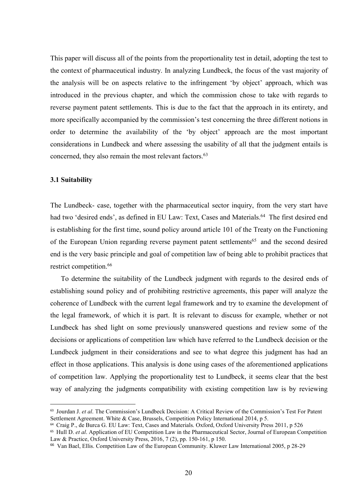This paper will discuss all of the points from the proportionality test in detail, adopting the test to the context of pharmaceutical industry. In analyzing Lundbeck, the focus of the vast majority of the analysis will be This paper will discuss all of the points from the proportionality test in detail, adopting the test to the context of pharmaceutical industry. In analyzing Lundbeck, the focus of the vast majority of the analysis will be This paper will discuss all of the points from the proportionality test in detail, adopting the test to the context of pharmaceutical industry. In analyzing Lundbeck, the focus of the vast majority of the analysis will be This paper will discuss all of the points from the proportionality test in detail, adopting the test to the context of pharmaceutical industry. In analyzing Lundbeck, the focus of the vast majority of the analysis will be This paper will discuss all of the points from the proportionality test in detail, adopting the test to the context of pharmaceutical industry. In analyzing Lundbeck, the focus of the vast majority of the analysis will be This paper will discuss all of the points from the proportionality test in detail, adopting the test to the context of pharmaceutical industry. In analyzing Lundbeck, the focus of the vast majority of the analysis will be This paper will discuss all of the points from the proportionality test in detail, adopting the test to the context of pharmaceutical industry. In analyzing Lundbeck, the focus of the vast majority of the analysis will be This paper will discuss all of the points from the proportionality test in detail, adopting the test to the context of pharmaceutical industry. In analyzing Lundbeck, the focus of the vast majority of the analysis will be This paper will discuss all of the points from the proportionality test in detail, adopting the test to the context of pharmaceutical industry. In analyzing Lundbeck, the focus of the vast majority of the analysis will be This paper will discuss all of the points from the proportionality test in<br>the context of pharmaceutical industry. In analyzing Lundbeck, the foc<br>the analysis will be on aspects relative to the infringement 'by obje<br>introd This paper will discuss all of the points from the proportionality test in detail, adopting the test to<br>the context of pharmaceutical industry. In analyzing Lundbeck, the focus of the vast majority of<br>the analysis will be the context of pharmaceutical industry. In analyzing Lundbeck, the focus of the vast majority of<br>the analysis will be on aspects relative to the infringement 'by object' approach, which was<br>introduced in the previous chapt the analysis will be on aspects relative to the infringement 'by object' approach, which was<br>introduced in the previous chapter, and which the commission chose to take with regards to<br>reverse payment patent settlements. Th introduced in the previous chapter, and which the commission chose to take with regards to<br>reverse payment patent settlements. This is due to the fact that the approach in its entirety, and<br>more specifically accompanied by

reverse payment patent settlements. This is due to the fact that the approach in its entirety, and<br>more specifically accompanied by the commission's test concerning the three different notions in<br>order to determine the ava more specifically accompanied by the commission's test concerning the thr<br>order to determine the availability of the 'by object' approach are<br>considerations in Lundbeck and where assessing the usability of all that tl<br>conc er to determine the availability of the 'by object' approach are the most important<br>siderations in Lundbeck and where assessing the usability of all that the judgment entails is<br>cerned, they also remain the most relevant f considerations in Lundbeck and where assessing the usability of all that the judgment entails is<br>concerned, they also remain the most relevant factors.<sup>63</sup><br>3.1 Suitability<br>The Lundbeck- case, together with the pharmaceutic

concerned, they also remain the most relevant factors.<sup>63</sup><br>
3.1 Suitability<br>
The Lundbeck- case, together with the pharmaceutical sector inquiry, from the very start have<br>
had two 'desired ends', as defined in EU Law: Text **3.1 Suitability**<br>The Lundbeck- case, together with the pharmaceutical sector inquiry, from the very start have<br>had two 'desired ends', as defined in EU Law: Text, Cases and Materials.<sup>64</sup> The first desired end<br>is establi **3.1 Suitability**<br> **The Lundbeck- ease, together with the pharmaceutical sector inquiry, from the very start have**<br>
had two 'desired ends', as defined in EU Law: Text, Cases and Materials.<sup>64</sup> The first desired end<br>
is es The Lundbeck- case, together with the pharmaceutical sector inquiry, from the very start have thad two 'desired ends', as defined in EU Law: Text, Cases and Materials.<sup>64</sup> The first desired end is establishing for the firs The Lundbeck- case, together with the pharmaceutical sector inquiry, from the very start have had two 'desired ends', as defined in EU Law: Text, Cases and Materials.<sup>64</sup> The first desired end is establishing for the first had two 'desired ends', as defined in EU Law: Text, Cases and Materials.<sup>64</sup> The first desired end<br>is establishing for the first time, sound policy around article 101 of the Treaty on the Functioning<br>of the European Union is establishing for the first time, sound policy around article 101 of the Treaty on the Functioning<br>of the European Union regarding reverse payment patent settlements<sup>65</sup> and the second desired<br>end is the very basic princ of the European Union regarding reverse payment patent settlements<sup>65</sup> and the second desired<br>end is the very basic principle and goal of competition law of being able to prohibit practices that<br>restrict competition.<sup>66</sup><br> restrict competition.<sup>66</sup><br>To determine the suitability of the Lundbeck judgment with regards to the desired ends of<br>establishing sound policy and of prohibiting restrictive agreements, this paper will analyze the<br>coherence restiret competition.<sup>786</sup> To determine the suitability of the Lundbeck judgment with regards to the desired ends of establishing sound policy and of prohibiting restrictive agreements, this paper will analyze the coheren To determine the suitability of the Lundbeck judgment with regards to the desired ends of<br>establishing sound policy and of prohibiting restrictive agreements, this paper will analyze the<br>coherence of Lundbeck with the cur For determine ine suntannity of the Lundocek judgment with regards to the desired ends of<br>extablishing sound policy and of prohibiting restrictive agreements, this paper will analyze the<br>coherence of Lundbeck with the cur establishing sound policy and of prohibiting restrictive agreements, this paper will analyze the coherence of Lundbeck with the current legal framework and try to example, whether or not Lundbeck has shed light on some pre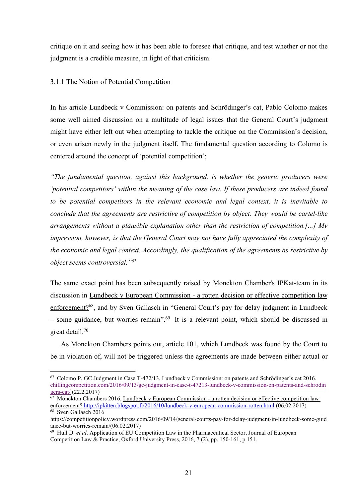critique on it and seeing how it has been able to foresee that critique, and test whether or not the judgment is a credible measure, in light of that criticism.<br>3.1.1 The Notion of Potential Competition critique on it and seeing how it has been able to foresee that critique, and test whether or not the judgment is a credible measure, in light of that criticism.<br>3.1.1 The Notion of Potential Competition critique on it and seeing how it has been able to foresee that critique, and test whether or not the<br>judgment is a credible measure, in light of that criticism.<br>3.1.1 The Notion of Potential Competition<br>In his article Lund

Trique on it and seeing how it has been able to foresee that critique, and test whether or not the judgment is a credible measure, in light of that criticism.<br>
3.1.1 The Notion of Potential Competition<br>
In his article Lund eritique on it and seeing how it has been able to foresee that critique, and test whether or not the<br>judgment is a credible measure, in light of that criticism.<br>3.1.1 The Notion of Potential Competition<br>In his article Lund eritique on it and seeing how it has been able to foresee that critique, and test whether or not the judgment is a credible measure, in light of that criticism.<br>3.1.1 The Notion of Potential Competition<br>In his article Lund oritique on it and seeing how it has been able to foresee that critique, and test whether or not the<br>judgment is a credible measure, in light of that criticism.<br>3.1.1 The Notion of Potential Competition<br>In his article Lund critique on it and seeing how it has been able to foresee that critique, and test whether or not the<br>judgment is a eredible measure, in light of that criticism.<br>3.1.1 The Notion of Potential Competition<br>In his article Lund critique on it and seeing how it has been able to foresee that critique, and test whether or not the judgment is a credible measure, in light of that criticism.<br>
3.1.1 The Notion of Potential Competition<br>
In his article Lu eritique on it and seeing how it has been able to foresee that critique, and test whether or not the judgment is a credible measure, in light of that criticism.<br>
3.1.1 The Notion of Potential Competition<br>
In his article Lu

Entique on it and seeing now it also seen and to forecee take orriging, statistic interaction is a redible measure, in light of that criticism.<br>
3.1.1 The Notion of Potential Competition<br>
In his article Lundbeck v Commiss 3.1.1 The Notion of Potential Competition<br>
In his article Lundbeck v Commission: on patents and Schrödinger's cat, Pablo Colomo makes<br>
some well aimed discussion on a multitude of legal issues that the General Court's jud 3.1.1 The Notion of Potential Competition<br>In his article Lundbeck v Commission: on patents and Schrödinger's eat, Pablo Colomo makes<br>some well aimed discussion on a multitude of legal issues that the General Court's judgm In his article Lundbeck v Commission: on patents and Schrödinger's eat, Pablo Colomo makes<br>some well aimed discussion on a multitude of legal issues that the General Court's judgment<br>might have cither left out when attemp In his article Lundbeck v Commission: on patents and Schrödinger's cat, Pablo Colomo makes<br>some well aimed discussion on a multitude of legal issues that the General Court's judgment<br>might have either left out when attemp In the absolute the discussion on a multitude of legal issues that the General C<br>might have either left out when attempting to tackle the critique on the Commis<br>or even arisen newly in the judgment itself. The fundamental might have cither left out when attempting to tackle the critique on the Commission's decision,<br>or even arisen newly in the judgment itself. The fundamental question according to Colomo is<br>centered around the concept of ' or even arisen newly in the judgment itself. The fundamental question according to Colomo is<br>
eentered around the concept of 'potential competition';<br>
"The fundamental question, against this background, is whether the gene centered around the concept of 'potential competition';<br>
"The fundamental question, against this background, is whether the generic producers were<br>
'potential competitors' within the meaning of the case law. If these produ "The fundamental question, against this background, is whether the generic producers were<br>"potential competitors" within the meaning of the case law. If these producers are indeed found<br>to be potential competitors in the The yands interesting such an example of the case  $\mu$  and  $\mu$  and  $\mu$  and  $\mu$  and  $\mu$  and  $\mu$  and  $\mu$  and  $\mu$  and  $\mu$  and  $\mu$  and  $\mu$  and  $\mu$  and  $\mu$  and  $\mu$  and  $\mu$  and  $\mu$  and  $\mu$  and  $\mu$  and  $\mu$  and be potential competitors in the relevant economic and legal context, it is inevitable to<br>clude that the agreements are restrictive of competition by object. They would be cartel-like<br>angements without a plausible explanat be conclude that the agreements are restrictive of competition by object. They would be cartel-like<br>arrangements without a plausible explanation other than the restriction of competition.[...] My<br>impression, however, is t

arrangements without a plausible explanation other than the restriction of competition.[...] My<br>impression, however, is that the General Court may not have fully appreciated the complexity of<br>the economic and legal context the economic and legal context. Accordingly, the qualification of the agreements as restrictive by<br>
object seems controversial."<sup>67</sup><br>
The same exact point has been subsequently raised by Monekton Chamber's IPKat-team in i object seems controversial."<sup>67</sup><br>The same exact point has been subsequently raised by Monckton Chamber's IPH<br>discussion in <u>Lundbeck v European Commission - a rotten decision or effective conforcement?<sup>68</sup>, and by Sven Ga</u> The same exact point has been subsequently raised by Monckton Chamber's IPKat-team in its<br>discussion in <u>Lundbeck v European Commission - a rotten decision or effective competition law<br>enforcement?<sup>68</sup>, and by Sven Gallas</u> discussion in <u>Lundbeck v European</u> Commission - a rotten decision or effective competition law enforcement?<sup>88</sup>, and by Sven Gallasch in "General Court's pay for delay judgment in Lundbeck – some guidance, but worries re

chillingcompetition.com/2016/09/13/gc-judgment-in-case-t-47213-lundbeck-v-commission-on-patents-and-schrodin gers-cat/ (22.2.2017)<br><sup>67</sup> Monckton Chambers 2016, Lundbeck v European Commission - a rotten decision or effective competition law

enforcement? http://ipkitten.blogspot.fi/2016/10/lundbeck-v-european-commission-rotten.html (06.02.2017)<br><sup>68</sup> Sven Gallasch 2016

https://competitionpolicy.wordpress.com/2016/09/14/general-courts-pay-for-delay-judgment-in-lundbeck-some-guid ance-but-worries-remain/(06.02.2017)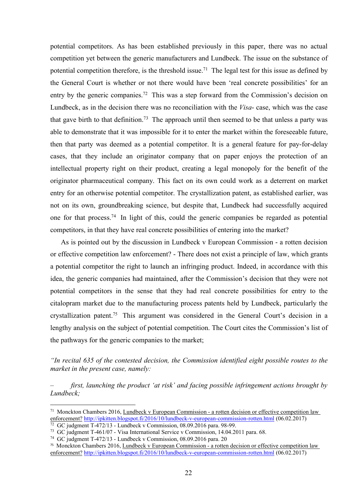potential competitors. As has been established previously in this paper, there was no actual<br>competition yet between the generic manufacturers and Lundbeck. The issue on the substance of<br>potential competition therefore, is potential competitors. As has been established previously in this paper, there was no actual<br>competition yet between the generic manufacturers and Lundbeck. The issue on the substance of<br>potential competition therefore, is potential competitors. As has been established previously in this paper, there was no actual<br>competition yet between the generic manufacturers and Lundbeck. The issue on the substance of<br>potential competition therefore, is potential competitors. As has been established previously in this paper, there was no actual<br>competition yet between the generic manufacturers and Lundbeck. The issue on the substance of<br>potential competition therefore, i potential competitors. As has been established previously in this paper, there was no actual<br>competition yet between the generic manufacturers and Lundbeck. The issue on the substance of<br>potential competition therefore, is potential competitors. As has been established previously in this paper, there was no actual<br>competition yet between the generic manufacturers and Lundbeck. The issue on the substance of<br>potential competition therefore, i potential competitors. As has been established previously in this paper, there was no actual<br>competition yet between the generic manufacturers and Lundbeck. The issue on the substance of<br>potential competition therefore, i potential competitors. As has been established previously in this paper, there was no actual<br>competition yet between the generic manufacturers and Lundbeck. The issue on the substance of<br>potential competition therefore, is potential competitors. As has been established previously in this paper, there was no actual<br>competition yet between the generic manufacturers and Lundbeck. The issue on the substance of<br>potential competition therefore, is potential competitors. As has been established previously in this paper, there was no actual<br>competition yet between the generic manufacturers and Lundbeck. The issue on the substance of<br>potential competition therefore, i potential competitors. As has been established previously in this paper, there was no actual<br>competition yet between the generic manufacturers and Lundbeck. The issue on the substance of<br>potential competition therefore, is potential competitors. As has been established previously in this paper, there was no actual<br>competition yet between the generic manufacturers and Lundbeck. The issue on the substance of<br>potential competition therefore, is potential competitors. As has been established previously in this paper, there was no actual<br>competition yet between the generic manufacturers and Lundbeck. The issue on the substance of<br>potential competition therefore, is competition yet between the generic manufacturers and Lundbeck. The issue on the substance of<br>potential competition therefore, is the threshold issue.<sup>71</sup> The legal test for this issue as defined by<br>the General Court is wh potential competition therefore, is the threshold issue.<sup>71</sup> The legal test for this issue as defined by<br>the General Court is whether or not there would have been 'real concrete possibilities' for an<br>entry by the generic c the General Court is whether or not there would have been 'real concrete possibilities' for an<br>entry by the generic companies.<sup>72</sup> This was a step forward from the Commission's decision on<br>Lundbeck, as in the decision ther y by the generic companies.<sup>72</sup> This was a step forward from the Commission's decision on dbeck, as in the decision there was no reconciliation with the *Visa*- case, which was the case gave birth to that definition.<sup>73</sup> Lundbeck, as in the decision there was no reconciliation with the *Fisa*-case, which was the case<br>that gave birth to that definition.<sup>73</sup> The approach until then seconced to be that unless a party was<br>able to demonstrate that gave birth to that definition.<sup>73</sup> The approach until then seemed to be that unless a party was<br>able to demonstrate that it was impossible for it to enter the market within the foreseeable future,<br>then that party was able to demonstrate that it was impossible for it to enter the market within the foreseeable future,<br>then that party was deemed as a potential competitor. It is a general feature for pay-for-delay<br>cases, that they include then that party was deemed as a potential competitor. It is a general feature for pay-for-delay<br>cases, that they include an originator company that on paper enjoys the protection of an<br>intellectual property right on their

cases, that they include an originator company that on paper enjoys the protection of an intellectual property right on their product, creating a legal monopoly for the benefit of the originator pharmaceutical company. Thi intellectual property right on their product, creating a legal monopoly for the benefit of the originator pharmaceutical company. This fact on its own could work as a deterrent on market entry for an otherwise potential co originator pharmaceutical company. This fact on its own could work as a deterrent on market<br>entry for an otherwise potential competitor. The crystallization patent, as established earlier, was<br>not on its own, groundbreakin entry for an otherwise potential competitor. The crystallization patent, as established earlier, was<br>not on its own, groundbreaking science, but despite that, Lundbeck had successfully acquired<br>one for that process.<sup>74</sup> In From the contest of the contested and from the content of the content of the content of the content of the content<br>competitors, in that they have real concrete possibilities of entering into the market?<br>As is pointed out b one for that process.<sup>74</sup> In light of this, could the generic companies be regarded as potentic competitors, in that they have real concrete possibilities of entering into the market?<br>
As is pointed out by the discussion First, and the method of the product 'at risk' and facing method is a principal method of the product is pointed out by the discussion in Lundbeck v European Commission - a rotten decision or effective competition law enf a potential competitor the right to launch an infringing product. Indeed, in accordance with this<br>idea, the generic companies had maintained, after the Commission's decision that they were not<br>potential competitors in the idea, the generic companies had maintained, after the Commission's decision that they were not<br>potential competitors in the sense that they had real conercte possibilities for entry to the<br>eitalopram market due to the manu otea, the generic companies nata mannamed, after the Commission s decision that they were not<br>potential competitions in the sense that they had real concrete possibilities for entry to the<br>civisalization parket due to th potential competitors in the sense that they had real concrete possibilities for entry to the<br>citalopram market due to the manufacturing process patents held by Lundbeck, particularly the<br>crystallization patent.<sup>73</sup> This a potential<br>citalopram market due to the manufacturing process pacints held by Lundbeck, particularly the<br>citystallization patent.<sup>75</sup> This argument was considered in the General Court's decision in a<br>lengthy analysis on th

Lundbeck;

enforcement? http://ipkitten.blogspot.fi/2016/10/lundbeck-v-european-commission-rotten.html (06.02.2017)<br><sup>72</sup> GC judgment T-472/13 - Lundbeck v Commission, 08.09.2016 para. 98-99.

enforcement? http://ipkitten.blogspot.fi/2016/10/lundbeck-v-european-commission-rotten.html (06.02.2017)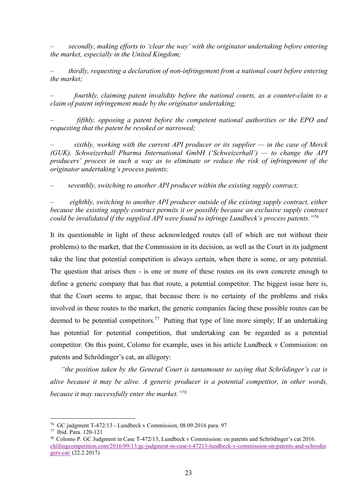— secondly, making efforts to 'clear the way' with the originator undertaking before entering<br>the market, especially in the United Kingdom;<br>— thirdly, requesting a declaration of non-infringement from a national court befo the market, especially in the United Kingdom;<br>the market, especially in the United Kingdom;<br>thirdly, requesting a declaration of non-infringement from a national court before entering<br>the market;<br>the market;

— secondly, making efforts to 'clear the way' with the originator undertaking before entering<br>the market, especially in the United Kingdom;<br>— thirdly, requesting a declaration of non-infringement from a national court befo -<br>
secondly, making efforts to 'clear the way' with the originator un<br>
the market, especially in the United Kingdom;<br>
- thirdly, requesting a declaration of non-infringement from a nation<br>
the market;<br>
- fourthly, claiming — secondly, making efforts to 'clear the way' with the originator undertaking before entering<br>the market, especially in the United Kingdom;<br>— thirdly, requesting a declaration of non-infringement from a national court befo correlation of patential and the patential and the market, especially in the United Kingdom;<br>
the market, especially in the United Kingdom;<br>
infinity, requesting a declaration of non-infringement from a national court befo

-<br>
secondly, making efforts to 'clear the way' with the originator undertaking before entering<br>
the market, especially in the United Kingdom;<br>
- thirdly, requesting a declaration of non-infringement from a national court b -<br>
secondly, making efforts to 'clear the way' with the originator undertaking before entering<br>
the market, especially in the United Kingdom;<br>
- thirdly, requesting a declaration of non-infringement from a national court b — secondly, making efforts to 'clear the way' with the originator undertaking before entering<br>the market, especially in the United Kingdom;<br>
— thirdly, requesting a declaration of non-infringement from a national court bef — secondly, making efforts to 'clear the way' with the originator undertaking before entering<br>the market, especially in the United Kingdom;<br>— thirdly, requesting a declaration of non-infringement from a national court befo secondly, making efforts to 'clear the way' with the originator undertaking before entering<br>the market, especially in the United Kingdom;<br>
- thirdly, requesting a declaration of non-infringement from a national court befor corridly, making efforts to 'clear the way' with the originator undertaking before entering<br>the market, especially in the United Kingdom;<br>
- thirdly, requesting a declaration of non-infringement from a national court befor — secondly, making efforts to 'clear the way' with the originator undertaking before entering<br>the market, especially in the United Kingdom;<br>— thirdly, requesting a declaration of non-infringement from a national court befo in the market, especially in the United Kingdom;<br>
- thirdly, requesting a declaration of non-infringement from a national court before entering<br>
the market;<br>
- fourthly, claiming patent invalidity before the national court because the market;<br>
- thirdly, requesting a declaration of non-infringement from a national court before entering<br>
the market;<br>
- fourthly, claiming patent invalidity before the national courts, as a counter-claim to a<br>
c indly, requesting a declaration of non-infringement from a national court before entering<br>the market;<br>
- fourthly, claiming patent invalidity before the national courts, as a counter-claim to a<br>
claim of patent infringemen

Frame that the methanism and the properties actional courts, as a counter-claim to a<br>
claim of patent infringement made by the originator undertaking;<br>  $\int f(x) \, dx$  or  $\int f(x) \, dy$ , opposing a patent before the competent natio pourthly, claiming patent invalidity before the national courts, as a counter-claim to a<br>claim of patent infringement made by the originator undertaking;<br> $-$  fifthly, opposing a patent before the competent national authori that the potential experiment that the potential competent in the competent potential competent potential competition is expected (GUK), Schweizerhall Pharma International GmbH ('Schweizerhall') — to change the API produce fifthly, opposing a patent before the competent national authorities or the EPO and<br>
requesting that the patent be revoked or narrowed;<br>
- sixthly, working with the current API producer or its supplier — in the case of Mer Expansion, which is that the current API producer or its supplier — in the case of Merck<br>  $(GUK)$ , Schweizerhall Pharma International GmbH ('Schweizerhall') — to change the API<br>
producers' process in such a way as to elimin Solution that the current API producer or its supplier — in the case of Merck<br>
(GUK), Schweizerhall Pharma International GmbH ('Schweizerhall') — to change the API<br>
producers' process in such a way as to eliminate or redu producers' process in such a way as to eliminate or reduce the risk of infringement of the originator undertaking's process patents;<br>
- seventhly, switching to another API producer within the existing supply contract;<br>
- e originator undertaking's process patents;<br>seventhly, switching to another API producer within the existing supply contract;<br> $-$  eighthly, switching to another API producer outside of the existing supply contract, either<br>be - seventhly, switching to another API producer within the existing supply contract;<br>
eighthly, switching to another API producer outside of the existing supply contract, either<br>
because the existing supply contract permits *eighthly, switching to another API producer outside of the existing supply contract, either* because the existing supply contract permits it or possibly because an exclusive supply contract could be invalidated if the su because the existing supply contract in **F** protons and  $\alpha$  protons and existing supply contract permits it or possibly because an exclusive supply contract could be invalidated if the supplied API were found to infringe Id be invalidated if the supplied API were found to infringe Lundbeck's process patents."<sup>79</sup><br>
Is questionable in light of these acknowledged routes (all of which are not without their<br>
blems) to the market, that the Comm It its questionable in light of these acknowledged routes (all of which are not without their<br>problems) to the market, that the Commission in its decision, as well as the Court in its judgment<br>take the line that potential problems) to the market, that the Commission in its decision, as well as the Court in its judgment<br>take the line that potential competition is always certain, when there is some, or any potential.<br>The question that arises The question that arises then - is one of hold e of these totules off its own conclete enough to<br>the fine a generic company that has that route, a potential competition. The biggest issue here is,<br>that the Court seems to define a generic company that has that route, a potential competitor. The big<br>that the Court seems to argue, that because there is no certainty of the pr<br>involved in these routes to the market, the generic companies facin Earth Court seems to argue, that because there is no certainty of the problems and risks<br>involved in these routes to the market, the generic companies facing these possible routes can be<br>deemed to be potential competitors.

chillingcompetition.com/2016/09/13/gc-judgment-in-case-t-47213-lundbeck-v-commission-on-patents-and-schrodin gers-cat/ (22.2.2017)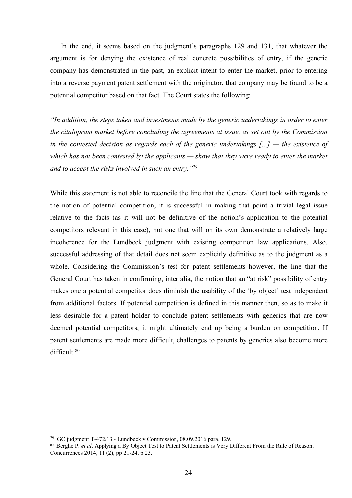In the end, it seems based on the judgment's paragraphs 129 and 131, that whatever the<br>ument is for denying the existence of real concrete possibilities of entry, if the generic<br>pany has demonstrated in the past, an explic In the end, it seems based on the judgment's paragraphs 129 and 131, that whatever the argument is for denying the existence of real concrete possibilities of entry, if the generic company has demonstrated in the past, an In the end, it seems based on the judgment's paragraphs 129 and 131, that whatever the argument is for denying the existence of real concrete possibilities of entry, if the generic company has demonstrated in the past, an In the end, it seems based on the judgment's paragraphs 129 and 131, that whatever the argument is for denying the existence of real concrete possibilities of entry, if the generic company has demonstrated in the past, an In the end, it seems based on the judgment's paragraphs 129 and 131, that whatever the argument is for denying the existence of real concrete possibilities of entry, if the generic company has demonstrated in the past, an In the end, it seems based on the judgment's paragraphs 129 and 131, that whatever the argument is for denying the existence of real concrete possibilities of entry, if the generic company has demonstrated in the past, an In the end, it seems based on the judgment's paragraphs 129 and 131, that whatever the argument is for denying the existence of real concrete possibilities of entry, if the generic company has demonstrated in the past, an In the end, it seems based on the judgment's paragraphs 129 and 131, that whatever the argument is for denying the existence of real conercte possibilities of entry, if the generic company has demonstrated in the past, an In the end, it seems based on the judgment's paragraphs 129 and 131, that whatever the argument is for denying the existence of real concrete possibilities of entry, if the generic company has demonstrated in the past, an In the end, it seems based on the judgment's paragraphs 129 and 131, that whatever the argument is for denying the existence of real concrete possibilities of entry, if the generic company has demonstrated in the past, an In the end, it seems based on the judgment's paragraphs 129 and 131, that whatever the argument is for denying the existence of real concrete possibilities of entry, if the generic company has demonstrated in the past, an

argument is for denying the existence of real concrete possibilities of entry, if the generic<br>company has demonstrated in the past, an explicit intent to enter the market, prior to entering<br>into a reverse payment patent se company has demonstrated in the past, an explicit intent to enter the market, prior to entering<br>into a reverse payment patent settlement with the originator, that company may be found to be a<br>potential competitor based on into a reverse payment patent settlement with the originator, that company may be found to be a<br>potential competitor based on that fact. The Court states the following:<br>"In addition, the steps taken and investments made by potential competitor based on that fact. The Court states the following:<br>
"In addition, the steps taken and investments made by the generic undertakings in order to enter<br>
the citalopram market before concluding the agreem "In addition, the steps taken and investments made by the generic undertakings in order to enter the cital<br>opram market before concluding the agreements at issue, as set out by the Commission<br>in the contested decision as "In addition, the steps taken and investments made by the generic undertakings in order to enter<br>the citalopram market before concluding the agreements at issue, as set out by the Commission<br>in the contested decision as r the citalopram market before concluding the agreements at issue, as set out by the Commission<br>in the contested decision as regards each of the generic undertakings [...] — the existence of<br>which has not been contested by t in the contested decision as regards each of the generic undertakings  $[...]$  — the existence of<br>which has not been contested by the applicants — show that they were ready to enter the market<br>and to accept the risks involve which has not been contested by the applicants — show that they were ready to enter the market<br>and to accept the risks involved in such an entry.<sup>179</sup><br>While this statement is not able to reconcile the line that the General and to accept the risks involved in such an entry.<sup>179</sup><br>While this statement is not able to reconcile the line that the General Court took with regards to<br>the notion of potential competition, it is successful in making th While this statement is not able to reconcile the line that the General Court took with regards to the notion of potential competition, it is successful in making that point a trivial legal issue relative to the facts (as While this statement is not able to reconcile the line that the General Court took with regards to the notion of potential competition, it is successful in making that point a trivial legal issue relative to the facts (as difficult.80 makes one a potential competitor does diminish the usability of the 'by object' test independent<br>from additional factors. If potential competition is defined in this manner then, so as to make it<br>less desirable for a paten between difficult and competition is defined in this manner then, so as to make it<br>less desirable for a patent holder to conclude patent settlements with generics that are now<br>deemed potential competitors, it might ultimat from additional factors. If potential competition is defined in this manner then, so as to make it<br>less desirable for a patent holder to conclude patent settlements with generics that are now<br>deemed potential competitors,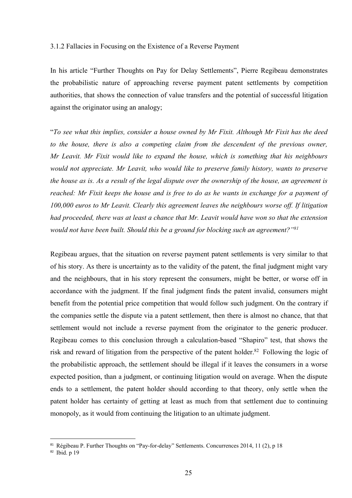3.1.2 Fallacies in Focusing on the Existence of a Reverse Payment<br>In his article "Further Thoughts on Pay for Delay Settlements", Pierre Regibeau demonstrates<br>the probabilistic nature of approaching reverse payment patent 3.1.2 Fallacies in Focusing on the Existence of a Reverse Payment<br>In his article "Further Thoughts on Pay for Delay Settlements", Pierre Regibeau demonstrates<br>the probabilistic nature of approaching reverse payment patent 3.1.2 Fallacies in Focusing on the Existence of a Reverse Payment<br>In his article "Further Thoughts on Pay for Delay Settlements", Pierre Regibeau demonstrates<br>the probabilistic nature of approaching reverse payment patent 3.1.2 Fallacies in Focusing on the Existence of a Reverse Payment<br>In his article "Further Thoughts on Pay for Delay Settlements", Pierre Regibeau demonstrates<br>the probabilistic nature of approaching reverse payment patent 3.1.2 Fallacies in Focusing on the Existence of a Reverse Payment<br>In his article "Further Thoughts on Pay for Delay Settlements", Pierre Regibeau demonstrates<br>the probabilistic nature of approaching reverse payment patent

1.1.2 Fallacies in Focusing on the Existence of a Reverse Payment<br>
In his article "Further Thoughts on Pay for Delay Settlements", Pierre Regibeau demonstrates<br>
the probabilistic nature of approaching reverse payment paten 3.1.2 Fallacies in Focusing on the Existence of a Reverse Payment<br>
In his article "Further Thoughts on Pay for Delay Settlements", Pierre Regibeau demonstrates<br>
the probabilistic nature of approaching reverse payment pate 3.1.2 Fallacies in Focusing on the Existence of a Reverse Payment<br>
In his article "Further Thoughts on Pay for Delay Settlements", Pierre Regibeau demonstrates<br>
the probabilistic nature of approaching reverse payment pate 3.1.2 Fallacies in Focusing on the Existence of a Reverse Payment<br>
In his article "Further Thoughts on Pay for Delay Settlements", Pierre Regibeau demonstrates<br>
the probabilistic nature of approaching reverse payment pate 3.1.2 Fallacies in Focusing on the Existence of a Reverse Payment<br>
In his article "Further Thoughts on Pay for Delay Settlements", Pierre Regibeau demonstrates<br>
the probabilistic nature of approaching reverse payment pate In his article "Further Thoughts on Pay for Delay Settlements", Pierre Regibeau demonstrates<br>the probabilistic nature of approaching reverse payment patent settlements by competition<br>authorities, that shows the connection In his article "Further Thoughts on Pay for Delay Settlements", Pierre Regibeau demonstrates<br>the probabilistic nature of approaching reverse payment patent settlements by competition<br>authorities, that shows the connection the probabilistic nature of approaching reverse payment patent settlements by competition<br>authorities, that shows the connection of value transfers and the potential of successful litigation<br>against the originator using an against the originator using an analogy;<br>
"To see what this implies, consider a house owned by Mr Fixit. Although Mr Fixit has the deed<br>
to the house, there is also a competing claim from the descendent of the previous own "To see what this implies, consider a house owned by Mr Fixit. Although Mr Fixit has the deed<br>to the house, there is also a competing claim from the descendent of the previous owner,<br>Mr Leavit. Mr Fixit would like to expan "To see what this implies, consider a house owned by Mr Fixit. Although Mr Fixit has the deed<br>to the house, there is also a competing claim from the descendent of the previous owner,<br>Mr Leavit. Mr Fixit would like to expa to the house, there is also a competing claim from the descendent of the previous owner,<br>Mr Leavit. Mr Fixit would like to expand the house, which is something that his neighbours<br>would not appreciate. Mr Leavit, who would

Mr Leavit. Mr Fixit would like to expand the house, which is something that his neighbours<br>would not appreciate. Mr Leavit, who would like to preserve family history, wants to preserve<br>the house as is. As a result of the would not appreciate. Mr Leavit, who would like to preserve family history, wants to preserve<br>the house as is. As a result of the legal dispute over the ownership of the house, an agreement is<br>reached: Mr Fixit keeps the the house as is. As a result of the legal dispute over the ownership of the house, an agreement is<br>reached: Mr Fixit keeps the house and is free to do as he wants in exchange for a payment of<br>100,000 euros to Mr Leavit. Cl reached: Mr Fixit keeps the house and is free to do as he wants in exchange for a payment of 100,000 euros to Mr Leavit. Clearly this agreement leaves the neighbours worse off. If litigation had proceeded, there was at le 100,000 euros to Mr Leavit. Clearly this agreement leaves the neighbours worse off. If litigation<br>had proceeded, there was at least a chance that Mr. Leavit would have won so that the extension<br>would not have been built. *had proceeded, there was at least a chance that Mr. Leavit would have won so that the extension would not have been built. Should this be a ground for blocking such an agreement?"<sup>81</sup><br>Regibeau argues, that the situation o would not have been built. Should this be a ground for blocking such an agreement?*<sup>*rmsl*</sup> Regibeau argues, that the situation on reverse payment patent settlements is very similar to that of his story. As there is un Regibeau argues, that the situation on reverse payment patent settlements is very similar to that<br>of his story. As there is uncertainty as to the validity of the patent, the final judgment might vary<br>and the neighbours, t Regibeau argues, that the situation on reverse payment patent settlements is very similar to that of his story. As there is uncertainty as to the validity of the patent, the final judgment might vary and the neighbours, th of his story. As there is uncertainty as to the validity of the patent, the final judgment might vary<br>and the neighbours, that in his story represent the consumers, might be better, or worse off in<br>accordance with the judg accordance with the plotterial price competition that would follow such interacts. Consumers singual<br>the companies settle the dispute via a patent settlement, then there is almost no chance, that that<br>settlement would not benefit from the potential price competition that would follow such judgme<br>the companies settle the dispute via a patent settlement, then there is almos<br>settlement would not include a reverse payment from the originator to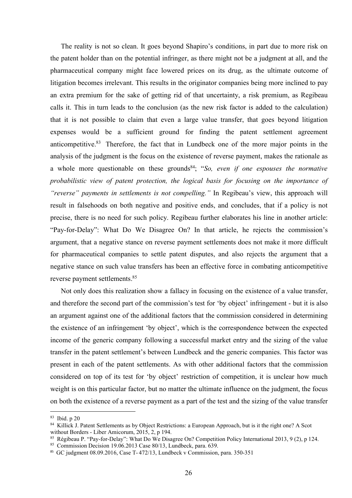The reality is not so clean. It goes beyond Shapiro's conditions, in part due to more risk on patent holder than on the potential infringer, as there might not be a judgment at all, and the maceutical company might face lo The reality is not so clean. It goes beyond Shapiro's conditions, in part due to more risk on<br>the patent holder than on the potential infringer, as there might not be a judgment at all, and the<br>pharmaceutical company might The reality is not so clean. It goes beyond Shapiro's conditions, in part due to more risk on<br>the patent holder than on the potential infringer, as there might not be a judgment at all, and the<br>pharmaceutical company might The reality is not so clean. It goes beyond Shapiro's conditions, in part due to more risk on<br>the patent holder than on the potential infringer, as there might not be a judgment at all, and the<br>pharmaceutical company might The reality is not so clean. It goes beyond Shapiro's conditions, in part due to more risk on<br>the patent holder than on the potential infringer, as there might not be a judgment at all, and the<br>pharmaceutical company might The reality is not so clean. It goes beyond Shapiro's conditions, in part due to more risk on<br>the patent holder than on the potential infringer, as there might not be a judgment at all, and the<br>pharmaceutical company might The reality is not so clean. It goes beyond Shapiro's conditions, in part due to more risk on<br>the patent holder than on the potential infringer, as there might not be a judgment at all, and the<br>pharmaceutical company might The reality is not so clean. It goes beyond Shapiro's conditions, in part due to more risk on<br>the patent holder than on the potential infringer, as there might not be a judgment at all, and the<br>pharmaceutical company migh The reality is not so clean. It goes beyond Shapiro's conditions, in part due to more risk on<br>the patent holder than on the potential infringer, as there might not be a judgment at all, and the<br>pharmaceutical company migh The reality is not so clean. It goes beyond Shapiro's conditions, in part due to more risk on<br>the patent holder than on the potential infringer, as there might not be a judgment at all, and the<br>pharmaceutical company migh The reality is not so clean. It goes beyond Shapiro's conditions, in part due to more risk on<br>the patent holder than on the potential infringer, as there might not be a judgment at all, and the<br>pharmaceutical company migh The reality is not so elean. It goes beyond Shapiro's conditions, in part due to more risk on<br>the patent holder than on the potential infringer, as there might not be a judgment at all, and the<br>pharmaceutical company migh The reality is not so clean. It goes beyond Shapiro's conditions, in part due to more risk on<br>the patent holder than on the potential infringer, as there might not be a judgment at all, and the<br>pharmaceutical company migh the patent holder than on the potential infringer, as there might not be a judgment at all, and the pharmaccutical company might face lowered prices on its drug, as the ultimate outcome of litigation becomes irrelevant. Th pharmaceutical company might face lowered prices on its drug, as the ultimate outcome of litigation becomes irrelevant. This results in the originator companies being more inclined to pay an extra premium for the sake of g litigation becomes irrelevant. This results in the originator companies being more inclined to pay<br>an extra premium for the sake of getting rid of that uncertainty, a risk premium, as Regibeau<br>calls it. This in turn leads an extra premium for the sake of getting rid of that uncertainty, a risk premium, as Regibeau<br>calls it. This in turn leads to the conclusion (as the new risk factor is added to the calculation)<br>that it is not possible to calls it. This in turn leads to the conclusion (as the new risk factor is added to the calculation)<br>that it is not possible to claim that even a large value transfer, that goes beyond litigation<br>expenses would be a suffici that it is not possible to claim that even a large value transfer, that goes beyond litigation<br>expenses would be a sufficient ground for finding the patent settlement agreement<br>anticompetitive.<sup>83</sup> Therefore, the fact that expenses would be a sufficient ground for finding the patent settlement<br>anticompetitive.<sup>83</sup> Therefore, the fact that in Lundbeck one of the more major p<br>analysis of the judgment is the focus on the existence of reverse pa competitive.<sup>83</sup> Therefore, the fact that in Lundbeck one of the more major points in the yysis of the judgment is the focus on the existence of reverse payment, makes the rationale as whole more questionable on these grou analysis of the judgment is the focus on the existence of reverse payment, makes the rationale as<br>a whole more questionable on these grounds<sup>34</sup>; "So, even if one espouses the normative<br>probabilistic view of patent protect a whole more questionable on these grounds<sup>84</sup>; "So, *even if one espouses the normative*<br>probabilistic view of patent protection, the logical basis for focusing on the importance of<br>"reverse" payments in settlements is n probabilistic view of patent protection, the logical basis for focusing on the importance of<br>"reverse" payments in settlements is not compelling." In Regibeau's view, this approach will<br>result in falsehoods on both negativ "*reverse" payments in settlements is not compelling.*" In Regibeau's view, this approach will<br>result in falsehoods on both negative and positive ends, and concludes, that if a policy is not<br>precise, there is no need for s

result in falschoods on both negative and positive ends, and concludes, that if a policy is not<br>precise, there is no need for such policy. Regibeau further claborates his line in another article:<br>"Pay-for-Delay": What Do W precise, there is no need for such policy. Regibeau further elaborates his line in another article:<br>"Pay-for-Dclay": What Do We Disagree On? In that article, he rejects the commission's<br>argument, that a negative stance on "Pay-for-Delay": What Do We Disagree On? In that article, he rejects the commission's argument, that a negative stance on reverse payment settlements does not make it more difficult for pharmaceutical companies to settle p argument, that a negative stance on reverse payment settlements does not make it more difficult<br>for pharmaceutical companies to settle patent disputes, and also rejects the argument that a<br>negative stance on such value tra for pharmaceutical companies to settle patent disputes, and also rejects the argument that a<br>negative stance on such value transfers has been an effective force in combating anticompetitive<br>reverse payment settlements.<sup>85</sup> megative stance on such value transfers has been an effective force in comb<br>reverse payment settlements.<sup>85</sup><br>Not only does this realization show a fallacy in focusing on the existenc<br>and therefore the second part of the co reverse payment settlements.<sup>85</sup><br>Not only does this realization show a fallacy in focusing on the existence of a value transfer,<br>and therefore the second part of the commission's test for 'by object' infringement - but it reverse payment settlements.<sup>53</sup><br>Not only does this realization show a fallacy in focusing on the existence of a value transfer,<br>Am a therefore the second part of the commission's test for 'by object' infringement - but it Not only does this realization show a fallacy in focusing on the existence of a value transfer,<br>and therefore the second part of the commission's test for 'by object' infringement - but it is also<br>an argument against one and therefore the second part of the commission's test for 'by object' infringement - but it is also<br>an argument against one of the dominismon's test for 'by object' infringement - but it is also<br>an argument against one of and therefore the second part of the commission's test for 'by object' infringement - but it is also<br>an argument against one of the additional factors that the commission considered in determining<br>the existence of an infr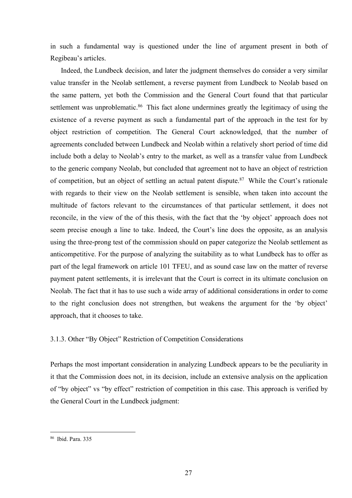in such a fundamental way is questioned under the line of argument present in both of<br>Regibeau's articles.<br>Indeed, the Lundbeck decision, and later the judgment themselves do consider a very similar<br>value transfer in the N

in such a fundamental way is questioned under the line of argument pr<br>Regibeau's articles.<br>Indeed, the Lundbeck decision, and later the judgment themselves do consi-<br>value transfer in the Neolab settlement, a reverse payme Indeed, the Lundbeck decision, and later the judgment themselves do consider a very similar<br>Indeed, the Lundbeck decision, and later the judgment themselves do consider a very similar<br>Indeed, the Lundbeck decision, and lat in such a fundamental way is questioned under the line of argument present in both of<br>Regibeau's articles.<br>Indeed, the Lundbeck decision, and later the judgment themselves do consider a very similar<br>value transfer in the N in such a fundamental way is questioned under the line of argument present in both of<br>Regibeau's articles.<br>Indeed, the Lundbeck decision, and later the judgment themselves do consider a very similar<br>value transfer in the N in such a fundamental way is questioned under the line of argument present in both of Regibeau's articles.<br>
Indeed, the Lundbeck decision, and later the judgment themselves do consider a very similar<br>
value transfer in the in such a fundamental way is questioned under the line of argument present in both of Regibeau's articles.<br>Indeed, the Lundbeck decision, and later the judgment themselves do consider a very similar value transfer in the N in such a fundamental way is questioned under the line of argument present in both of Regibeau's articles.<br>
Indeed, the Lundbeck decision, and later the judgment themselves do consider a very similar<br>
value transfer in the in such a fundamental way is questioned under the line of argument present in both of Regibeau's articles.<br>
Indeed, the Lundbeck decision, and later the judgment themselves do consider a very similar<br>
value transfer in the in such a fundamental way is questioned under the line of argument present in both of Regibeau's articles.<br>
Indeed, the Lundbeck decision, and later the judgment themselves do consider a very similar value transfer in the in such a fundamental way is questioned under the line of argument present in both of Regibeau's articles.<br>
Indeed, the Lundbeck decision, and later the judgment themselves do consider a very similar value transfer in the in such a fundamental way is questioned under the line of argument present in both of Regibeau's articles.<br>
Indeed, the Lundbeck decision, and later the judgment themselves do consider a very similar value transfer in the in such a fundamental way is questioned under the line of argument present in both of Regibeau's articles.<br>
Indeed, the Lundbeck decision, and later the judgment themselves do consider a very similar value transfer in the Regibeau's articles.<br>Indeed, the Lundbeck decision, and later the judgment themselves do consider a very similar<br>value transfer in the Neolab settlement, a reverse payment from Lundbeck to Neolab based on<br>the same pattern, Indeed, the Lundbeck decision, and later the judgment themselves do consider a very similar value transfer in the Neolab settlement, a reverse payment from Lundbeck to Neolab based on the same pattern, yet both the Commiss value transfer in the Neolab settlement, a reverse payment from Lundbeck to Neolab based on<br>the same pattern, yet both the Commission and the General Court found that that particular<br>settlement was unproblematie.<sup>86</sup> This the same pattern, yet both the Commission and the General Court found that that particular settlement was unproblematie.<sup>86</sup> This fact alone undermines greatly the legitimacy of using the existence of a reverse payment as settlement was unproblematic.<sup>86</sup> This fact alone undermines greatly the legitimacy of using the existence of a reverse payment as such a fundamental part of the approach in the test for by object restriction of competitio existence of a reverse payment as such a fundamental part of the approach in the test for by object restriction of competition. The General Court acknowledged, that the number of agreements concluded between Lundbeck and N object restriction of competition. The General Court acknowledged, that the number of agreements concluded between Lundbeck and Neolab within a relatively short period of time did include both a delay to Neolab's entry to agreements concluded between Lundbeck and Neolab within a relatively short period of time did<br>include both a delay to Neolab's entry to the market, as well as a transfer value from Lundbeck<br>to the generic company Neolab, b include both a delay to Neolab's entry to the market, as well as a transfer value from Lundbeck<br>to the generic company Neolab, but concluded that agreement not to have an object of restriction<br>of competition, but an object to the generic company Neolab, but concluded that agreement not to have an object of restriction<br>of competition, but an object of settling an actual patent dispute.<sup>87</sup> While the Court's rationa<br>with regards to their view with regards to their view on the Neolab settlement is sensible, when taken into account the multitude of factors relevant to the circumstances of that particular settlement, it does not reconcile, in the view of the of th reconcile, in the view of the of this thesis, with the fact that the 'by object' approach does not<br>scem precise cnough a line to take. Indeed, the Court's line does the opposite, as an analysis<br>using the three-prong test o seem precise enough a line to take. Indeed, the Court's line does the opposite, as an analysis<br>using the three-prong test of the commission should on paper categorize the Neolab settlement as<br>anticompetitive. For the purpo using the three-prong test of the commission should on paper categorize the Neolab settlement as anticompetitive. For the purpose of analyzing the suitability as to what Lundbeck has to offer as part of the legal framework anticompetitive. For the purpose of analyzing the suitability as to what Lundbeck has to offer as<br>part of the legal framework on article 101 TFEU, and as sound case law on the matter of reverse<br>payment patent settlements,

Neolab. The fact that it has to use such a wide array of additional consideration<br>to the right conclusion does not strengthen, but weakens the argument fo<br>approach, that it chooses to take.<br>3.1.3. Other "By Object" Restric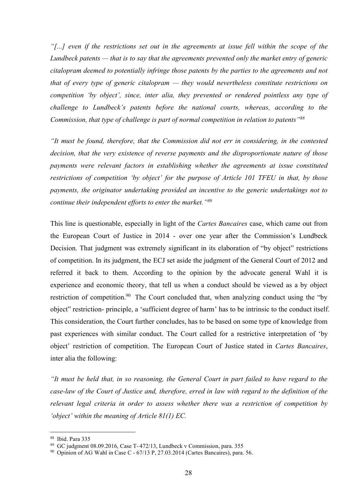"[...] even if the restrictions set out in the agreements at issue fell within the scope of the<br>Lundbeck patents — that is to say that the agreements prevented only the market entry of generic<br>citalopram deemed to potentia "[...] even if the restrictions set out in the agreements at issue fell within the scope of the<br>Lundbeck patents — that is to say that the agreements prevented only the market entry of generic<br>citalopram deemed to potentia "[...] even if the restrictions set out in the agreements at issue fell within the scope of the<br>Lundbeck patents — that is to say that the agreements prevented only the market entry of generic<br>citalopram deemed to potentia "[...] even if the restrictions set out in the agreements at issue fell within the scope of the<br>Lundbeck patents — that is to say that the agreements prevented only the market entry of generic<br>citalopram deemed to potentia "[...] even if the restrictions set out in the agreements at issue fell within the scope of the Lundbeck patents — that is to say that the agreements prevented only the market entry of generic citalopram deemed to potentia "[...] even if the restrictions set out in the agreements at issue fell within the scope of the Lundbeck patents — that is to say that the agreements prevented only the market entry of generic citalopram deemed to potenti "[...] even if the restrictions set out in the agreements at issue fell within the scope of the Lundbeck patents — that is to say that the agreements prevented only the market entry of generic citalopram deemed to potenti "[...] even if the restrictions set out in the agreements at issue fell within the scope of the Lundbeck patents — that is to say that the agreements prevented only the market entry of generic citalopram deemed to potentia "[...] even if the restrictions set out in the agreements at issue fell within the scope of the Lundbeck patents – that is to say that the agreements prevented only the market entry of generic citalopram deemed to potentia "[...] even if the restrictions set out in the agreements at issue fell within the scope of the Lundbeck patents — that is to say that the agreements prevented only the market entry of generic citalopram deemed to potenti "[...] even if the restrictions set out in the agreements at issue fell within the scope of the Lundbeck patents — that is to say that the agreements prevented only the market entry of generic citalopram deemed to potentia "[...] even if the restrictions set out in the agreements at issue fell within the scope of the Lundbeck patents — that is to say that the agreements prevented only the market entry of generic citalopram deemed to potenti *Lundbeck patents*—that is to say that the agreements prevented only the market entry of generic citalopram deemed to potentially infringe those patents by the parties to the agreements and not that of every type of generi

entalopram asemed to potentially injringe intose patents by the parties to the agreements and not<br>that of every type of generic citalopram — they would nevertheless constitute restrictions on<br>competition thy object', sinc the European Court of Justice in 2014 - over one year after the General Court of 2012 and referred in the Homanistan Courts, whereas, according to the Commission, that type of challenge is part of normal courts, whereas, a

competition by object, since, their and, they prevented or renaered pointless any type of<br>challenge to Lundbeck's patents before the national courts, whereas, according to the<br>Commission, that type of challenge is part of challenge to Lunabeck s patents before the national courts, whereas, accoraing to the Commission, that type of challenge is part of normal competition in relation to patents<sup>-ws</sup><br>
"It must be found, therefore, that the Co Commission, mat type of cnatterge is part of normal competition in relation to putents<br>
"It must be found, therefore, that the Commission did not err in considering, in the contested<br>decision, that the very existence of r "It must be found, therefore, that the Commission did not err in considering, in the contested<br>decision, that the very existence of reverse payments and the disproportionate nature of those<br>payments were relevant factors decision, that the very existence of reverse payments and the disproportionate nature of those<br>payments were relevant factors in establishing whether the agreements at issue constituted<br>restrictions of competition 'by obje proments were relevant factors in establishing whether the agreements at issue constituted<br>restrictions of competition 'by object' for the purpose of Article 101 TFEU in that, by those<br>payments, the originator undertaking restrictions of competition 'by object' for the purpose of Article 101 TFEU in that, by those<br>payments, the originator undertaking provided an incentive to the generic undertakings not to<br>continue their independent efforts payments, the originator undertaking provided an incentive to the generic undertakings not to continue their independent efforts to enter the market."<sup>89</sup><br>This line is questionable, especially in light of the *Cartes Banca* continue their independent efforts to enter the market."<sup>89</sup><br>This line is questionable, especially in light of the *Cartes Bancaires* case, which came out from<br>the European Court of Justice in 2014 - over one year after th The European Court of Justice in 2014 - over one year after the Commission's Lundbeck<br>the European Court of Justice in 2014 - over one year after the Commission's Lundbeck<br>Decision. That judgment was extremely significant Example 11 The Court of the Court of Justice and, therefore, erred in law viriting the Court of 2012 and referred it back to them. According to the opinion by the advocate general Court of 2012 and referred it back to the **Example 10** competition. In its judgment, the ECJ set saide the judgment of the General Court of 2012 and referred it back to them. According to the opinion by the advocate general Court of 2012 and referred it back to t The method in the syncemum and the meaning of the opinion by the advocate general Wall it is<br>
experience and economic theory, that tell us when a conduct should be viewed as a by object<br>
restriction of competition.<sup>90</sup> Th Experience and economic metry, unat terr as when a contact should be view<br>restriction of competition.<sup>90</sup> The Court concluded that, when analyzing conco-<br>biject" restriction-principle, a 'sufficient degree of harm' has to restriction of competition.<sup>90</sup> The Court concluded that, when analyzing conduct using the "by<br>object" restriction- principle, a 'sufficient degree of harm' has to be intrinsic to the conduct itself.<br>This consideration, th bolyect" restriction-principle, a 'sufficient degree of harm' has to be intrinsic to the conduct itself.<br>This consideration, the Court further concludes, has to be bare in the conduct itself.<br>This consideration, the Court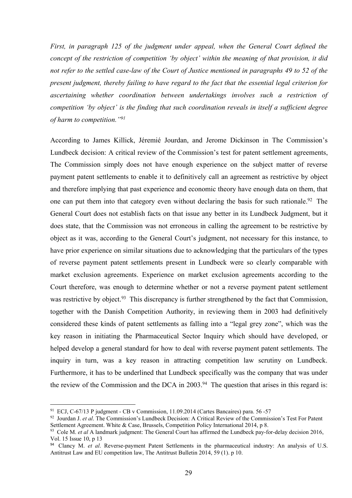First, in paragraph 125 of the judgment under appeal, when the General Court defined the<br>concept of the restriction of competition 'by object' within the meaning of that provision, it did<br>not refer to the settled case-law First, in paragraph 125 of the judgment under appeal, when the General Court defined the<br>concept of the restriction of competition 'by object' within the meaning of that provision, it did<br>not refer to the settled case-law First, in paragraph 125 of the judgment under appeal, when the General Court defined the<br>concept of the restriction of competition 'by object' within the meaning of that provision, it did<br>not refer to the settled case-law First, in paragraph 125 of the judgment under appeal, when the General Court defined the concept of the restriction of competition 'by object' within the meaning of that provision, it did not refer to the settled case-law First, in paragraph 125 of the judgment under appeal, when the General Court defined the concept of the restriction of competition 'by object' within the meaning of that provision, it did not refer to the settled case-law First, in paragraph 125 of the judgment under appeal, when the General Court defined the concept of the restriction of competition 'by object' within the meaning of that provision, it did not refer to the settled case-law First, in paragraph 125 of the judgment under appeal, when the General<br>concept of the restriction of competition 'by object' within the meaning of the<br>not refer to the settled case-law of the Court of Justice mentioned in First, in paragraph 125 of the judgment under appeal, when the General Court defined the<br>concept of the restriction of competition 'by object' within the meaning of that provision, it did<br>not refer to the settled case-law First, in paragraph 125 of the judgment under appeal, when the General Court defined the concept of the restriction of competition 'by object' within the meaning of that provision, it did<br>not refer to the settled case-law First, in paragraph 125 of the judgment under appeal, when the General Court defined the concept of the restriction of competition by object' within the meaning of that provision, it did not refer to the settled case-law

*First, in paragraph 125 of the judgment under appeal, when the General Court defined the* concept of the restriction of competition 'by object' within the meaning of that provision, it did<br>not refer to the settled case-l First, in paragraph 125 of the judgment under appeal, when the General Court defined the concept of the restriction of competition 'by object' within the meaning of that provision, it did<br>not refer to the settled case-law Concept of the restriction of competition "by object" within the meaning of that provision, it did<br>not refer to the vesticlarion of competition "by object" within the meaning of that provision, it did<br>not refer to the set Exterior the test external Court of Justice mentioned in paragraphs 49 to 52 of the<br>present judgment, thereby failing to have regard to the fact that the essential legal criterion for<br>ascertaining whether coordination bet the commission is that the Commission was not ever when the extention are pure to the commission is present judgment, thereby failing to have regard to the fact that the essential legal criterion for assocrtaining whether *presentaining whether coordination between undertakings involves such a restriction of accordination between undertakings involves such a restriction of competition 'by object' is the finding that such coordination revea* competition "by object" is the finding that such coordination reveals in itself a sufficient degree<br>of harm to competition."<sup>97</sup><br>According to James Killick, Jéremié Jourdan, and Jerome Dickinson in The Commission's<br>Lundbec Comparinon of payers. The methanic settlement in Lundbeck were solution in The Commission's<br>According to James Killick, Jéremié Jourdan, and Jerome Dickinson in The Commission's<br>Lundbeck decision: A critical review of the According to James Killick, Jéremié Jourdan, and Jerome Dickinson in The Commission's<br>Lundbeck decision: A critical review of the Commission's test for patent settlement agreements,<br>The Commission simply does not have eno According to James Killick, Jéremié Jourdan, and Jerome Dickinson in The Commission's<br>Lundbeck decision: A critical review of the Commission's test for patent settlement agreements,<br>The Commission simply does not have enou Lundbeck decision: A critical review of the Commission's test for patent settlement agreements,<br>The Commission simply does not have enough experience on the subject matter of reverse<br>payment patent settlements to enable it The Commission simply does not have enough experience on the subject matter of reverse<br>payment patent settlements to enable it to definitively call an agreement as restrictive by object<br>and therefore implying that past exp payment patent settlements to enable it to definitively call an agreement as restrictive by object<br>and therefore implying that past experience and economic theory have enough data on them, that<br>one can put them into that c and therefore implying that past experience and economic theory have enough data on them, that<br>one can put them into that category even without declaring the basis for such rationale.<sup>92</sup> The<br>General Court does not establi one can put them into that category even without declaring the basis for such rationale.<sup>92</sup> The General Court does not establish facts on that issue any better in its Lundbeck Judgment, but it does state, that the Commiss General Court does not establish facts on that issue any better in its Lundbeck Judgment, but it<br>does state, that the Commission was not erroneous in calling the agreement to be restrictive by<br>object as it was, according t does state, that the Commission was not erroneous in calling the agreement to be restrictive by object as it was, according to the General Court's judgment, not necessary for this instance, to have prior experience on sim object as it was, according to the General Court's judgment, not necessary for this instance, to<br>have prior experience on similar situations due to acknowledging that the particulars of the types<br>of reverse payment patent of reverse payment patent settlements present in Lundbeck were so clearly comparable with<br>market exclusion agreements. Experience on market exclusion agreements according to the<br>Court therefore, was enough to determine wh market exclusion agreements. Experience on market exclusion agreements according to the<br>Court therefore, was enough to determine whether or not a reverse payment patent settlement<br>was restrictive by object.<sup>33</sup> This discr market exclusion agreements. Experience on market exclusion agreements according to the<br>Court therefore, was enough to determine whether or not a reverse payment patent settlement<br>was restrictive by object.<sup>93</sup> This discre Court therefore, was enough to determine whether or not a reverse payment patent settlement<br>was restrictive by object.<sup>93</sup> This discrepaney is further strengthened by the fact that Commission,<br>together with the Danish Com Court therefore, was enough to determine whether or not a reverse payment patent stellement<br>was restrictive by object.<sup>93</sup> This discrepancy is further strengthened by the fact that Commission,<br>together with the Danish Com Was restrictive by object.<sup>22</sup> Tins discrepancy is further strengthened by the fact that Commission,<br>together with the Danish Competition Authority, in reviewing them in 2003 had definitively<br>considered these kinds of pat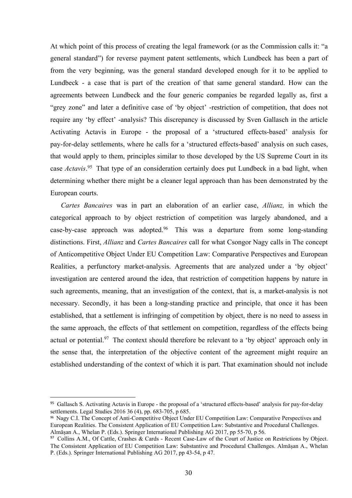At which point of this process of creating the legal framework (or as the Commission calls it: "a<br>general standard") for reverse payment patent settlements, which Lundbeck has been a part of<br>from the very beginning, was th At which point of this process of creating the legal framework (or as the Commission calls it: "a general standard") for reverse payment patent settlements, which Lundbeck has been a part of from the very beginning, was th At which point of this process of creating the legal framework (or as the Commission calls it: "a general standard") for reverse payment patent settlements, which Lundbeck has been a part of from the very beginning, was th At which point of this process of creating the legal framework (or as the Commission calls it: "a general standard") for reverse payment patent settlements, which Lundbeck has been a part of from the very beginning, was th At which point of this process of creating the legal framework (or as the Commission calls it: "a general standard") for reverse payment patent settlements, which Lundbeck has been a part of from the very beginning, was th At which point of this process of creating the legal framework (or as the Commission calls it: "a general standard") for reverse payment patent settlements, which Lundbeck has been a part of from the very beginning, was th At which point of this process of creating the legal framework (or as the Commission calls it: "a general standard") for reverse payment patent settlements, which Lundbeck has been a part of from the very beginning, was th At which point of this process of creating the legal framework (or as the Commission calls it: "a general standard") for reverse payment patent settlements, which Lundbeck has been a part of from the very beginning, was th At which point of this process of creating the legal framework (or as the Commission calls it: "a<br>general standard") for reverse payment patent settlements, which Lundbeck has been a part of<br>from the very beginning, was t At which point of this process of creating the legal framework (or as the Commission calls it: "a general standard") for reverse payment patent settlements, which Lundbeck has been a part of from the very beginning, was th At which point of this process of creating the legal framework (or as the Commission calls it: "a general standard") for reverse payment patent settlements, which Lundbeck has been a part of from the very beginning, was th At which point of this process of creating the legal framework (or as the Commission calls it: "a general standard") for reverse payment patent settlements, which Lundbeck has been a part of from the very beginning, was t At which point of this process of creating the legal framework (or as the Con<br>general standard") for reverse payment patent settlements, which Lundbeck<br>from the very beginning, was the general standard developed enough for eral standard") for reverse payment patent settlements, which Lundbeck has been a part of<br>the very beginning, was the general standard developed enough for it to be applied to<br>dbcck - a case that is part of the creation of from the very beginning, was the general standard developed enough for it to be applied to Lundbeck - a case that is part of the creation of that same general standard. How can the agreements between Lundbeck and the four Lundbeck - a case that is part of the creation of that same general standard. How can the agreements between Lundbeck and the four generic companies be regarded legally as, first a "grey zone" and later a definitive case agreements between Lundbeck and the four generic companies be regarded legally as, first a "grey zone" and later a definitive case of 'by object' -restriction of competition, that does not require any 'by effect' -analysis "grey zone" and later a definitive case of "by object" -restriction of competition, that does not<br>require any 'by effect' -analysis? This discrepancy is discussed by Sven Gallasch in the article<br>Activating Actavis in Europ

require any 'by effect' -analysis? This discrepancy is discussed by Sven Gallasch in the article<br>Activating Actavis in Europe - the proposal of a 'structured effects-based' analysis for<br>pay-for-delay settlements, where he Activating Actavis in Europe - the proposal of a 'structured effects-based' analysis for pay-for-delay settlements, where he calls for a 'structured effects-based' analysis on such cases, that would apply to them, principl pay-for-delay settlements, where he calls for a 'structured effects-based' analysis on such eases, that would apply to them, principles similar to those developed by the US Supreme Court in its case *Actavis*.<sup>95</sup> That typ that would apply to them, principles similar to those developed by the US Supreme Court in its<br>case *Actavis*.<sup>95</sup> That type of an consideration ecrtainly does put Lundbeck in a bad light, when<br>determining whether there mi case *Actavis*.<sup>95</sup> That type of an consideration certainly does put Lundbeck in a bad light, when<br>determining whether there might be a cleaner legal approach than has been demonstrated by the<br>European courts.<br>Cartes *Banc* determining whether there might be a cleaner legal approach than has been demonstrated by the European courts.<br> *Cartes Bancaires* was in part an elaboration of an earlier case, *Allianz*, in which the eategorical approach European courts.<br>
Cartes Bancaires was in part an elaboration of an earlier case, *Allianz*, in which the<br>
categorical approach to by object restriction of competition was largely abandoned, and a<br>
case-by-case approach wa Cartes Bancaires was in part an elaboration of an earlier case, *Allianz*, in which the eategorical approach to by object restriction of competition was largely abandoned, and a ease-by-ease approach was adopted.<sup>96</sup> This eategorical approach to by object restriction of competition was largely abandoned, and a<br>case-by-case approach was adopted.<sup>96</sup> This was a departure from some long-standing<br>distinctions. First, *Allianz* and *Cartes Banca* Realities, a perfunctory market-analysis. Agreements that are analyzed under a 'by object'<br>investigation are centered around the idea, that restriction of competition happens by nature in<br>such agreements, meaning, that an Realities, a perfunctory market-analysis. Agreements that are analyzed under a 'by object'<br>investigation are centered around the idea, that restriction of competition happens by nature in<br>such agreements, meaning, that an investigation are centered around the idea, that restriction of competition happens by nature in<br>such agreements, meaning, that an investigation of the context, that is, a market-analysis is not<br>necessary. Secondly, it has Investigation are centered around the idea, that restriction of competition nappens by nature in<br>such agreements, meaning, that an investigation of the context, that is, a market-analysis is not<br>necessary. Secondly, it has Substant approaches, meaning, unt ar in westengation of the Contect, unter Substantial and the secondly, it has been a long-stanting practice and principle, that once it has been encessary. Secondly, it has been a long-sta necessary. Secondly, it has been a long-standing practice and principle, that once it has been<br>established, that a settlement is infringing of competition by object, there is no need to assess in<br>the same approach, the eff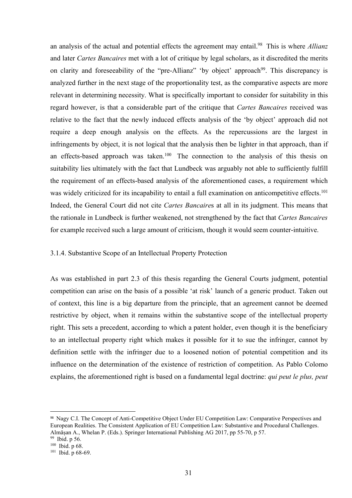an analysis of the actual and potential effects the agreement may entail.<sup>98</sup> This is where *Allianz*<br>and later *Cartes Bancaires* met with a lot of critique by legal scholars, as it discredited the merits<br>on clarity and f an analysis of the actual and potential effects the agreement may entail.<sup>98</sup> This is where *Allianz*<br>and later Cartes Bancaires met with a lot of critique by legal scholars, as it discredited the merits<br>on clarity and for an analysis of the actual and potential effects the agreement may entail.<sup>98</sup> This is where *Allianz*<br>and later *Cartes Bancaires* met with a lot of critique by legal scholars, as it discredited the merits<br>on clarity and f an analysis of the actual and potential effects the agreement may entail.<sup>98</sup> This is where *Allianz* and later *Cartes Bancaires* met with a lot of critique by legal scholars, as it discredited the merits on clarity and f an analysis of the actual and potential effects the agreement may entail.<sup>98</sup> This is where *Allianz* and later *Cartes Bancaires* met with a lot of critique by legal scholars, as it discredited the merits on clarity and f an analysis of the actual and potential effects the agreement may entail.<sup>98</sup> This is where *Altianz* and later *Cartes Bancaires* met with a lot of critique by legal scholars, as it discredited the merits on clarity and f an analysis of the actual and potential effects the agreement may entail.<sup>98</sup> This is where *Allianz* and later *Cartes Bancaires* met with a lot of critique by legal scholars, as it discredited the merits on clarity and f an analysis of the actual and potential effects the agreement may entail.<sup>98</sup> This is where *Allianz* and later *Cartes Bancaires* met with a lot of critique by legal scholars, as it discredited the merits on clarity and an analysis of the actual and potential effects the agreement may entail.<sup>98</sup> This is where *Allianz* and later *Cartes Bancaires* met with a lot of critique by legal scholars, as it discredited the merits on clarity and f an analysis of the actual and potential effects the agreement may entail.<sup>98</sup> This is where *Allianz* and later *Cartes Bancaires* met with a lot of critique by legal scholars, as it discredited the merits on clarity and an analysis of the actual and potential effects the agreement may entail.<sup>98</sup> This is where *Allianz* and later *Cartes Bancaires* met with a lot of critique by legal scholars, as it discredited the merits on clarity and an analysis of the actual and potential effects the agreement may entail.<sup>98</sup> This is where *Allianz* and later *Cartes Bancaires* met with a lot of critique by legal scholars, as it discredited the merits on clarity and an analysis of the actual and potential effects the agreement may entail.<sup>98</sup> This is where *Allianz* and later *Cartes Bancaires* met with a lot of critique by legal scholars, as it discredited the merits on clarity and and later *Cartes Bancaires* met with a lot of critique by legal scholars, as it discredited the merits<br>on clarity and forcsceability of the "pre-Allianz" 'by object' approach<sup>99</sup>. This discrepancy is<br>analyzed further in on clarity and foreseeability of the "pre-Allianz" "by object" approach<sup>99</sup>. This discrepancy is<br>analyzed further in the next stage of the proportionality test, as the comparative aspects are more<br>relevant in determining analyzed further in the next stage of the proportionality test, as the comparative aspects are more relevant in determining necessity. What is specifically important to consider for suitability in this regard however, is t regard however, is that a considerable part of the critique that *Cartes Bancaires* received was relative to the fact that the newly induced effects analysis of the 'by object' approach did not require a deep enough analys require a deep enough analysis on the effects. As the repercussions are the largest in<br>infringements by object, it is not logical that the analysis then be lighter in that approach, than if<br>an effects-based approach was ta infringements by object, it is not logical that the analysis then be lighter in that approach, than if<br>an effects-based approach was taken.<sup>160</sup> The connection to the analysis of this thesis on<br>suitability lies ultimately an effects-based approach was taken.<sup>160</sup> The connection to the analysis of this thesis on suitability lies ultimately with the fact that Lundbeck was arguably not able to sufficiently fulfill the requirement of an effects

suitability lies ultimately with the fact that Lundbeck was arguably not able to sufficiently fulfill<br>the requirement of an effects-based analysis of the aforementioned cases, a requirement which<br>was widely criticized for the requirement of an effects-based analysis of the aforementioned cases, a requirement which<br>was widely criticized for its incapability to entail a full examination on anticompetitive effects.<sup>101</sup><br>Indeed, the General Cou was widely criticized for its incapability to entail a full examination on anticompetitive effects.<sup>101</sup><br>Indeed, the General Court did not cite *Cartes Bancaires* at all in its judgment. This means that<br>the rationale in L Indeed, the General Court did not cite *Cartes Bancaires* at all in its judgment. This means that<br>the rationale in Lundbeck is further weakened, not strengthened by the fact that *Cartes Bancaires*<br>for example received suc the rationale in Lundbeck is further weakened, not strengthened by the fact that *Cartes Bancaires* for example received such a large amount of criticism, though it would seem counter-intuitive.<br>3.1.4. Substantive Scope of for example received such a large amount of criticism, though it would seem counter-intuitive.<br>3.1.4. Substantive Scope of an Intellectual Property Protection<br>As was established in part 2.3 of this thesis regarding the Gen As was established in part 2.3 of this thesis regarding the General Courts judgment, potential<br>competition can arise on the basis of a possible 'at risk' launch of a generic product. Taken out<br>of context, this line is a b As was established in part 2.3 of this thesis regarding the General Courts judgment, potential<br>competition can arise on the basis of a possible 'at risk' launch of a generic product. Taken out<br>of context, this line is a b As was established in part 2.5 of this thesis regarding the General courts judgment, potential<br>competition can raise on the basis of a possible 'at risk' launch of a generic product. Taken out<br>of context, this line is a b competition can arise on the basis of a possible 'at risk' launch of a generi<br>of context, this line is a big departure from the principle, that an agreeme<br>restrictive by object, when it remains within the substantive scope being the state of the basis of a possible at first state of a general of context, this line is a big departure from the principle, that an agreemer restrictive by object, when it remains within the substantive scope of th of context, this line is a big departure from the principle, that an agreemer<br>restrictive by object, when it remains within the substantive scope of the<br>right. This sets a precedent, according to which a patent holder, eve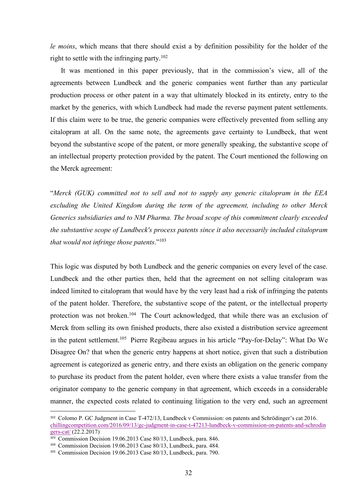*le moins*, which means that there should exist a by definition possibility for the holder of the right to settle with the infringing party.<sup>102</sup><br>It was mentioned in this paper previously, that in the commission's view, al

*le moins*, which means that there should exist a by definition possibility for the holder of the right to settle with the infringing party.<sup>102</sup><br>It was mentioned in this paper previously, that in the commission's view, al *noins*, which means that there should exist a by definition possibility for the holder of the<br>t to settle with the infringing party.<sup>102</sup><br>It was mentioned in this paper previously, that in the commission's view, all of th *le moins*, which means that there should exist a by definition possibility for the holder of the right to settle with the infringing party.<sup>102</sup><br>It was mentioned in this paper previously, that in the commission's view, a *le moins*, which means that there should exist a by definition possibility for the holder of the right to settle with the infringing party.<sup>102</sup><br>It was mentioned in this paper previously, that in the commission's view, al *le moins*, which means that there should exist a by definition possibility for the holder of the right to settle with the infringing party.<sup>102</sup><br>It was mentioned in this paper previously, that in the commission's view, al *Le moins*, which means that there should exist a by definition possibility for the holder of the right to settle with the infringing party.<sup>102</sup><br>It was mentioned in this paper previously, that in the commission's view, a *le moins*, which means that there should exist a by definition possibility for the holder of the right to settle with the infringing party.<sup>102</sup><br>It was mentioned in this paper previously, that in the commission's view, al *le moins*, which means that there should exist a by definition possibility for the holder of the right to settle with the infringing party.<sup>102</sup><br>It was mentioned in this paper previously, that in the commission's view, al *le moins*, which means that there should exist a by definition possibility for the holder of the right to settle with the infringing party.<sup>102</sup><br>It was mentioned in this paper previously, that in the commission's view, a *te moins*, which means that there should exist a by definition possibility for the holder of the right to settle with the infringing party.<sup>102</sup><br>It was mentioned in this paper previously, that in the commission's view, a right to settle with the infringing party,<sup>102</sup><br>It was mentioned in this paper previously, that in the commission's view, all of the<br>agreements between Lundbeck and the generic companies went further than any particular<br>p It was mentioned in this paper previously, that in the commission's view, all of the agreements between Lundbeck and the generic companies went further than any particular production process or other patent in a way that agreements between Lundbeck' and the generic companies went further than any particular production process or other patent in a way that ultimately blocked in its entirety, entry to the market by the generics, with which L production process or other patent in a way that ultimately blocked in its entirety, entry to the market by the generics, with which Lundbeck had made the reverse payment patent settlements.<br>If this claim were to be true, If this claim were to be true, the generic companies were effectively prevented from selling any<br>citalopram at all. On the same note, the agreements gave certainty to Lundbeck, that went<br>beyond the substantive scope of the

eitalopram at all. On the same note, the agreements gave ecrtainty to Lundbeck, that went<br>beyond the substantive scope of the patent, or more generally speaking, the substantive scope of<br>an intellectual property protection

beyond the substantive scope of the patent, or more generally speaking, the substantive scope of<br>an intellectual property protection provided by the patent. The Court mentioned the following on<br>the Merck agreement:<br>"Merck an intellectual property protection provided by the patent. The Court mentioned the following on<br>the Merck agreement:<br>
"Merck (GUK) committed not to sell and not to supply any generic citalopram in the EEA<br>
excluding the U the Merck agreement:<br>
"Merck (GUK) committed not to sell and not to supply any generic citalopram in the EEA<br>
excluding the United Kingdom during the term of the agreement, including to other Merck<br>
Generics substdiaries a "Merck (GUK) committed not to sell and not to supply any generic citalopram in the EEA excluding the United Kingdom during the term of the agreement, including to other Merck Generics subsidiaries and to NM Pharma. The bro "Merck (GUK) committed not to sell and not to supply any generic citalopram in the EEA<br>excluding the United Kingdom during the term of the agreement, including to other Merck<br>Generics subsidiaries and to NM Pharma. The bro excluding the United Kingdom during the term of the agreement, including to other Merck<br>Generics subsidiaries and to NM Pharma. The broad scope of this commitment clearly exceeded<br>the substantive scope of Lundbeck's proces Generics subsidiaries and to NM Pharma. The broad scope of this commitment clearly exceeded<br>the substantive scope of Lundbeck's process patents since it also necessarily included citalopram<br>that would not infringe those pa the substantive scope of Lundbeck's process patents since it also necessarily included citalopram<br>that would not infringe those patents."<sup>103</sup><br>This logic was disputed by both Lundbeck and the generic companies on every lev that would not infringe those patents.<sup>9103</sup><br>This logic was disputed by both Lundbeck and the generic companies on every level of the case.<br>Lundbeck and the other parties then, held that the agreement on not selling cital This logic was disputed by both Lundbeck and the generic companies on every level of the case.<br>
Lundbeck and the other parties then, held that the agreement on not selling citalopram was<br>
indeed limited to citalopram that This logic was disputed by both Lundbeck and the generic companies on every level of the case.<br>
Lundbeck and the other parties then, held that the agreement on not selling citalopram was<br>
indeed limited to citalopram that indeed limited to citalopram that would have by the very least had a risk of infringing the patents<br>of the patent holder. Therefore, the substantive scope of the patent, or the intellectual property<br>protection was not brok modeo times to enargy the last word late velocity that is the state of the patter holder property<br>protection was not broken.<sup>104</sup> The Court acknowledged, that while there was an exclusion of<br>Merck from selling its own fini of the patent holder. Therefore, the substantive scope of the patent, or the intellectual property<br>protection was not broken.<sup>164</sup> The Court acknowledged, that while there was an exclusion of<br>Merck from selling its own fin

chillingcompetition.com/2016/09/13/gc-judgment-in-case-t-47213-lundbeck-v-commission-on-patents-and-schrodin

gers-cat/ (22.2.2017)<br><sup>103</sup> Commission Decision 19.06.2013 Case 80/13, Lundbeck, para. 846.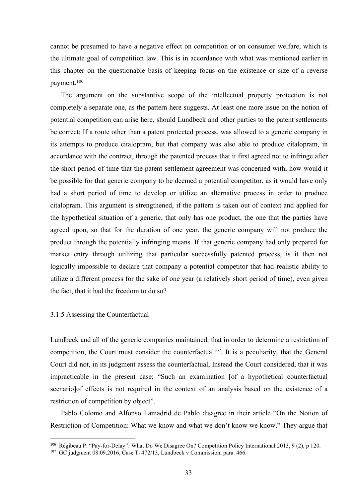cannot be presumed to have a negative effect on competition or on consumer welfare, which is<br>the ultimate goal of competition law. This is in accordance with what was mentioned earlier in<br>this chapter on the questionable b the ultimate goal of competition law. This is in accordance with what was mentioned earlier in this chapter on the questionable basis of keeping focus on the existence or size of a reverse payment.<sup>106</sup><br>The argument on the cannot be presumed to have a negative effect on competition or on consumer welfare, which is<br>the ultimate goal of competition law. This is in accordance with what was mentioned earlier in<br>this chapter on the questionable b payment.106 not be presumed to have a negative effect on competition or on consumer welfare, which is<br>ultimate goal of competition law. This is in accordance with what was mentioned carlier in<br>chapter on the questionable basis of keep

cannot be presumed to have a negative effect on competition or on consumer welfare, which is<br>the ultimate goal of competition law. This is in accordance with what was mentioned carlier in<br>this chapter on the questionable b cannot be presumed to have a negative effect on competition or on consumer welfare, which is<br>the ultimate goal of competition law. This is in accordance with what was mentioned earlier in<br>this chapter on the questionable b cannot be presumed to have a negative effect on competition or on consumer welfare, which is<br>the ultimate goal of competition law. This is in accordance with what was mentioned earlier in<br>this chapter on the questionable b cannot be presumed to have a negative effect on competition or on consumer welfare, which is<br>the ultimate goal of competition law. This is in accordance with what was mentioned carlier in<br>this chapter on the questionable b cannot be presumed to have a negative effect on competition or on consumer welfare, which is<br>the ultimate goal of competition law. This is in accordance with what was mentioned earlier in<br>this chapter on the questionable b cannot be presumed to have a negative effect on competition or on consumer welfare, which is<br>the ultimate goal of competition law. This is in accordance with what was mentioned earlier in<br>this chapter on the questionable b cannot be presumed to have a negative effect on competition or on consumer welfare, which is<br>the ultimate goal of competition law. This is in accordance with what was mentioned carlier in<br>this chapter on the questionable b cannot be presumed to have a negative effect on competition or on consumer welfare, which is<br>the ultimate goal of competition law. This is in accordance with what was mentioned carlier in<br>this chapter on the questionable b the ultimate goal of competition law. This is in accordance with what was mentioned earlier in<br>this chapter on the questionable basis of keeping focus on the existence or size of a reverse<br>payment.<sup>106</sup><br>The argument on the this chapter on the questionable basis of keeping focus on the existence or size of a reverse<br>payment.<sup>106</sup><br>The argument on the substantive scope of the intellectual property protection is not<br>completely a separate one, as payment.<sup>106</sup><br>The argument on the substantive scope of the intellectual property protection is not<br>completely a separate one, as the pattern here suggests. At least one more issue on the notion of<br>potential competition can The argument on the substantive scope of the intellectual property protection is not completely a separate one, as the pattern here suggests. At least one more issue on the notion of potential competition can arise here, s completely a separate one, as the pattern here suggests. At least one more issue on the notion of<br>potential competition can arise here, should Lundbeck and other parties to the patent settlements<br>be correct; If a route oth potential competition can arise here, should Lundbeck and other parties to the patent settlements<br>be correct; If a route other than a patent protected process, was allowed to a generic company in<br>its attempts to produce ci be correct; If a route other than a patent protected process, was allowed to a generic company in<br>its attempts to produce citalopram, but that company was also able to produce citalopram, in<br>accordance with the contract, t its attempts to produce citalopram, but that company was also able to produce citalopram, in accordance with the contract, through the patented process that it first agreed not to infringe after the short period of time th the short period of time that the patent settlement agreement was concerned with, how<br>be possible for that generic company to be decemed a potential competitor, as it would<br>had a short period of time to develop or utilize had a short period of time to develop or utilize an alternative process in order to produce<br>citalopram. This argument is strengthened, if the pattern is taken out of context and applied for<br>the hypothetical situation of a citalopram. This argument is strengthened, if the pattern is taken out of context and applied for<br>the hypothetical situation of a generic, that only has one product, the one that the partics have<br>agreed upon, so that for t the hypothetical situation of a generic, that only has one product, the one that the parties have agreed upon, so that for the duration of one year, the generic company will not produce the product through the potentially agreed upon, so that for the duration of one year, the generic company will not produce the<br>product through the potentially infringing means. If that generic company had only prepared for<br>market entry through utilizing tha

product through the potentially infringing means. If that generic company had only prepared for market entry through utilizing that particular successfully patented process, is it then not logically impossible to declare t market entry through utilizing that particular successfully patented process, is it then no<br>logically impossible to declare that company a potential competitor that had realistic ability to<br>utilize a different process for cally impossible to declare that company a potential competitor that had realistic ability to<br>izc a different process for the sake of one year (a relatively short period of time), even given<br>fact, that it had the freedom t utilize a different process for the sake of one year (a relatively short period of time), even given<br>the fact, that it had the freedom to do so?<br>3.1.5 Assessing the Counterfactual<br>Lundbeck and all of the generic companies 3.1.5 Assessing the Counterfactual<br>
Lundbeck and all of the generic companies maintained, that in order to determine a restriction of<br>
competition, the Court must consider the counterfactual<sup>167</sup>. It is a peculiarity, tha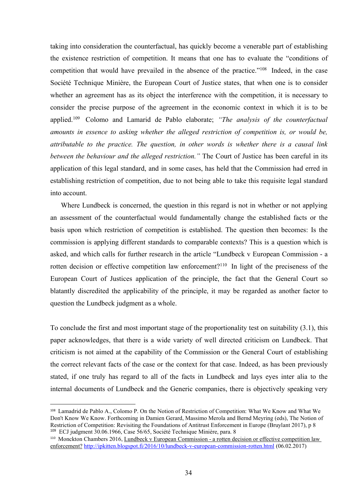taking into consideration the counterfactual, has quickly become a venerable part of establishing<br>the existence restriction of competition. It means that one has to evaluate the "conditions of<br>competition that would have p taking into consideration the counterfactual, has quickly become a venerable part of establishing<br>the existence restriction of competition. It means that one has to evaluate the "conditions of<br>competition that would have p taking into consideration the counterfactual, has quickly become a venerable part of establishing<br>the existence restriction of competition. It means that one has to evaluate the "conditions of<br>competition that would have p taking into consideration the counterfactual, has quickly become a venerable part of establishing<br>the existence restriction of competition. It means that one has to evaluate the "conditions of<br>competition that would have p taking into consideration the counterfactual, has quickly become a venerable part of establishing<br>the existence restriction of competition. It means that one has to evaluate the "conditions of<br>competition that would have p taking into consideration the counterfactual, has quickly become a venerable part of establishing<br>the existence restriction of competition. It means that one has to evaluate the "conditions of<br>competition that would have taking into consideration the counterfactual, has quickly become a venerable part of establishing<br>the existence restriction of competition. It means that one has to evaluate the "conditions of<br>competition that would have p taking into consideration the counterfactual, has quickly become a venerable part of establishing<br>the existence restriction of competition. It means that one has to evaluate the "conditions of<br>competition that would have p taking into consideration the counterfactual, has quickly become a venerable part of establishing<br>the existence restriction of competition. It means that one has to evaluate the "conditions of<br>competition that would have p taking into consideration the counterfactual, has quickly become a venerable part of establishing<br>the existence restriction of competition. It means that one has to evaluate the "conditions of<br>competition that would have p taking into consideration the counterfactual, has quickly become a venerable part of establishing<br>the existence restriction of competition. It means that one has to evaluate the "conditions of<br>competition that would have p taking into consideration the counterfactual, has quickly become a venerable part of establishing<br>the existence restriction of competition. It means that one has to evaluate the "conditions of<br>competition that would have p taking into consideration the counterfactual, has quickly become a vene<br>the existence restriction of competition. It means that one has to eva<br>competition that would have prevailed in the absence of the practice.<br>Société T existence restriction of competition. It means that one has to evaluate the "conditions of opetition that would have prevailed in the absence of the practice.<sup>n108</sup> Indeed, in the case icté Technique Minière, the European competition that would have prevailed in the absence of the practice.<sup>1168</sup> Indeed, in the case<br>Société Technique Minière, the European Court of Justice states, that when one is to consider<br>whether an agreement has as its Société Technique Minière, the European Court of Justice states, that when one is to consider whether an agreement has as its object the interference with the competition, it is necessary to consider the precise purpose of whether an agreement has as its object the interference with the competition, it is necessary to<br>consider the precise purpose of the agreement in the ceonomic context in which it is to be<br>applied.<sup>109</sup> Colomo and Lamarid d consider the precise purpose of the agreement in the economic context in which it is to be applied.<sup>109</sup> Colomo and Lamarid de Pablo claborate; *"The analysis of the counterfactual amounts in essence to asking whether the* 

applied.<sup>169</sup> Colomo and Lamarid de Pablo elaborate; *"The analysis of the counterfactual amounts in essence to asking whether the alleged restriction of competition is, or would be, attributable to the practice. The quest* amounts in essence to asking whether the alleged restriction of competition is, or would be,<br>attributable to the practice. The question, in other words is whether there is a causal link<br>between the behaviour and the allege attributable to the practice. The question, in other words is whether there is a causal link<br>between the behaviour and the alleged restriction." The Court of Justice has been careful in its<br>application of this legal standa between the behaviour and the alleged restriction." The Court of Justice has been careful in its<br>application of this legal standard, and in some cases, has held that the Commission had erred in<br>establishing restriction of establishing restriction of competition, due to not being able to take this requisite legal standard<br>into account.<br>Where Lundbeck is concerned, the question in this regard is not in whether or not applying<br>an assessment of into account.<br>
Where Lundbeck is concerned, the question in this regard is not in whether or not applying<br>
an assessment of the counterfactual would fundamentally change the established facts or the<br>
basis upon which restr Where Lundbeck is concerned, the question in this regard is not in whether or not applying<br>an assessment of the counterfactual would fundamentally change the established facts or the<br>basis upon which restriction of competi an assessment of the counterfactual would fundamentally change the established facts or the basis upon which restriction of competition is established. The question then becomes: Is the commission is applying different sta basis upon which restriction of competition is established. The question then becomes: Is the commission is applying different standards to comparable contexts? This is a question which is asked, and which calls for furthe commission is applying different standards to comparable contexts? This is a question which is<br>asked, and which calls for further research in the article "Lundbeck v European Commission - a<br>rotten decision or effective com

rotten decision or effective competition law enforcement?<sup>110</sup> In light of the preciseness of the European Court of Justices application of the principle, the fact that the General Court so blatantly discredited the applic rotten decision or effective competition law enforcement?<sup>110</sup> In light of the preciseness of the<br>European Court of Justices application of the principle, the fact that the General Court so<br>blatantly discredited the applic European Court of Justices application of the principle, it may be regarded as another factor to question the Lundbeck judgment as a whole.<br>
To conclude the first and most important stage of the proportionality test on su blatantly discredited the applicability of the principle, it may be regarded as another factor to<br>question the Lundbeck judgment as a whole.<br>To conclude the first and most important stage of the proportionality test on su

enforcement? http://ipkitten.blogspot.fi/2016/10/lundbeck-v-european-commission-rotten.html (06.02.2017)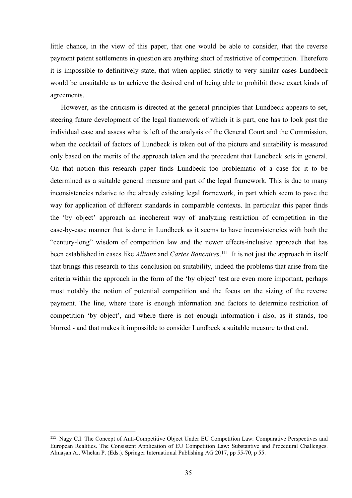little chance, in the view of this paper, that one would be able to consider, that the reverse<br>payment patent settlements in question are anything short of restrictive of competition. Therefore<br>it is impossible to definiti little chance, in the view of this paper, that one would be able to consider, that the reverse<br>payment patent settlements in question are anything short of restrictive of competition. Therefore<br>it is impossible to definiti little chance, in the view of this paper, that one would be able to consider, that the reverse<br>payment patent settlements in question are anything short of restrictive of competition. Therefore<br>it is impossible to definiti little chance, in the view of this paper, that one would be able to consider, that the reverse<br>payment patent settlements in question are anything short of restrictive of competition. Therefore<br>it is impossible to definiti agreements. Example of this paper, that one would be able to consider, that the reverse<br>ment patent settlements in question are anything short of restrictive of competition. Therefore<br>impossible to definitively state, that when applie little chance, in the view of this paper, that one would be able to consider, that the reverse<br>payment patent settlements in question are anything short of restrictive of competition. Therefore<br>it is impossible to definiti

little chance, in the view of this paper, that one would be able to consider, that the reverse<br>payment patent settlements in question are anything short of restrictive of competition. Therefore<br>it is impossible to definiti little chance, in the view of this paper, that one would be able to consider, that the reverse<br>payment patent settlements in question are anything short of restrictive of competition. Therefore<br>it is impossible to definiti little chance, in the view of this paper, that one would be able to consider, that the reverse<br>payment patent settlements in question are anything short of restrictive of competition. Therefore<br>it is impossible to definiti little chance, in the view of this paper, that one would be able to consider, that the reverse<br>payment patent settlements in question are anything short of restrictive of competition. Therefore<br>it is impossible to definiti little chance, in the view of this paper, that one would be able to consider, that the reverse<br>payment patent settlements in question are anything short of restrictive of competition. Therefore<br>it is impossible to definiti little chance, in the view of this paper, that one would be able to consider, that the reverse<br>payment patent settlements in question are anything short of restrictive of competition. Therefore<br>it is impossible to definiti payment patent settlements in question are anything short of restrictive of competition. Therefore<br>it is impossible to definitively state, that when applied strictly to very similar cases Lundbeck<br>would be unsuitable as to it is impossible to definitively state, that when applied strictly to very similar cases Lundbeck<br>would be unsuitable as to achieve the desired end of being able to prohibit those exact kinds of<br>agreements.<br>However, as the would be unsuitable as to achieve the desired end of being able to prohibit those exact kinds of agreements.<br>
However, as the criticism is directed at the general principles that Lundbeck appears to set, steering future de agreements.<br>
However, as the criticism is directed at the general principles that Lundbeck appears to set,<br>
steering future development of the legal framework of which it is part, one has to look past the<br>
individual case However, as the criticism is directed at the general principles that Lundbeck appears to set,<br>stecring future development of the legal framework of which it is part, one has to look past the<br>individual case and assess what steering future development of the legal framework of which it is part, one has to look past the individual case and assess what is left of the analysis of the General Court and the Commission, when the cocktail of factors individual case and assess what is left of the analysis of the General Court and the Commission, when the cocktail of factors of Lundbeck is taken out of the picture and suitability is measured only based on the merits of when the cocktail of factors of Lundbeck is taken out of the picture and suitability is measured<br>only based on the merits of the approach taken and the precedent that Lundbeck sets in general.<br>On that notion this research only based on the merits of the approach taken and the precedent that Lundbeck sets in general.<br>On that notion this research paper finds Lundbeck too problematic of a case for it to be<br>determined as a suitable general meas On that notion this research paper finds Lundbeck too problematic of a case for it to be determined as a suitable general measure and part of the legal framework. This is due to many inconsistencies relative to the already determined as a suitable general measure and part of the legal framework. This is due to many<br>inconsistencies relative to the already existing legal framework, in part which seem to pave the<br>way for application of differen most notably the notion of potential competition and the focus on the sizing of the reverse<br>payment. The line, where there is enough information and factors to determine restriction of<br>competition 'by object', and where th European Realities. The Line, where there is enough information and factors to determine restriction of exompetition 'by object', and where there is not enough information i also, as it stands, too blurred - and that makes payment. The line, where there is enough information and factors to determine restriction of<br>competition 'by object', and where there is not enough information i also, as it stands, too<br>blurred - and that makes it impossib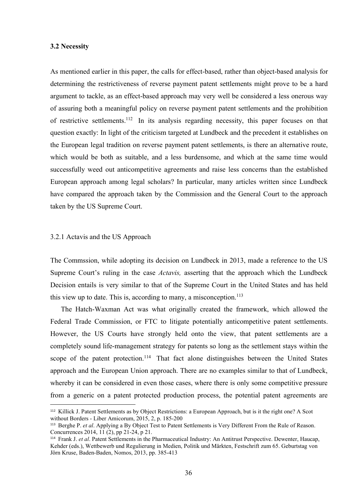3.2 Necessity<br>As mentioned earlier in this paper, the calls for effect-based, rather than<br>determining the restrictiveness of reverse payment patent settlements 3.2 Necessity<br>As mentioned earlier in this paper, the calls for effect-based, rather than object-based analysis for<br>determining the restrictiveness of reverse payment patent settlements might prove to be a hard<br>argument to 3.2 Necessity<br>As mentioned earlier in this paper, the calls for effect-based, rather than object-based analysis for<br>determining the restrictiveness of reverse payment patent settlements might prove to be a hard<br>argument to 3.2 Necessity<br>As mentioned earlier in this paper, the calls for effect-based, rather than object-based analysis for<br>determining the restrictiveness of reverse payment patent settlements might prove to be a hard<br>argument to 3.2 Necessity<br>As mentioned earlier in this paper, the calls for effect-based, rather than object-based analysis for<br>determining the restrictiveness of reverse payment patent settlements might prove to be a hard<br>argument to 3.2 Necessity<br>As mentioned earlier in this paper, the calls for effect-based, rather than object-based analysis for<br>determining the restrictiveness of reverse payment patent settlements might prove to be a hard<br>argument to 3.2 Necessity<br>As mentioned earlier in this paper, the calls for effect-based, rather than object-based analysis for<br>determining the restrictiveness of reverse payment patent settlements might prove to be a hard<br>argument to 3.2 Necessity<br>As mentioned carlier in this paper, the calls for effect-based, rather than object-based analysis for<br>determining the restrictiveness of reverse payment patent settlements might prove to be a hard<br>argument to 3.2 Necessity<br>As mentioned earlier in this paper, the calls for effect-based, rather than object-based analysis for<br>determining the restrictiveness of reverse payment patent settlements might prove to be a hard<br>argument t 3.2 Necessity<br>As mentioned earlier in this paper, the calls for effect-based, rather than object-based analysis for<br>determining the restrictiveness of reverse payment patent settlements might prove to be a hard<br>argument t **3.2 Necessity**<br>As mentioned earlier in this paper, the calls for effect-based, rather than object-based analysis for<br>determining the restrictiveness of reverse payment patent settlements might prove to be a hard<br>argument **3.2 Necessity**<br> **As mentioned earlier in this paper, the calls for effect-based, rather than object-based analysis for<br>
determining the restrictiveness of reverse payment patent settlements might prove to be a hard<br>
argu** As mentioned earlier in this paper, the calls for effect-based, rather than object-based analysis<br>determining the restrictiveness of reverse payment patent settlements might prove to be a h<br>argument to tackle, as an effect determining the restrictiveness of reverse payment patent settements might prove to be a reason argument to tackle, as an effect-based approach may very well be considered a less onerous of assuring both a meaningful polic of assumng both a meaningtul policy on reverse payment patent settlements and the prohibition<br>of restrictive settlements.<sup>112</sup> In its analysis regarding necessity, this paper focuses on that<br>question exactly: In light of t of restrictive settlements.<sup>12</sup> In its analysis regarding necessity, this paper focuses on that<br>question exactly: In light of the criticism targeted at Lundbeck and the precedent it establishes on<br>the European legal tradit question exactly: In light of the entiesm targeted at Lundbeck and the precedent it establishes on<br>the European legal tradition on reverse payment patent settlements, is there an alternative route,<br>which would be both as s the European legal tradition on reverse payment patent settlements, is there an atternative route,<br>which would be both as suitable, and a less burdensome, and which at the same time would<br>successfully weed out anticompetit ch would be both as suitable, and a less burdensome, and which at the same time would<br>essfully weed out anticompetitive agreements and raise less concerns than the established<br>opean approach among legal scholars? In partic

successtully weed out anticompetitive agreements and raise less concerns than the established<br>European approach among legal scholars? In particular, many articles written since Lundbeck<br>have compared the approach taken by European approach among legal scholars? In particular, many articles written since Lundbeck<br>have compared the approach taken by the Commission and the General Court to the approach<br>taken by the US Supreme Court.<br>The Commi have compared the approach taken by the Commission and the General Court to the approach<br>taken by the US Supreme Court.<br>3.2.1 Actavis and the US Approach<br>The Commssion, while adopting its decision on Lundbeck in 2013, made 3.2.1 Actavis and the US Approach<br>The Commssion, while adopting its decision on Lundbeck in 2013, made a reference to the US<br>Supreme Court's ruling in the case *Actavis*, asserting that the approach which the Lundbeck<br>Deci 3.2.1 Actavis and the US Approach<br>The Commssion, while adopting its decision on Lundbeck in 2013, made a reference to the US<br>Supreme Court's ruling in the case *Actavis*, asserting that the approach which the Lundbeck<br>Dec 3.2.1 Actavis and the US Approach<br>The Commssion, while adopting its decision on Lundbeck in 2013, made a reference to the US<br>Supreme Court's ruling in the case *Actavis*, asserting that the approach which the Lundbeck<br>Dec The Commssion, while adopting its decision on Lundbeck in 2013, made a reference to the US<br>Supreme Court's ruling in the case *Actavis*, asserting that the approach which the Lundbeck<br>Decision entails is very similar to t The Commssion, while adopting its decision on Lundbeck in 2013, made a reference to the US<br>Supreme Court's ruling in the case *Actavis*, asserting that the approach which the Lundbeck<br>Decision entails is very similar to t Supreme Court's ruling in the case *Actavis*, asserting that the approach which the Lundbeck<br>Decision entails is very similar to that of the Supreme Court in the United States and has held<br>this view up to date. This is, a Supreme Court's ruling in the case *Actavis*, asserting that the approach which the Lundbeck<br>Decision entails is very similar to that of the Supreme Court in the United States and has held<br>this view up to date. This is, ac Decision entails is very similar to that of the Supreme Court in the United States and has held<br>this view up to date. This is, according to many, a misconception.<sup>113</sup><br>The Hatch-Waxman Act was what originally created the Detsion entails is very similar to that of the supprene Coutr in the circle states and has nead<br>this view up to date. This is, according to many, a misconception.<sup>113</sup><br>The Hatch-Waxman Act was what originally created the this view up to date. This is, according to many, a misconception.<sup>113</sup><br>The Hatch-Waxman Act was what originally created the framework, which allowed the<br>Federal Trade Commission, or FTC to litigate potentially anticompeti The Hatch-Waxman Act was what originally created the framework, which allowed the<br>Tederal Trade Commission, or FTC to litigate potentially anticompetitive patent settlements.<br>However, the US Courts have strongly held onto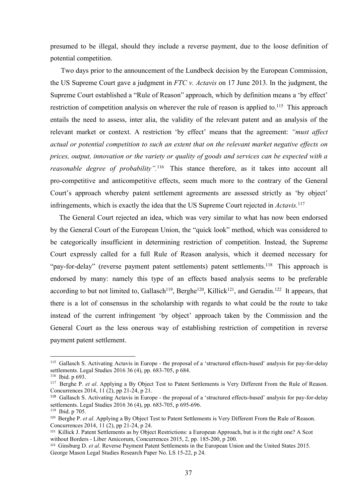presumed to be illegal, should they include a reverse payment, due to the loose definition of<br>potential competition.<br>Two days prior to the announcement of the Lundbeck decision by the European Commission,<br>the US Supreme Co

presumed to be illegal, should they include a reverse payment, due to the<br>potential competition.<br>Two days prior to the announcement of the Lundbeck decision by the Eur<br>the US Supreme Court gave a judgment in FTC v. Actavis sumed to be illegal, should they include a reverse payment, due to the loose definition of<br>the announcement of the Lundbeck decision by the European Commission,<br>US Supreme Court gave a judgment in FTC v. Actavis on 17 June presumed to be illegal, should they include a reverse payment, due to the loose definition of<br>potential competition.<br>Two days prior to the announcement of the Lundbeck decision by the European Commission,<br>the US Supreme Co presumed to be illegal, should they include a reverse payment, due to the loose definition of<br>potential competition.<br>Two days prior to the announcement of the Lundbeck decision by the European Commission,<br>the US Supreme Co presumed to be illegal, should they include a reverse payment, due to the loose definition of<br>potential competition.<br>Two days prior to the announcement of the Lundbeck decision by the European Commission,<br>the US Supreme Co presumed to be illegal, should they include a reverse payment, due to the loose definition of<br>potential competition.<br>Two days prior to the announcement of the Lundbeck decision by the European Commission,<br>the US Supreme Co presumed to be illegal, should they include a reverse payment, due to the loose definition of<br>potential competition.<br>Two days prior to the announcement of the Lundbeck decision by the European Commission,<br>the US Supreme Co presumed to be illegal, should they include a reverse payment, due to the loose definition of<br>potential competition.<br>Two days prior to the announcement of the Lundbeck decision by the European Commission,<br>the US Supreme Co presumed to be illegal, should they include a reverse payment, due to the loose definition of potential competition.<br>
Two days prior to the announcement of the Lundbeck decision by the European Commission,<br>
the US Supreme presumed to be illegal, should they include a reverse payment, due to the loose definition of<br>potential competition.<br>Two days prior to the announcement of the Lundbeck decision by the European Commission,<br>the US Supreme C presumed to be illegal, should they include a reverse payment, due to the loose definition of<br>potential competition.<br>Two days prior to the announcement of the Lundbeck decision by the European Commission,<br>the US Supreme Co presumed to be illegal, should they include a reverse payment, due to the loose definition of<br>potential competition.<br>Two days prior to the announcement of the Lundbeck decision by the European Commission,<br>the US Supreme Co potential competition.<br>
Two days prior to the announcement of the Lundbeck decision by the European Commission,<br>
the US Supreme Court gave a judgment in FTC v. Actavis on 17 June 2013. In the judgment, the<br>
Supreme Court e Two days prior to the announcement of the Lundbeck decision by the European Commission,<br>US Supreme Court gave a judgment in  $FTC v$ . Actavis on 17 June 2013. In the judgment, the<br>preme Court established a "Rule of Reason" a the US Supreme Court gave a judgment in *FTC* v. *Actavis* on 17 June 2013. In the judgment, the Supreme Court established a "Rule of Reason" approach, which by definition means a "by effect" restriction of competition ana Supreme Court established a "Rule of Reason" approach, which by definition means a 'by effect'<br>restriction of competition analysis on wherever the rule of reason is applied to.<sup>115</sup> This approach<br>entails the need to assess restriction of competition analysis on wherever the rule of reason is applied to.<sup>115</sup> This approach<br>entails the need to assess, inter alia, the validity of the relevant patent and an analysis of the<br>relevant market or con entails the need to assess, inter alia, the validity of the relevant patent and an analysis of the<br>relevant market or context. A restriction 'by effect' means that the agreement: "must affect<br>actual or potential competitio

relevant market or context. A restriction 'by effect' means that the agreement: "must affect<br>actual or potential competition to such an extent that on the relevant market negative effects on<br>prices, output, innovation or t actual or potential competition to such an extent that on the relevant market negative effects on<br>prices, output, innovation or the variety or quality of goods and services can be expected with a<br>reasonable degree of proba prices, output, innovation or the variety or quality of goods and services can be expected with a<br>reasonable degree of probability".<sup>116</sup> This stance therefore, as it takes into account all<br>pro-competitive and anticompetit reasonable degree of probability".<sup>116</sup> This stance therefore, as it takes into account all<br>pro-competitive and anticompetitive effects, seem much more to the contrary of the General<br>Court's approach whereby patent settlem pro-competitive and anticompetitive effects, seem much more to the contrary of the General Court's approach whereby patent settlement agreements are assessed strictly as 'by object'<br>infringements, which is exactly the idea Court's approach whereby patent settlement agreements are assessed strictly a<br>infringements, which is exactly the idea that the US Supreme Court rejected in *Acta*<br>The General Court rejected an idea, which was very similar The General Court rejected an idea, which was very similar to what has now been endorsed<br>by the General Court of the European Union, the "quick look" method, which was considered to<br>be eategorically insufficient in determ Ine General Court rejected an idea, which was very similar to what has now been endorsed<br>by the General Court of the European Union, the "quick look" method, which was considered to<br>be categorically insufficient in determ by the General Court of the European Union, the "quick look" method, whibe<br>
be categorically insufficient in determining restriction of competition. In<br>
Court expressly called for a full Rule of Reason analysis, which it d by the General court of the European Union, the "quick fook Inetition, which was consistence to<br>Court expressily issufficient in determining restriction of competition. Instead, the Supercon-<br>Court expressily called for a be categorically insufficient in determining restriction of competition. Instead, the Supreme<br>Court expressly called for a full Rule of Reason analysis, which it deemed necessary for<br>"pay-for-delay" (reverse payment paten Court expressly called for a full Rule of Reason analysis, which it deemed necessary for<br>"pay-for-delay" (reverse payment patent settlements) patent settlements.<sup>118</sup> This approach is<br>endorsed by many: namely this type of "pay-for-delay" (reverse payment patent settlements) patent settlements.<sup>11</sup><br>
endorsed by many: namely this type of an effects based analysis seen<br>
according to but not limited to, Gallasch<sup>119</sup>, Berghe<sup>120</sup>, Killick<sup>121</sup> "pay-for-delay" (reverse payment patent settlements) patent settlements.<sup>118</sup> This approach is<br>endorsed by many: namely this type of an effects based analysis seems to be preferable<br>according to but not limited to, Gallasc endorsed by many: namely this type of an effects based analysis seems to be preferable<br>according to but not limited to, Gallasch<sup>119</sup>, Berghe<sup>120</sup>, Killick<sup>121</sup>, and Geradin.<sup>122</sup> It appears, that<br>there is a lot of consen endorsed by many: namely tims type of at encores based analysis seems to be preterable<br>according to but not limited to, Gallasch<sup>119</sup>, Breghc<sup>120</sup>, Killick<sup>121</sup>, and Geradin.<sup>122</sup> It appears, that<br>there is a lot of consen according to but not limited to, Gallasch<sup>119</sup>, Berghe<sup>120</sup>, Killick<sup>121</sup>, and Geradin.<sup>122</sup> It appears, that<br>there is a lot of consensus in the scholarship with regards to what could be the route to take<br>instead of the cu Letter is a lot of constrained by, states of payer (constrained by the constrained by the commission and the single in the scheme in the scheme payer of establishing restriction of competition and the General Court as the there is a lot of consensus in the scholarship with regards to what could be the route to take<br>instead of the current infringement 'by object' approach taken by the Commission and the<br>General Court as the less oncrous way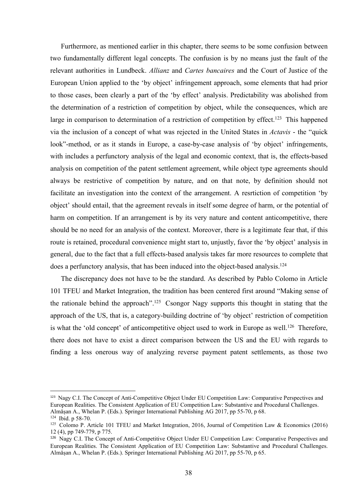Furthermore, as mentioned earlier in this chapter, there seems to be some confusion between<br>fundamentally different legal concepts. The confusion is by no means just the fault of the<br>vant authorities in Lundbeck. *Allianz* Furthermore, as mentioned earlier in this chapter, there seems to be some confusion between<br>two fundamentally different legal concepts. The confusion is by no means just the fault of the<br>relevant authorities in Lundbeck. A Furthermore, as mentioned earlier in this chapter, there seems to be some confusion between<br>two fundamentally different legal concepts. The confusion is by no means just the fault of the<br>relevant authorities in Lundbeck. Furthermore, as mentioned earlier in this chapter, there seems to be some confusion between<br>two fundamentally different legal concepts. The confusion is by no means just the fault of the<br>relevant authorities in Lundbeck. Furthermore, as mentioned earlier in this chapter, there seems to be some confusion between<br>two fundamentally different legal concepts. The confusion is by no means just the fault of the<br>relevant authorities in Lundbeck. A Furthermore, as mentioned earlier in this chapter, there seems to be some confusion between<br>two fundamentally different legal concepts. The confusion is by no means just the fault of the<br>relevant authorities in Lundbeck. Furthermore, as mentioned earlier in this chapter, there seems to be some confusion between<br>two fundamentally different legal concepts. The confusion is by no means just the fault of the<br>relevant authorities in Lundbeck. Furthermore, as mentioned earlier in this chapter, there seems to be some confusion between<br>two fundamentally different legal concepts. The confusion is by no means just the fault of the<br>relevant authorities in Lundbeck. Furthermore, as mentioned earlier in this chapter, there seems to be some confusion between<br>two fundamentally different legal concepts. The confusion is by no means just the fault of the<br>relevant authorities in Lundbeck. Furthermore, as mentioned earlier in this chapter, there seems to be some confusion between<br>two fundamentally different legal concepts. The confusion is by no means just the fault of the<br>relevant authorities in Lundbeck. Furthermore, as mentioned earlier in this chapter, there seems to be some confusion between<br>two fundamentally different legal concepts. The confusion is by no means just the fault of the<br>relevant authorities in Lundbeck. Furthermore, as mentioned carlier in this chapter, there seems to be some confusion between<br>two fundamentally different legal concepts. The confusion is by no means just the fault of the<br>relevant authorities in Lundbeck. Furthermore, as mentioned earlier in this chapter, there seems to be some confusion between<br>two fundamentally different legal concepts. The confusion is by no means just the fault of the<br>relevant authorities in Lundbeck. two fundamentally different legal concepts. The confusion is by no means just the fault of the relevant authorities in Lundbeck. *Alitanz* and *Cartes bancaires* and the Court of Justice of the European Union applied to th relevant authorities in Lundbeck. *Allianz* and *Cartes bancaires* and the Court of Justice of the European Union applied to the 'by object' infringement approach, some elements that had prior to those cases, been clearly European Union applied to the 'by object' infringement approach, some elements that had prior<br>to those cases, been elearly a part of the 'by effect' analysis. Predictability was abolished from<br>the determination of a restr to those cases, been clearly a part of the 'by effect' analysis. Predictability was abolished from<br>the determination of a restriction of competition by object, while the consequences, which are<br>large in comparison to deter the determination of a restriction of competition by object, while the consequences, which are large in comparison to determination of a restriction of competition by effect.<sup>123</sup> This happened via the inclusion of a conce large in comparison to determination of a restriction of competition by effect.<sup>123</sup> This happened<br>via the inclusion of a concept of what was rejected in the United States in *Actavis* - the "quick<br>look"-method, or as it s the inclusion of a concept of what was rejected in the United States in *Actavis* - the "quick c"-method, or as it stands in Europe, a case-by-case analysis of 'by object' infringements, includes a perfunctory analysis of 100k"-method, or as it stands in Europe, a case-by-case analysis of 'by object' infringements,<br>with includes a perfunctory analysis of the legal and economic context, that is, the effects-based<br>analysis on competition of t with includes a perfunctory analysis of the legal and economic context, that is, the effects-based<br>analysis on competition of the patent settlement agreement, while object type agreements should<br>always be restrictive of co analysis on competition of the patent settlement agreement, while object type agreements should<br>always be restrictive of competition by nature, and on that note, by definition should not<br>facilitate an investigation into th always be restrictive of competition by nature, and on that note, by definition should not facilitate an investigation into the context of the arrangement. A restriction of competition 'by object' should entail, that the a facilitate an investigation into the context of the arrangement. A restriction of competition 'by<br>object' should entail, that the agreement reveals in itself some degree of harm, or the potential of<br>harm on competition. If

object' should entail, that the agreement reveals in itself some degree of harm, or the potential of<br>harm on competition. If an arrangement is by its very nature and content anticompetitive, there<br>should be no need for an 123 Nagy C1. The Concept of Anti-Competitive Object Under FU Competition Law: Comparative Perspective and European Realities. The Concept of Anti-Concept of Anti-Competitive Object-based analysis takes far more resources general, due to the fact that a full effects-based analysis takes far more resources to complete that<br>does a perfunctory analysis, that has been induced into the object-based analysis.<sup>124</sup><br>The discrepancy does not have to does a perfunctory analysis, that has been induced into the object-based analysis.<sup>124</sup><br>The discrepancy does not have to be the standard. As described by Pablo Colomo in Article<br>101 TFEU and Market Integration, the traditi The discrepancy does not have to be the standard. As described by Pablo Colomo in Article 101 TFEU and Market Integration, the tradition has been centered first around "Making sense of the rationale behind the approach".<sup></sup> 12 (4), pp 749-779, p 775.<br>
12 (4), Market Integration, the tradition has been centered first around "Making sense of<br>
the rational e behind the approach".<sup>125</sup> Csongor Nagy supports this though the rational e-behind the To The Consistent Application of EU Competition Law: Comparing Substantial Properties.<br>
Approach of the US, that is, a category-building doctrine of 'by object' restriction of competition<br>
is what the 'old concept' of anti the rationale behind the approach".<sup>125</sup> Csongor Nagy supports this thought in stating that the approach of the US, that is, a category-building doctrine of 'by object' restriction of competition<br>is what the 'old concept'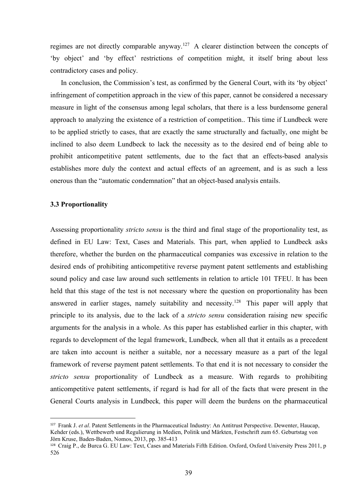regimes are not directly comparable anyway.<sup>127</sup> A clearer distinction between the concepts of<br>
"by object" and "by effect" restrictions of competition might, it itself bring about less<br>
contradictory cases and policy.<br>
In The regimes are not directly comparable anyway.<sup>127</sup> A clearer distinction between the concepts of<br>
"by object' and 'by effect' restrictions of competition might, it itself bring about less<br>
contradictory cases and policy. regimes are not directly comparable anyway.<sup>127</sup> A clearer distinction between the concer-<br>
"by object' and 'by effect' restrictions of competition might, it itself bring about<br>
contradictory cases and policy.<br>
In conclusi

mes are not directly comparable anyway.<sup>127</sup> A clearer distinction between the concepts of object' and 'by effect' restrictions of competition might, it itself bring about less tradictory cases and policy.<br>In conclusion, t regimes are not directly comparable anyway.<sup>127</sup> A clearer distinction between the concepts of<br>
"by object' and 'by effect' restrictions of competition might, it itself bring about less<br>
contradictory cases and policy.<br>
In regimes are not directly comparable anyway.<sup>127</sup> A clearer distinction between the concepts of<br>
"by object" and "by effect" restrictions of competition might, it itself bring about less<br>
contradictory cases and policy.<br>
In regimes are not directly comparable anyway.<sup>127</sup> A clearer distinction between the concepts of 'by object' and 'by effect' restrictions of competition might, it itself bring about less contradictory cases and policy.<br>In co regimes are not directly comparable anyway.<sup>127</sup> A clearer distinction between the concepts of<br>
"by object" and "by effect" restrictions of competition might, it itself bring about less<br>
contradictory cases and policy.<br>
In regimes are not directly comparable anyway.<sup>127</sup> A clearer distinction between the concepts of<br>
"by object" and "by effect" restrictions of competition might, it itself bring about less<br>
contradictory cases and policy.<br>
In regimes are not directly comparable anyway.<sup>127</sup> A clearer distinction between the concepts of by object' and 'by effect' restrictions of competition might, it itself bring about less contradictory cases and policy. In con regimes are not directly comparable anyway.<sup>127</sup> A clearer distinction between the concepts of by object' and 'by effect' restrictions of competition might, it itself bring about less contradictory cases and policy. In con regimes are not directly comparable anyway.<sup>127</sup> A clearer distinction between the concepts of by object' and 'by effect' restrictions of competition might, it itself bring about less contradictory cases and policy. In con <sup>3</sup> by object' and <sup>3</sup> by effect' restrictions of competition might, it contradictory cases and policy.<br>In conclusion, the Commission's test, as confirmed by the General infringement of competition approach in the view of In conclusion, the Commission's test, as confirmed by the General Court, with its 'by object'<br>infringement of competition approach in the view of this paper, cannot be considered a necessary<br>measure in light of the consens infringement of competition approach in the view of this paper, cannot be considered a necessary<br>measure in light of the consensus among legal scholars, that there is a less burdensome general<br>approach to analyzing the exi measure in light of the consensus among legal scholars, that there is a less burdensome general<br>approach to analyzing the existence of a restriction of competition. This time if Lundbeck were<br>to be applied strictly to case

approach to analyzing the existence of a restriction of competition. This time if Lundbeck were<br>to be applied strictly to cases, that are exactly the same structurally and factually, one might be<br>inclined to also decm Lund to be applied strictly to cases, that are exactly the same structurally and factually, one might be inclined to also deem Lundbeck to lack the necessity as to the desired end of being able to prohibit anticompetitive paten inclined to also deem Lundbeck to lack the necessity as to the desired end of being able to<br>prohibit anticompetitive patent settlements, due to the fact that an effects-based analysis<br>establishes more duly the context and prohibit anticompetitive patent settlements, due to the fact that an effects-based analysis<br>establishes more duly the context and actual effects of an agreement, and is as such a less<br>onerous than the "automatic condemnati establishes more duly the context and actual effects of an agreement, and is as such a less<br>oncrous than the "automatic condemnation" that an object-based analysis entails.<br>
3.3 **Proportionality**<br>
Assessing proportionality onerous than the "automatic condemnation" that an object-based analysis entails.<br> **3.3 Proportionality**<br> **Assessing proportionality** *stricto sensu* is the third and final stage of the proportionality test, as<br>
defined in **3.3 Proportionality**<br>Assessing proportionality *stricto sensu* is the third and final stage of the proportionality test, as<br>defined in EU Law: Text, Cases and Materials. This part, when applied to Lundbeck asks<br>therefore **3.3 Proportionality**<br> **Assessing proportionality** *stricto sensu* is the third and final stage of the proportionality test, as<br>
defined in EU Law: Text, Cases and Materials. This part, when applied to Lundbeck asks<br>
ther Assessing proportionality *stricto sensu* is the third and final stage of the proportionality test, as<br>defined in EU Law: Text, Cases and Materials. This part, when applied to Lundbeck asks<br>therefore, whether the burden o Assessing proportionality *stricto sensu* is the third and final stage of the proportionality test, as<br>defined in EU Law: Text, Cases and Materials. This part, when applied to Lundbeck asks<br>therefore, whether the burden on defined in EU Law: Text, Cases and Materials. This part, when applied to Lundbeck asks<br>therefore, whether the burden on the pharmaceutical companies was excessive in relation to the<br>desired ends of prohibiting anticompeti therefore, whether the burden on the pharmaceutical companies was excessive in relation to the desired ends of prohibiting anticompetitive reverse payment patent settlements and establishing sound policy and case law arou sound policy and case law around such settlements in relation to article 101 TFEU. It has been<br>held that this stage of the test is not necessary where the question on proportionality has been<br>answered in earlier stages, na Sound poincy and case taw around such setuements in retation to article 101 TFEO. It has been<br>answered in earlier stages, namely suitability and necessity.<sup>128</sup> This paper will apply that<br>answered in earlier stages, namely held that this stage of the test is not necessary where the question on proportionality has been<br>answered in earlier stages, namely suitability and necessity.<sup>128</sup> This paper will apply that<br>principle to its analysis, due Example 128 Craig P. (at is state to the constraint with the principal principle to its analysis, due to the lack of a *stricto sensu* consideration raising new specific arguments for the analysis in a whole. As this pape

<sup>526</sup>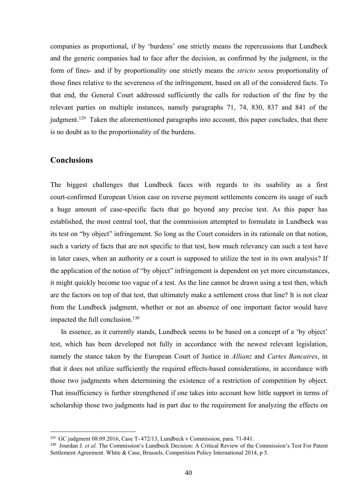companies as proportional, if by 'burdens' one strictly means the repercussions that Lundbeck<br>and the generic companies had to face after the decision, as confirmed by the judgment, in the<br>form of fines- and if by proporti companies as proportional, if by 'burdens' one strictly means the repercussions that Lundbeck<br>and the generic companies had to face after the decision, as confirmed by the judgment, in the<br>form of fines- and if by proporti companies as proportional, if by 'burdens' one strictly means the repercussions that Lundbeck<br>and the generic companies had to face after the decision, as confirmed by the judgment, in the<br>form of fines- and if by proporti companies as proportional, if by 'burdens' one strictly means the repercussions that Lundbeck<br>and the generic companies had to face after the decision, as confirmed by the judgment, in the<br>form of fines- and if by proporti companies as proportional, if by 'burdens' one strictly means the repercussions that Lundbeck<br>and the generic companies had to face after the decision, as confirmed by the judgment, in the<br>form of fines- and if by proporti companies as proportional, if by 'burdens' one strictly means the repercussions that Lundbeck<br>and the generic companies had to face after the decision, as confirmed by the judgment, in the<br>form of fines- and if by proporti companies as proportional, if by 'burdens' one strictly means the repercussions that Lundbeck<br>and the generic companies had to face after the decision, as confirmed by the judgment, in the<br>form of fines- and if by proporti companies as proportional, if by 'burdens' one strictly means the repercussions that Lundbeck<br>and the generic companies had to face after the decision, as confirmed by the judgment, in the<br>form of fines- and if by proporti companies as proportional, if by 'burdens' one strictly means the repercussions that Lundbeck<br>and the generic companies had to face after the decision, as confirmed by the judgment, in the<br>form of fines- and if by proporti companies as proportional, if by 'burdens' one strictly means the repercussions that Lundbeck<br>and the generic companies had to face after the decision, as confirmed by the judgment, in the<br>form of fines- and if by proporti and the generic companies had to face after the decision, as confirmed by the judgment, in the form of fines- and if by proportionality one strictly means the *stricto sensu* proportionality of those fines relative to the

## Conclusions

form of fines- and if by proportionality one strictly means the *stricto sensu* proportionality of those fines relative to the severences of the infringement, based on all of the considered facts. To that end, the General those fines relative to the severeness of the infringement, based on all of the considered facts. To<br>that end, the General Court addressed sufficiently the calls for reduction of the fine by the<br>relevant parties on multipl that end, the General Court addressed sufficiently the calls for reduction of the fine by the<br>relevant parties on multiple instances, namely paragraphs 71, 74, 830, 837 and 841 of the<br>judgment.<sup>129</sup> Taken the aforementione relevant parties on multiple instances, namely paragraphs 71, 74, 830, 837 and 841 of the judgment.<sup>129</sup> Taken the aforementioned paragraphs into account, this paper concludes, that there is no doubt as to the proportional indgment.<sup>129</sup> Taken the aforementioned paragraphs into account, this paper concludes, that there<br>is no doubt as to the proportionality of the burdens.<br> **Conclusions**<br>
The biggest challenges that Lundbeck faces with regard is no doubt as to the proportionality of the burdens.<br> **Conclusions**<br>
The biggest challenges that Lundbeck faces with regards to its usability as a first<br>
court-confirmed European Union case on reverse payment settlements **Conclusions**<br>The biggest challenges that Lundbeck faces with regards to its usability as a first<br>court-confirmed European Union ease on reverse payment settlements concern its usage of such<br>a huge amount of case-specific **Conclusions**<br>The biggest challenges that Lundbeck faces with regards to its usability as a first<br>court-confirmed European Union case on reverse payment settlements concern its usage of such<br>a huge amount of case-specific The biggest challenges that Lundbeck faces with regards to its usability<br>court-confirmed European Union case on reverse payment settlements concern its us<br>a huge amount of case-specific facts that go beyond any precise tes is biggest challenges that Lundbeck faces with regards to its usability as a first en-<br>enfirmed European Union case on reverse payment settlements concern its usage of such<br>uge amount of case-specific facts that go beyond court-confirmed European Union case on reverse payment settlements concern its usage of such<br>a huge amount of casc-specific facts that go beyond any precise test. As this paper has<br>established, the most central tool, that a huge amount of case-specific facts that go beyond any precise test. As this paper has established, the most central tool, that the commission attempted to formulate in Lundbeck was its test on "by object" infringement. S established, the most central tool, that the commission attempted to formulate in Lundbeck was<br>its test on "by object" infringement. So long as the Court considers in its rationale on that notion,<br>such a variety of facts t its test on "by object" infringement. So long as the Court considers in its rationale on that notion, such a variety of facts that are not specific to that test, how much relevancy can such a test have in later cases, when such a variety of facts that are not specific to that test, how much relevancy can such a test have<br>in later cases, when an authority or a court is supposed to utilize the test in its own analysis? If<br>the application of th

in later cases, when an authority or a court is supposed to utilize the test in its own analysis? If the application of the notion of "by object" infringement is dependent on yet more circumstances, it might quickly becom 129 GC judgment 08.09.2016, Case T- 472/13, Lundbeck v Commission, para. 71-841.<br>
29 However, Mark 20.2016, Case T- 472/13, Lundbeck seems to be based on a concept of a 'by object'<br>
120 In essence, as it currently stands, from the Lundbeck judgment, whether or not an absence of one important factor would have<br>impacted the full conclusion.<sup>130</sup><br>In essence, as it currently stands, Lundbeck seems to be based on a concept of a 'by object'<br>test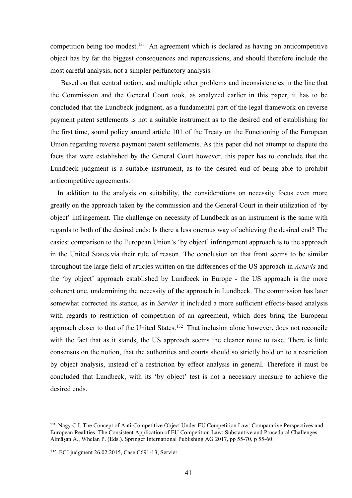competition being too modest.<sup>131</sup> An agreement which is declared as having an anticompetitive<br>object has by far the biggest consequences and repercussions, and should therefore include the<br>most careful analysis, not a sim competition being too modest.<sup>131</sup> An agreement which is declared as having an anticompetitive<br>object has by far the biggest consequences and repercussions, and should therefore include the<br>most careful analysis, not a sim competition being too modest.<sup>131</sup> An agreement which is declared as having an anticompetitive<br>object has by far the biggest consequences and repercussions, and should therefore include the<br>most careful analysis, not a sim

inpetition being too modest.<sup>131</sup> An agreement which is declared as having an anticompetitive<br>ect has by far the biggest consequences and repercussions, and should therefore include the<br>st careful analysis, not a simpler p competition being too modest.<sup>131</sup> An agreement which is declared as having an anticompetitive<br>object has by far the biggest consequences and repercussions, and should therefore include the<br>most careful analysis, not a sim competition being too modest.<sup>131</sup> An agreement which is declared as having an anticompetitive object has by far the biggest consequences and repercussions, and should therefore include the most careful analysis, not a sim competition being too modest.<sup>131</sup> An agreement which is declared as having an anticompetitive object has by far the biggest consequences and repercussions, and should therefore include the most careful analysis, not a sim competition being too modest.<sup>131</sup> An agreement which is declared as having an anticompetitive<br>object has by far the biggest consequences and repercussions, and should therefore include the<br>most careful analysis, not a sim competition being too modest.<sup>131</sup> An agreement which is declared as having an anticompetitive object has by far the biggest consequences and repercussions, and should therefore include the most careful analysis, be a simp competition being too modest.<sup>131</sup> An agreement which is declared as having an anticompetitive object has by far the biggest consequences and repercussions, and should therefore include the most careful analysis, Based on competition being too modest.<sup>131</sup> An agreement which is declared as having an anticompetitive object has by far the biggest consequences and repercussions, and should therefore include the most careful analysis, bot a sim competition being too modest.<sup>131</sup> An agreement which is declared as having an an object has by far the biggest consequences and repercussions, and should therefor most careful analysis, not a simpler perfunctory analysis. mpetition being too modest.<sup>131</sup> An agreement which is declared as having an anticompetitive<br>ject has by far the biggest consequences and repercussions, and should therefore include the<br>bst careful analysis, not a simpler object has by far the biggest consequences and repercussions, and should therefore include the most careful analysis, not a simpler perfunctory analysis.<br>
Based on that central notion, and multiple other problems and incon most careful analysis, not a simpler perfunctory analysis.<br>
Based on that central notion, and multiple other problems and inconsistencies in the line that<br>
the Commission and the General Court took, as analyzed carlier in Based on that central notion, and multiple other problems and inconsistencies in the line that<br>the Commission and the General Court took, as analyzed carlier in this paper, it has to be<br>concluded that the Lundbeck judgment the Commission and the General Court took, as analyzed earlier in this paper, it has to be concluded that the Lundbeck judgment, as a fundamental part of the legal framework on reverse payment patent settlements is not a s

concluded that the Lundbeck judgment, as a fundamental part of the legal framework on reverse<br>payment patent settlements is not a suitable instrument as to the desired end of establishing for<br>the first time, sound policy a payment patent settlements is not a suitable instrument as to the desired end of establishing for<br>the first time, sound policy around article 101 of the Treaty on the Functioning of the European<br>Union regarding reverse pay the first time, sound policy around article 101 of the Treaty on the Functioning of the European<br>Union regarding reverse payment patent settlements. As this paper did not attempt to dispute the<br>facts that were established Union regarding reverse payment patent settlements. As this paper did not attempt to dispute the facts that were established by the General Court however, this paper has to conclude that the Lundbeck judgment is a suitabl facts that were established by the General Court however, this paper has to conclude that the Lundbeck judgment is a suitable instrument, as to the desired end of being able to prohibit anticompetitive agreements.<br>
In addi Lundbeck judgment is a suitable instrument, as to the desired end of being able to prohibit<br>anticompetitive agreements.<br>In addition to the analysis on suitability, the considerations on necessity focus even more<br>greatly o anticompetitive agreements.<br>
In addition to the analysis on suitability, the considerations on necessity focus even more<br>
greatly on the approach taken by the commission and the General Court in their utilization of 'by<br>
o In addition to the analysis on suitability, the considerations on necessity focus even more<br>greatly on the approach taken by the commission and the General Court in their utilization of 'by<br>object' infringement. The chall greatly on the approach taken by the commission and the General Court in their utilization of 'by<br>object' infringement. The challenge on necessity of Lundbeck as an instrument is the same with<br>regards to both of the desire object' infringement. The challenge on necessity of Lundbeck as an instrument is the same with regards to both of the desired ends: Is there a less oncrous way of achieving the desired end? The easiest comparison to the Eu regards to both of the desired ends: Is there a less onerous way of achieving the desired end? The casiest comparison to the European Union's 'by object' infringement approach is to the approach in the United States.via th easiest comparison to the European Union's 'by object' infringement appro<br>in the United States.via their rule of reason. The conclusion on that fron<br>throughout the large field of articles written on the differences of the the "by object" approach established by Lundbeck in Europe - the US approach is the more coherent one, undermining the necessity of the approach in Lundbeck. The commission has later somewhat corrected its stance, as in *S* Ine by object approach established by Lundbeck in Europe - the OS approach is the more<br>coherent one, undermining the necessity of the approach in Lundbeck. The commission has later<br>somewhat corrected its stance, as in *Ser* coherent one, undermining the necessity of the approach in Lundbeck. The commission has later somewhat corrected its stanec, as in *Servier* it included a more sufficient effects-based analysis with regards to restriction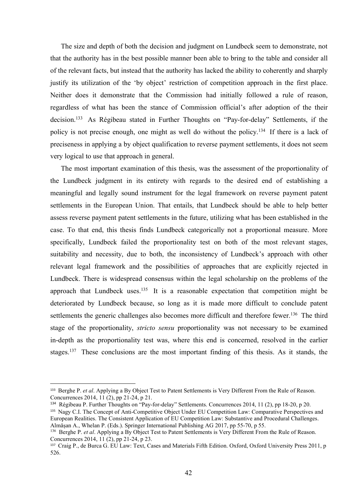The size and depth of both the decision and judgment on Lundbeck seem to demonstrate, not<br>the authority has in the best possible manner been able to bring to the table and consider all<br>he relevant facts, but instead that t The size and depth of both the decision and judgment on Lundbeck seem to demonstrate, not<br>that the authority has in the best possible manner been able to bring to the table and consider all<br>of the relevant facts, but inste The size and depth of both the decision and judgment on Lundbeck seem to demonstrate, not<br>that the authority has in the best possible manner been able to bring to the table and consider all<br>of the relevant facts, but inste The size and depth of both the decision and judgment on Lundbeck seem to demonstrate, not<br>that the authority has in the best possible manner been able to bring to the table and consider all<br>of the relevant facts, but inste The size and depth of both the decision and judgment on Lundbeck seem to demonstrate, not<br>that the authority has in the best possible manner been able to bring to the table and consider all<br>of the relevant facts, but inste The size and depth of both the decision and judgment on Lundbeck seem to demonstrate, not<br>that the authority has in the best possible manner been able to bring to the table and consider all<br>of the relevant facts, but inste The size and depth of both the decision and judgment on Lundbeck seem to demonstrate, not<br>that the authority has in the best possible manner been able to bring to the table and consider all<br>of the relevant facts, but inste The size and depth of both the decision and judgment on Lundbeck seem to demonstrate, not<br>that the authority has in the best possible manner been able to bring to the table and consider all<br>of the relevant facts, but inste The size and depth of both the decision and judgment on Lundbeck seem to demonstrate, not<br>that the authority has in the best possible manner been able to bring to the table and consider all<br>of the relevant facts, but inste The size and depth of both the decision and judgment on Lundbeck seem to demonstrate, not<br>that the authority has in the best possible manner been able to bring to the table and consider all<br>of the relevant facts, but inste The size and depth of both the decision and judgment on Lundbeck seem to demonstrate, not<br>the authority has in the best possible manner been able to bring to the table and consider all<br>he relevant facts, but instead that The size and depth of both the decision and judgment on Lundbeck seem to demonstrate, not<br>that the authority has in the best possible manner been able to bring to the table and consider all<br>of the relevant facts, but inst The size and depth of both the decision and judgment on Lundbeck seem to demonstrate, not<br>that the authority has in the best possible manner been able to bring to the table and consider all<br>of the relevant facts, but inste that the authority has in the best possible manner been able to bring to the table and consider all<br>of the relevant facts, but instead that the authority has lacked the ability to coherently and sharply<br>justify its utiliza of the relevant facts, but instead that the authority has lacked the ability to coherently and sharply<br>justify its utilization of the 'by object' restriction of competition approach in the first place.<br>Neither does it demo

justify its utilization of the 'by object' restriction of competition approach in the first place.<br>Neither does it demonstrate that the Commission had initially followed a rule of reason,<br>regardless of what has been the st Neither does it demonstrate that the Commission had initially followed a rule of reason,<br>regardless of what has been the stance of Commission official's after adoption of the their<br>decision.<sup>133</sup> As Régibeau stated in Furt regardless of what has been the stance of Commission official's after adoption of the their<br>decision.<sup>133</sup> As Régibeau stated in Further Thoughts on "Pay-for-delay" Settlements, if the<br>policy is not precise enough, one mig decision.<sup>133</sup> As Régibeau stated in Further Thoughts on "Pay-for-delay" Settlements, if the policy is not precise enough, one might as well do without the policy.<sup>134</sup> If there is a lack of preciseness in applying a by ob policy is not precise enough, one might as well do without the policy.<sup>134</sup> If there is a lack of<br>preciseness in applying a by object qualification to reverse payment settlements, it does not seem<br>very logical to use that preciseness in applying a by object qualification to reverse payment settlements, it does not seem<br>very logical to use that approach in general.<br>The most important examination of this thesis, was the assessment of the prop very logical to use that approach in general.<br>
The most important examination of this thesis, was the assessment of the proportionality of<br>
the Lundbeck judgment in its entirety with regards to the desired end of establish The most important examination of this thesis, was the assessment of the proportionality of<br>the Lundbeck judgment in its entirety with regards to the desired end of establishing a<br>meaningful and legally sound instrument fo the Lundbeck judgment in its entirety with regards to the desired end of establishing a<br>meaningful and legally sound instrument for the legal framework on reverse payment patent<br>settlements in the European Union. That enta meaningful and legally sound instrument for the legal framework on reverse payment patent<br>settlements in the European Union. That entails, that Lundbeck should be able to help better<br>assess reverse payment patent settlemen settlements in the European Union. That entails, that Lundbeck should be able to help better<br>assess reverse payment patent settlements in the future, utilizing what has been established in the<br>case. To that end, this thesi specifically, Lundbeck failed the proportionality test on both of the most relevant stages,<br>suitability and necessity, due to both, the inconsistency of Lundbeck's approach with other<br>relevant legal framework and the possi eventually cancers 2014, 11 (2), pp 21-24, p 21.<br>
anticability and necessity, due to both, the inconsistency of Lundbeck's approach with other<br>
relevant legal framework and the possibilities of approaches that are explicit relevant legal framework and the possibilities of approaches that are explicitly rejected in<br>Lundbeck. There is widespread consensus within the legal scholarship on the problems of the<br>approach that Lundbeck uses.<sup>135</sup> It relevant legal framework and the possibilities of approaches that are explicitly rejected in Lundbeck. There is widespread consensus within the legal scholarship on the problems of the approach that Lundbeck uses.<sup>135</sup> It Lundbeck. There is widespread consensus within the legal scholarship on the problems of the<br>approach that Lundbeck uses.<sup>135</sup> It is a reasonable expectation that competition might be<br>deteriorated by Lundbeck because, so l Lunaocex. Incre is widespread consensus within the legal senotarsmp on the prototens of the<br>approach that Lundbeck because, so long as it is made more different to conclude patent<br>estetlromets the generic challenges also approach that Lundbeck uses.<sup>135</sup> It is a reasonable expectation that competition might be<br>deteriorated by Lundbeck because, so long as it is made more difficult to conclude patent<br>settlements the generic challenges also εμηνοκαι out Lamistock uses." In 3 a Crackmanne exploration funiversity of the properties are settlements the generic challenges also becomes more difficult and therefore fewer.<sup>136</sup> The third stage of the proportionalit

<sup>526.</sup>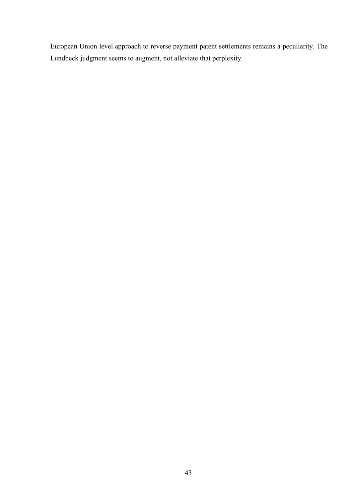European Union level approach to reverse payment patent settlements remains a peculiarity. The<br>Lundbeck judgment seems to augment, not alleviate that perplexity. European Union level approach to reverse payment patent settlements remains a peculiarity. The<br>Lundbeck judgment seems to augment, not alleviate that perplexity.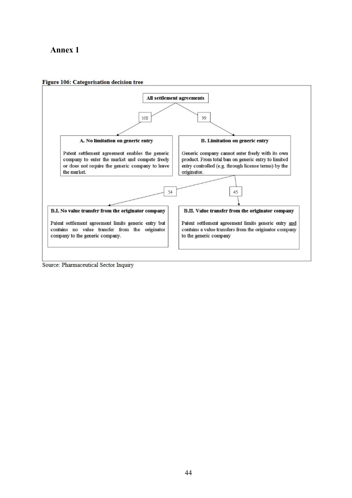



Source: Pharmaceutical Sector Inquiry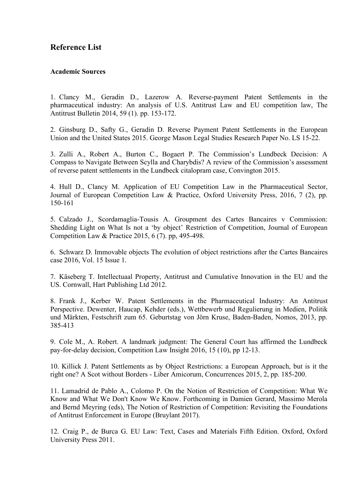# Reference List<br>Academic Sources

**Reference List**<br> **Academic Sources**<br>
1. Clancy M., Geradin D., Lazerow A. Reverse-payment Patent Se<br>
pharmaceutical industry: An analysis of U.S. Antitrust Law and EU com 1. Clancy M., Geradin D., Lazerow A. Reverse-payment Patent Settlements in the **Reference List**<br> **Academic Sources**<br>
1. Clancy M., Geradin D., Lazerow A. Reverse-payment Patent Settlements in the<br>
pharmaceutical industry: An analysis of U.S. Antitrust Law and EU competition law, The<br>
Antitrust Bullet **Reference List**<br>
Academic Sources<br>
1. Clancy M., Geradin D., Lazerow A. Reverse-payment Patent Settlements in the<br>
pharmaceutical industry: An analysis of U.S. Antitrust Law and EU competition law, The<br>
Antitrust Bulletin **Academic Sources**<br>
1. Clancy M., Geradin D., Lazerow A. Reverse-payment Patent Settlements in the<br>
pharmaceutical industry: An analysis of U.S. Antitrust Law and EU competition law, The<br>
Antitrust Bullctin 2014, 59 (1). p **Reference List**<br>
Academic Sources<br>
1. Clancy M., Geradin D., Lazerow A. Reverse-payment Patent Settlements in the<br>
pharmaceutical industry: An analysis of U.S. Antitrust Law and EU competition law, The<br>
Antitrust Bulletin **Academic Sources**<br>
1. Clancy M., Geradin D., Lazerow A. Reverse-payment Patent Settlements in the<br>
pharmaceutical industry: An analysis of U.S. Antitrust Law and EU competition law, The<br>
Antitrust Bulletin 2014, 59 (1). p **Reference List**<br>
1. Clancy M., Geradin D., Lazerow A. Reverse-payment Patent Settlements in the<br>
pharmaceutical industry: An analysis of U.S. Antitrust Law and EU competition law, The<br>
2. Ginsburg D., Safty G., Geradin D. 1. Clancy M., Geradin D., Lazerow A. Reverse-payment Patent Settlements in the pharmaceutical industry: An analysis of U.S. Antitrust Law and EU competition law, The Antitrust Bulletin 2014, 59 (1). pp. 153-172.<br>
2. Ginsbu 1. Clancy M., Geradin D., Lazerow A. Reverse-payment Patent Settlements in the pharmaceutical industry: An analysis of U.S. Antitrust Law and EU competition law, The Antitrust Bulletin 2014, 59 (1). pp. 153-172.<br>
2. Ginsbu

2. Ginsburg D., Safty G., Geradin D. Reverse Payment Patent Settlements in the European

3. Zulli A., Robert A., Burton C., Bogaert P. The Commission's Lundbeck Decision: A mainsaction (Martin 2014, 39 (1). pp. 153-172.<br>
2. Ginsburg D., Safty G., Geradin D. Reverse Payment Patent Settlements in the Euro<br>
Union and the United States 2015. George Mason Legal Studies Research Paper No. LS 15-2<br>

4. Hull D., Clancy M. Application of EU Competition Law in the Pharmaceutical Sector, 150-161

5. Calzado J., Scordamaglia-Tousis A. Groupment des Cartes Bancaires v Commission:

6. Schwarz D. Immovable objects The evolution of object restrictions after the Cartes Bancaires

7. Käseberg T. Intellectuaal Property, Antitrust and Cumulative Innovation in the EU and the

1. Sinces and United States 2015. Goorge Mason Legal Studies Research Paper No. 12 518-22.<br>
Union and the United States 2015. George Mason Legal Studies Research Paper No. 12 15-22.<br>
3. Zulli A., Robert A., Burton C., Boga 8. Frank J., Kerber W. Patent Settlements in the Pharmaceutical Industry: An Antitrust Seam The Novel The Network Production and Charleston Compass to Navigate Between Scylla and Charlybis? A review of the Commission's assessment of reverse patent settlements in the Lundbeck citalopram case, Convington 2015. University of the Land Markten, Festschrift zum 65. Geburtstag von Jörn Kruse, Genvington 2015.<br>
4. Hull D., Clancy M. Application of EU Competition Law in the Pharmaceutical Sector, Journal of European Competition Law & P 385-413 basical of Excelsion Early Competition, Carl at Princetory Contributed Schemes 2015, 2016, PD.<br>
S. Calzado J., Scordamaglia-Tousis A. Groupment des Cartes Bancaires v Commission:<br>
Shedding Light on What Is not a 'by object 5. Calzado J., Scordamaglia-Tousis A. Groupment des Cartes Baneaires v Commission:<br>Shedding Light on What Is not a by object' Restriction of Competition, Journal of European<br>Competition Law & Practice 2015, 6 (7). pp, 495r. examents - Scotting Islam White Town - Who complete that Competition, Journal of European<br>Competition Liber one & Practice 2015, 6 (7). pp. 495-498.<br>6. Schwarz D. Immovable objects The evolution of object restrictions a

9. Cole M., A. Robert. A landmark judgment: The General Court has affirmed the Lundbeck

Example The Phase State State State State State State Cartes Bancaires<br>
6. Schwarz D. Immovable objects The evolution of object restrictions after the Cartes Bancaires<br>
case 2016, Vol. 15 Issue 1.<br>
7. Käseberg T. Intellec 6. Schwarz D. Immovable objects The evolution of object restrictions after the Cartes Baneaires<br>case 2016, Vol. 15 Issue 1.<br>7. Käseberg T. Intellectuaal Property, Antitrust and Cumulative Innovation in the EU and the<br>US. C and Bernd Meyring T. Intellectual Property, Antitrust and Cumulative Innovation in the EU and the Case 2016, Vol. 15 Issue 1.<br>
7. Käseberg T. Intellectuaal Property, Antitrust and Cumulative Innovation in the EU and the US T. Käseberg T. Intellectuaal Property, Antitrust and Cumulative Innovation in the EU and the T. Käseberg T. Intellectuaal Property, Antitrust and Cumulative Innovation in the EU and the US. Comwall, Hart Publishing Ltd 201 S. Frank J., Kerber W. Patent Settlements in the Pharmaceutical Industry: *A*. Frank J., Kerber W. Patent Settlements in the Pharmaceutical Industry: *N* and Märkten, Festschrift zum 65. Geburtstag von Jörn Kruse, Baden-Ba

12. Craig P., de Burca G. EU Law: Text, Cases and Materials Fifth Edition. Oxford, Oxford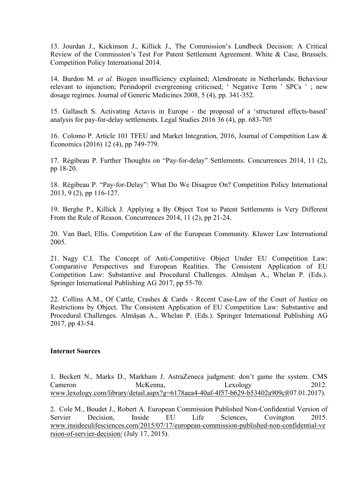13. Jourdan J., Kickinson J., Killick J., The Commission's Lundbeck Decision: A Critical 13. Jourdan J., Kickinson J., Killick J., The Commission's Lundbeck Decision: A Critical<br>Review of the Commission's Test For Patent Settlement Agreement. White & Case, Brussels,<br>Competition Policy International 2014.<br>14. B 13. Jourdan J., Kickinson J., Killick J., The Commission's Lundbeck Decision: A Critical<br>Review of the Commission's Test For Patent Settlement Agreement. White & Case, Brussels,<br>Competition Policy International 2014.<br>14. B 13. Jourdan J., Kickinson J., Killick J., The Commission's Lundbeck Decision: A Critical Review of the Commission's Test For Patent Settlement Agreement. White & Case, Brussels, Competition Policy International 2014.<br>
14. 13. Jourdan J., Kickinson J., Killick J., The Commission's Lundbeck Decision: A Critical Review of the Commission's Test For Patent Settlement Agreement. White & Case, Brussels, Competition Policy International 2014.<br>
14. 13. Jourdan J., Kickinson J., Killick J., The Commission's Lundbeck Decision: A Critical Review of the Commission's Test For Patent Settlement Agreement. White & Case, Brussels, Competition Policy International 2014.<br>
14. 13. Jourdan J., Kickinson J., Killick J., The Commission's Lund<br>Review of the Commission's Test For Patent Settlement Agreement.<br>Competition Policy International 2014.<br>14. Burdon M. *et al.* Biogen insufficiency explained; 13. Jourdan J., Kickinson J., Killick J., The Commission's Lundbeck Decisic<br>Review of the Commission's Test For Patent Settlement Agreement. White & C<br>Competition Policy International 2014.<br>14. Burdon M. *et al.* Biogen i

14. Burdon M. et al. Biogen insufficiency explained; Alendronate in Netherlands; Behaviour Example Rule of Reason. Concurrences 2014, 11 (2), pp 21-24.<br>
14. Bridgen insufficiency explained; Alendronate in Netherlands; Behaviour<br>
relevant to injunction; Perindopril evergreening criticised; 'Negative Term ' SPCs '

16. Colomo P. Article 101 TFEU and Market Integration, 2016, Journal of Competition Law &

17. Régibeau P. Further Thoughts on "Pay-for-delay" Settlements. Concurrences 2014, 11 (2),

18. Régibeau P. "Pay-for-Delay": What Do We Disagree On? Competition Policy International

19. Berghe P., Killick J. Applying a By Object Test to Patent Settlements is Very Different

20. Van Bael, Ellis. Competition Law of the European Community. Kluwer Law International 2005.

21. Nagy C.I. The Concept of Anti-Competitive Object Under EU Competition Law: 1. Nagy C.I. The Concept of Anti-Competitive Object Under EU Competition Law.<br>
2016. Registent Perspectives and Market Integration, 2016, Journal of Competition Law & Economics (2016) 12 (4), pp 749-779.<br>
17. Régibeau P. F Ether Designation Law: Substantive Procedural Challenges. Almäșan A., Whelan P. (Eds.)<br>
Economies (2016) 12 (4), pp 749-779.<br>
Economies (2016) 12 (4), pp 749-779.<br>
17. Régibeau P. "Pay-for-Delay": What Do We Disagree On? C 16. Colomo P. Article 101 TFEU and Market Integration, 2016, Journal of Competition Law & Economics (2016) 12 (4), pp 749-779.<br>
17. Régibeau P. Further Thoughts on "Pay-for-delay" Settlements. Concurrences 2014, 11 (2), pp 17. Régibeau P. Further Thoughts on "Pay-for-delay" Settlements. Concurrences 2014, 11 (2), pp 18-20.<br>
18. Régibeau P. "Pay-for-Delay": What Do We Disagree On? Competition Policy International<br>
2013, 9 (2), pp 116-127.<br>
19 1. Regional Procedural Challenges. Almäșan A., Whelan P. (Eds.)<br>Procedural Challenges. Procedure 2014, 11 (2), 18. Bergel 2013, 9 (2), pp 116-127.<br>19. Berghe P., Killick J. Applying a By Object Test to Patent Settlements i PP 10 2013.<br>
18. Régibeau P. "Pay-for-Delay": What Do We Disagree On? Competition<br>
2013, 9 (2), pp 116-127.<br>
19. Berghe P., Killick J. Applying a By Object Test to Patent Settlement<br>
From the Rule of Reason. Concurrences 2 19. Berghe P., Killick J. Applying a By Object Test to Patent Settlement<br>From the Rule of Reason. Concurrences 2014, 11 (2), pp 21-24.<br>20. Van Bael, Ellis. Competition Law of the European Community. Kluwe<br>2005.<br>21. Nagy C. 20. Van Bael, Ellis. Competition Law of the European Community. Kluwer Law International<br>
2005.<br>
21. Nagy C.I. The Concept of Anti-Competitive Object Under EU Competition Law:<br>
Competition Law: Substantive and Procedural C

22. Collins A.M., Of Cattle, Crashes & Cards - Recent Case-Law of the Court of Justice on Competition Law: Substantive and Procedural Challenges. Almäsan A., Whelan P. (Eds.)<br>
Springer International Publishing AG 2017, pp 55-70.<br>
22. Collins A.M., Of Cattle, Crashes & Cards - Recent Case-Law of the Court of Jus Springer International Publishing AG 2017, pp 55-70.<br>22. Collins A.M., Of Cattle, Crashes & Cards - Recent Case-Law of the Court of Justice on<br>Restrictions by Object. The Consistent Application of EU Competition Law: Subst

1. Beckett N., Marks D., Markham J. AstraZeneca judgment: don't game the system. CMS www.lexology.com/library/detail.aspx?g=6178aea4-40af-4f57-b629-b53402a909cf(07.01.2017).

2. Cole M., Boudet J., Robert A. European Commission Published Non-Confidential Version of www.insideeulifesciences.com/2015/07/17/european-commission-published-non-confidential-ve